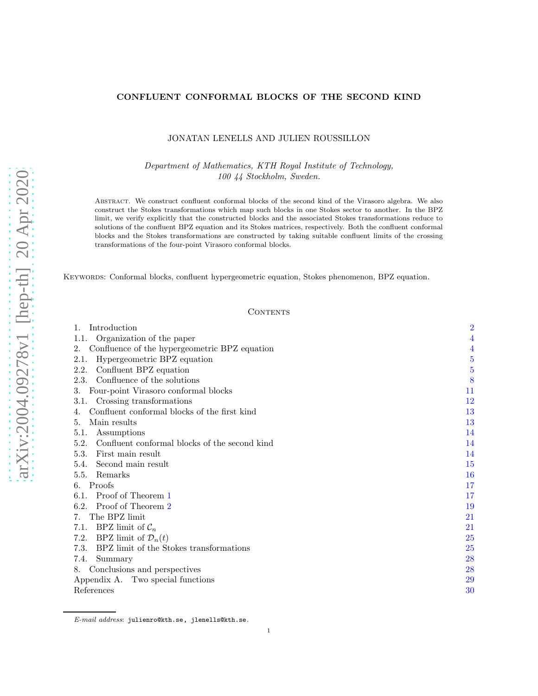# CONFLUENT CONFORMAL BLOCKS OF THE SECOND KIND

# JONATAN LENELLS AND JULIEN ROUSSILLON

Department of Mathematics, KTH Royal Institute of Technology, 100 44 Stockholm, Sweden.

Abstract. We construct confluent conformal blocks of the second kind of the Virasoro algebra. We also construct the Stokes transformations which map such blocks in one Stokes sector to another. In the BPZ limit, we verify explicitly that the constructed blocks and the associated Stokes transformations reduce to solutions of the confluent BPZ equation and its Stokes matrices, respectively. Both the confluent conformal blocks and the Stokes transformations are constructed by taking suitable confluent limits of the crossing transformations of the four-point Virasoro conformal blocks.

Keywords: Conformal blocks, confluent hypergeometric equation, Stokes phenomenon, BPZ equation.

# **CONTENTS**

| Introduction                                          | $\overline{2}$ |
|-------------------------------------------------------|----------------|
| Organization of the paper<br>1.1.                     | 4              |
| Confluence of the hypergeometric BPZ equation<br>2.   | $\overline{4}$ |
| Hypergeometric BPZ equation<br>2.1.                   | $\overline{5}$ |
| Confluent BPZ equation<br>2.2.                        | 5              |
| Confluence of the solutions<br>2.3.                   | 8              |
| Four-point Virasoro conformal blocks<br>3.            | 11             |
| Crossing transformations<br>3.1.                      | $^{12}$        |
| Confluent conformal blocks of the first kind          | 13             |
| Main results<br>5.                                    | 13             |
| 5.1.<br>Assumptions                                   | 14             |
| 5.2.<br>Confluent conformal blocks of the second kind | 14             |
| First main result<br>5.3.                             | 14             |
| Second main result<br>5.4.                            | 15             |
| 5.5.<br>Remarks                                       | 16             |
| Proofs<br>6.                                          | 17             |
| Proof of Theorem 1<br>6.1.                            | $17\,$         |
| 6.2. Proof of Theorem 2                               | 19             |
| The BPZ limit<br>7.                                   | 21             |
| BPZ limit of $\mathcal{C}_n$<br>7.1.                  | 21             |
| BPZ limit of $\mathcal{D}_n(t)$<br>7.2.               | 25             |
| 7.3.<br>BPZ limit of the Stokes transformations       | 25             |
| 7.4.<br>Summary                                       | 28             |
| Conclusions and perspectives<br>8.                    | 28             |
| Appendix A. Two special functions                     | 29             |
| References                                            | $30\,$         |

E-mail address: julienro@kth.se, jlenells@kth.se.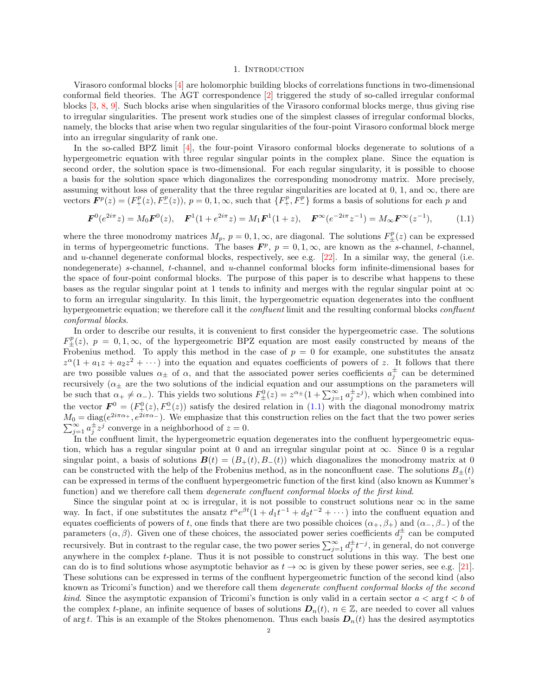#### <span id="page-1-1"></span>1. INTRODUCTION

<span id="page-1-0"></span>Virasoro conformal blocks [\[4\]](#page-29-1) are holomorphic building blocks of correlations functions in two-dimensional conformal field theories. The AGT correspondence [\[2](#page-29-2)] triggered the study of so-called irregular conformal blocks [\[3,](#page-29-3) [8](#page-29-4), [9](#page-29-5)]. Such blocks arise when singularities of the Virasoro conformal blocks merge, thus giving rise to irregular singularities. The present work studies one of the simplest classes of irregular conformal blocks, namely, the blocks that arise when two regular singularities of the four-point Virasoro conformal block merge into an irregular singularity of rank one.

In the so-called BPZ limit [\[4\]](#page-29-1), the four-point Virasoro conformal blocks degenerate to solutions of a hypergeometric equation with three regular singular points in the complex plane. Since the equation is second order, the solution space is two-dimensional. For each regular singularity, it is possible to choose a basis for the solution space which diagonalizes the corresponding monodromy matrix. More precisely, assuming without loss of generality that the three regular singularities are located at 0, 1, and  $\infty$ , there are vectors  $\mathbf{F}^p(z) = (F^p_+(z), F^p_-(z)), p = 0, 1, \infty$ , such that  $\{F^p_+, F^p_-\}$  forms a basis of solutions for each p and

$$
\boldsymbol{F}^{0}(e^{2i\pi}z) = M_{0}\boldsymbol{F}^{0}(z), \quad \boldsymbol{F}^{1}(1+e^{2i\pi}z) = M_{1}\boldsymbol{F}^{1}(1+z), \quad \boldsymbol{F}^{\infty}(e^{-2i\pi}z^{-1}) = M_{\infty}\boldsymbol{F}^{\infty}(z^{-1}), \tag{1.1}
$$

where the three monodromy matrices  $M_p$ ,  $p = 0, 1, \infty$ , are diagonal. The solutions  $F_{\pm}^p(z)$  can be expressed in terms of hypergeometric functions. The bases  $\mathbf{F}^p$ ,  $p = 0, 1, \infty$ , are known as the s-channel, t-channel, and u-channel degenerate conformal blocks, respectively, see e.g.  $[22]$ . In a similar way, the general (i.e. nondegenerate) s-channel, t-channel, and u-channel conformal blocks form infinite-dimensional bases for the space of four-point conformal blocks. The purpose of this paper is to describe what happens to these bases as the regular singular point at 1 tends to infinity and merges with the regular singular point at  $\infty$ to form an irregular singularity. In this limit, the hypergeometric equation degenerates into the confluent hypergeometric equation; we therefore call it the *confluent* limit and the resulting conformal blocks *confluent* conformal blocks.

In order to describe our results, it is convenient to first consider the hypergeometric case. The solutions  $F_{\pm}^{p}(z), p = 0, 1, \infty$ , of the hypergeometric BPZ equation are most easily constructed by means of the Frobenius method. To apply this method in the case of  $p = 0$  for example, one substitutes the ansatz  $z^{\alpha}(1 + a_1 z + a_2 z^2 + \cdots)$  into the equation and equates coefficients of powers of z. It follows that there are two possible values  $\alpha_{\pm}$  of  $\alpha$ , and that the associated power series coefficients  $a_j^{\pm}$  can be determined recursively ( $\alpha_{\pm}$  are the two solutions of the indicial equation and our assumptions on the parameters will be such that  $\alpha_+ \neq \alpha_-$ ). This yields two solutions  $F_{\pm}^0(z) = z^{\alpha_{\pm}}(1 + \sum_{j=1}^{\infty} a_j^{\pm} z^j)$ , which when combined into the vector  $\mathbf{F}^0 = (F_+^0(z), F_-^0(z))$  satisfy the desired relation in [\(1.1\)](#page-1-1) with the diagonal monodromy matrix  $M_0 = \text{diag}(e^{2i\pi\alpha_+}, e^{2i\pi\alpha_-})$ . We emphasize that this construction relies on the fact that the two power series  $\sum_{j=1}^{\infty} a_j^{\pm} z^j$  converge in a neighborhood of  $z = 0$ .

In the confluent limit, the hypergeometric equation degenerates into the confluent hypergeometric equation, which has a regular singular point at 0 and an irregular singular point at  $\infty$ . Since 0 is a regular singular point, a basis of solutions  $\mathbf{B}(t) = (B_+(t), B_-(t))$  which diagonalizes the monodromy matrix at 0 can be constructed with the help of the Frobenius method, as in the nonconfluent case. The solutions  $B_+(t)$ can be expressed in terms of the confluent hypergeometric function of the first kind (also known as Kummer's function) and we therefore call them *degenerate confluent conformal blocks of the first kind*.

Since the singular point at  $\infty$  is irregular, it is not possible to construct solutions near  $\infty$  in the same way. In fact, if one substitutes the ansatz  $t^{\alpha}e^{\beta t}(1+d_1t^{-1}+d_2t^{-2}+\cdots)$  into the confluent equation and equates coefficients of powers of t, one finds that there are two possible choices  $(\alpha_+, \beta_+)$  and  $(\alpha_-, \beta_-)$  of the parameters  $(\alpha, \beta)$ . Given one of these choices, the associated power series coefficients  $d_j^{\pm}$  can be computed recursively. But in contrast to the regular case, the two power series  $\sum_{j=1}^{\infty} d_j^{\pm} t^{-j}$ , in general, do not converge anywhere in the complex t-plane. Thus it is not possible to construct solutions in this way. The best one can do is to find solutions whose asymptotic behavior as  $t \to \infty$  is given by these power series, see e.g. [\[21\]](#page-29-7). These solutions can be expressed in terms of the confluent hypergeometric function of the second kind (also known as Tricomi's function) and we therefore call them degenerate confluent conformal blocks of the second *kind.* Since the asymptotic expansion of Tricomi's function is only valid in a certain sector  $a < \arg t < b$  of the complex t-plane, an infinite sequence of bases of solutions  $D_n(t)$ ,  $n \in \mathbb{Z}$ , are needed to cover all values of arg t. This is an example of the Stokes phenomenon. Thus each basis  $D_n(t)$  has the desired asymptotics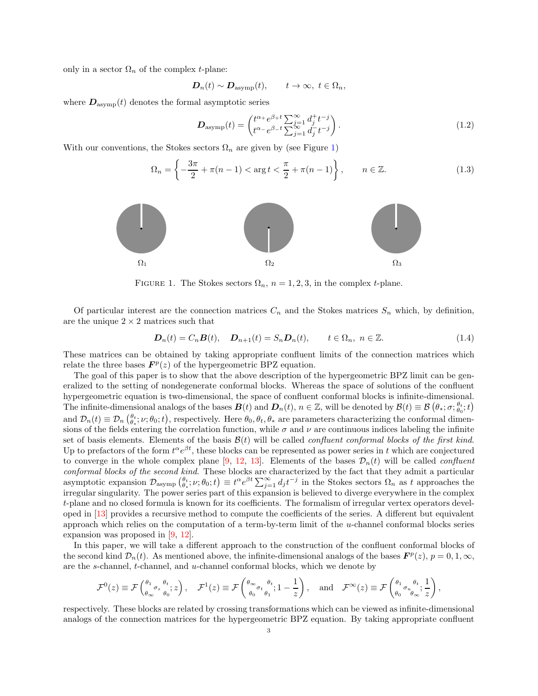only in a sector  $\Omega_n$  of the complex *t*-plane:

$$
\mathbf{D}_n(t) \sim \mathbf{D}_{\text{asymp}}(t), \qquad t \to \infty, \ t \in \Omega_n,
$$

where  $D_{\text{asym}}(t)$  denotes the formal asymptotic series

<span id="page-2-3"></span><span id="page-2-2"></span>
$$
\boldsymbol{D}_{\text{asymp}}(t) = \begin{pmatrix} t^{\alpha_+} e^{\beta_+ t} \sum_{j=1}^{\infty} d_j^+ t^{-j} \\ t^{\alpha_-} e^{\beta_- t} \sum_{j=1}^{\infty} d_j^- t^{-j} \end{pmatrix} . \tag{1.2}
$$

<span id="page-2-0"></span>With our conventions, the Stokes sectors  $\Omega_n$  are given by (see Figure [1\)](#page-2-0)

$$
\Omega_n = \left\{ -\frac{3\pi}{2} + \pi(n-1) < \arg t < \frac{\pi}{2} + \pi(n-1) \right\}, \qquad n \in \mathbb{Z}.\tag{1.3}
$$



FIGURE 1. The Stokes sectors  $\Omega_n$ ,  $n = 1, 2, 3$ , in the complex t-plane.

Of particular interest are the connection matrices  $C_n$  and the Stokes matrices  $S_n$  which, by definition, are the unique  $2 \times 2$  matrices such that

<span id="page-2-1"></span>
$$
\boldsymbol{D}_n(t) = C_n \boldsymbol{B}(t), \quad \boldsymbol{D}_{n+1}(t) = S_n \boldsymbol{D}_n(t), \qquad t \in \Omega_n, \ n \in \mathbb{Z}.
$$
 (1.4)

These matrices can be obtained by taking appropriate confluent limits of the connection matrices which relate the three bases  $\mathbf{F}^p(z)$  of the hypergeometric BPZ equation.

The goal of this paper is to show that the above description of the hypergeometric BPZ limit can be generalized to the setting of nondegenerate conformal blocks. Whereas the space of solutions of the confluent hypergeometric equation is two-dimensional, the space of confluent conformal blocks is infinite-dimensional. The infinite-dimensional analogs of the bases  $\mathbf{B}(t)$  and  $\mathbf{D}_n(t)$ ,  $n \in \mathbb{Z}$ , will be denoted by  $\mathcal{B}(t) \equiv \mathcal{B}(\theta_*, \sigma; \theta_0^t; t)$ and  $\mathcal{D}_n(t) \equiv \mathcal{D}_n\left(\frac{\theta_t}{\theta_*}; \nu; \theta_0; t\right)$ , respectively. Here  $\theta_0, \theta_t, \theta_*$  are parameters characterizing the conformal dimensions of the fields entering the correlation function, while  $\sigma$  and  $\nu$  are continuous indices labeling the infinite set of basis elements. Elements of the basis  $\mathcal{B}(t)$  will be called *confluent conformal blocks of the first kind*. Up to prefactors of the form  $t^{\alpha}e^{\beta t}$ , these blocks can be represented as power series in t which are conjectured to converge in the whole complex plane [\[9](#page-29-5), [12](#page-29-8), [13](#page-29-9)]. Elements of the bases  $\mathcal{D}_n(t)$  will be called *confluent* conformal blocks of the second kind. These blocks are characterized by the fact that they admit a particular asymptotic expansion  $\mathcal{D}_{\text{asymp}}\left(\theta_t, \nu; \theta_0; t\right) \equiv t^{\alpha} e^{\beta t} \sum_{j=1}^{\infty} d_j t^{-j}$  in the Stokes sectors  $\Omega_n$  as t approaches the irregular singularity. The power series part of this expansion is believed to diverge everywhere in the complex t-plane and no closed formula is known for its coefficients. The formalism of irregular vertex operators developed in [\[13](#page-29-9)] provides a recursive method to compute the coefficients of the series. A different but equivalent approach which relies on the computation of a term-by-term limit of the u-channel conformal blocks series expansion was proposed in [\[9](#page-29-5), [12](#page-29-8)].

In this paper, we will take a different approach to the construction of the confluent conformal blocks of the second kind  $\mathcal{D}_n(t)$ . As mentioned above, the infinite-dimensional analogs of the bases  $\mathbf{F}^p(z)$ ,  $p = 0, 1, \infty$ , are the s-channel, t-channel, and u-channel conformal blocks, which we denote by

$$
\mathcal{F}^0(z) \equiv \mathcal{F}\begin{pmatrix} \theta_1 & \theta_2 & \theta_3 \\ \theta_\infty & \theta_0 & \theta_3 \end{pmatrix}, \quad \mathcal{F}^1(z) \equiv \mathcal{F}\begin{pmatrix} \theta_\infty & \theta_2 \\ \theta_0 & \theta_1 & \theta_2 \end{pmatrix}, \quad \text{and} \quad \mathcal{F}^\infty(z) \equiv \mathcal{F}\begin{pmatrix} \theta_1 & \theta_2 & \theta_3 \\ \theta_0 & \theta_\infty & \theta_2 \end{pmatrix},
$$

respectively. These blocks are related by crossing transformations which can be viewed as infinite-dimensional analogs of the connection matrices for the hypergeometric BPZ equation. By taking appropriate confluent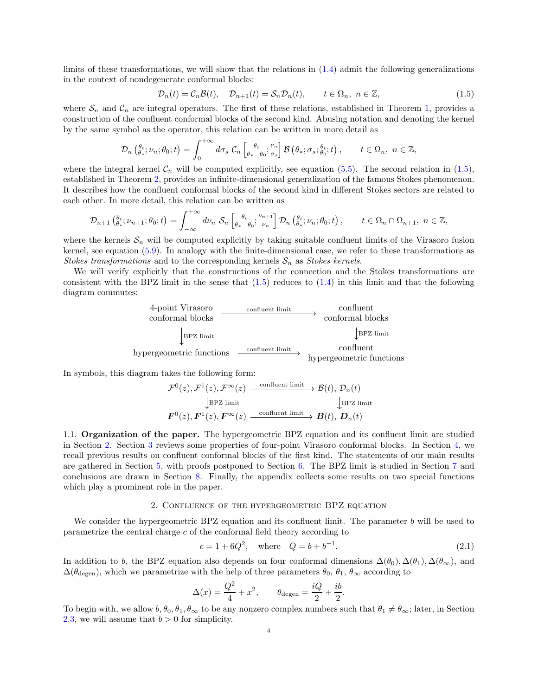limits of these transformations, we will show that the relations in [\(1.4\)](#page-2-1) admit the following generalizations in the context of nondegenerate conformal blocks:

<span id="page-3-2"></span>
$$
\mathcal{D}_n(t) = \mathcal{C}_n \mathcal{B}(t), \quad \mathcal{D}_{n+1}(t) = \mathcal{S}_n \mathcal{D}_n(t), \qquad t \in \Omega_n, \ n \in \mathbb{Z}, \tag{1.5}
$$

where  $S_n$  and  $C_n$  are integral operators. The first of these relations, established in Theorem [1,](#page-14-1) provides a construction of the confluent conformal blocks of the second kind. Abusing notation and denoting the kernel by the same symbol as the operator, this relation can be written in more detail as

$$
\mathcal{D}_n\left(\begin{matrix}\theta_t\\\theta_*\end{matrix};\nu_n;\theta_0;t\right)=\int_0^{+\infty}d\sigma_s\,\,\mathcal{C}_n\left[\begin{matrix}\theta_t\\ \theta_*\end{matrix};\begin{matrix}\nu_n\\\theta_0\end{matrix};\begin{matrix}\nu_n\\\sigma_s\end{matrix}\right]\mathcal{B}\left(\theta_*;\sigma_s;\begin{matrix}\theta_t\\\theta_0\end{matrix};t\right),\qquad t\in\Omega_n,\ n\in\mathbb{Z},
$$

where the integral kernel  $\mathcal{C}_n$  will be computed explicitly, see equation [\(5.5\)](#page-13-3). The second relation in [\(1.5\)](#page-3-2), established in Theorem [2,](#page-15-1) provides an infinite-dimensional generalization of the famous Stokes phenomenon. It describes how the confluent conformal blocks of the second kind in different Stokes sectors are related to each other. In more detail, this relation can be written as

$$
\mathcal{D}_{n+1}\left(\begin{matrix}\theta_t\\\theta_*\end{matrix};\nu_{n+1};\theta_0;t\right)=\int_{-\infty}^{+\infty}d\nu_n\,\,\mathcal{S}_n\left[\begin{matrix}\theta_t\\\theta_*\\\theta_0\end{matrix};\begin{matrix}\nu_{n+1}\\\nu_n\end{matrix}\right]\mathcal{D}_n\left(\begin{matrix}\theta_t\\\theta_*\\\nu_n\end{matrix};\mu_0;t\right),\qquad t\in\Omega_n\cap\Omega_{n+1},\ n\in\mathbb{Z},
$$

where the kernels  $S_n$  will be computed explicitly by taking suitable confluent limits of the Virasoro fusion kernel, see equation [\(5.9\)](#page-14-2). In analogy with the finite-dimensional case, we refer to these transformations as Stokes transformations and to the corresponding kernels  $S_n$  as Stokes kernels.

We will verify explicitly that the constructions of the connection and the Stokes transformations are consistent with the BPZ limit in the sense that  $(1.5)$  reduces to  $(1.4)$  in this limit and that the following diagram commutes:



In symbols, this diagram takes the following form:

$$
\mathcal{F}^{0}(z),\mathcal{F}^{1}(z),\mathcal{F}^{\infty}(z) \xrightarrow{\text{confluent limit}} \mathcal{B}(t),\ \mathcal{D}_{n}(t)
$$
\n
$$
\downarrow \text{BPZ limit} \qquad \qquad \downarrow \text{BPZ limit}
$$
\n
$$
\mathbf{F}^{0}(z),\mathbf{F}^{1}(z),\mathbf{F}^{\infty}(z) \xrightarrow{\text{confluent limit}} \mathcal{B}(t),\ \mathbf{D}_{n}(t)
$$

<span id="page-3-0"></span>1.1. Organization of the paper. The hypergeometric BPZ equation and its confluent limit are studied in Section [2.](#page-3-1) Section [3](#page-10-0) reviews some properties of four-point Virasoro conformal blocks. In Section [4,](#page-12-0) we recall previous results on confluent conformal blocks of the first kind. The statements of our main results are gathered in Section [5,](#page-12-1) with proofs postponed to Section [6.](#page-16-0) The BPZ limit is studied in Section [7](#page-20-0) and conclusions are drawn in Section [8.](#page-27-1) Finally, the appendix collects some results on two special functions which play a prominent role in the paper.

# 2. Confluence of the hypergeometric BPZ equation

<span id="page-3-1"></span>We consider the hypergeometric BPZ equation and its confluent limit. The parameter  $b$  will be used to parametrize the central charge  $c$  of the conformal field theory according to

<span id="page-3-3"></span>
$$
c = 1 + 6Q^2, \quad \text{where} \quad Q = b + b^{-1}.
$$
 (2.1)

In addition to b, the BPZ equation also depends on four conformal dimensions  $\Delta(\theta_0), \Delta(\theta_1), \Delta(\theta_\infty)$ , and  $\Delta(\theta_{\text{degen}})$ , which we parametrize with the help of three parameters  $\theta_0$ ,  $\theta_1$ ,  $\theta_{\infty}$  according to

$$
\Delta(x) = \frac{Q^2}{4} + x^2
$$
,  $\theta_{\text{degen}} = \frac{iQ}{2} + \frac{ib}{2}$ .

To begin with, we allow  $b, \theta_0, \theta_1, \theta_\infty$  to be any nonzero complex numbers such that  $\theta_1 \neq \theta_\infty$ ; later, in Section [2.3,](#page-7-0) we will assume that  $b > 0$  for simplicity.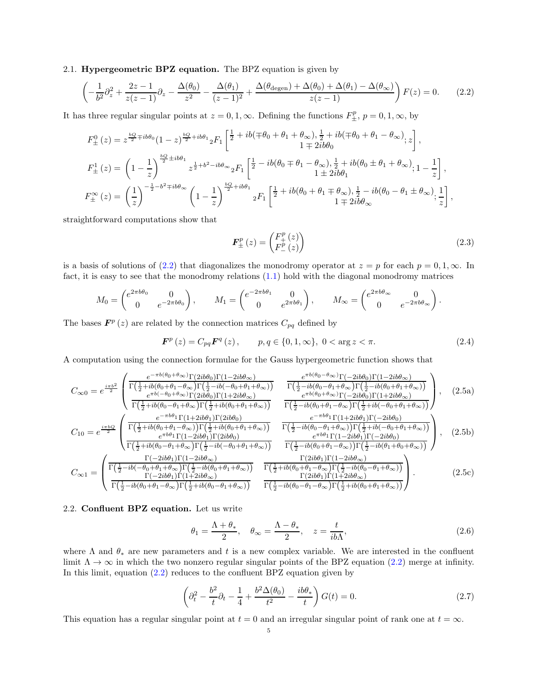# <span id="page-4-0"></span>2.1. Hypergeometric BPZ equation. The BPZ equation is given by

<span id="page-4-2"></span>
$$
\left(-\frac{1}{b^2}\partial_z^2 + \frac{2z - 1}{z(z - 1)}\partial_z - \frac{\Delta(\theta_0)}{z^2} - \frac{\Delta(\theta_1)}{(z - 1)^2} + \frac{\Delta(\theta_{\text{degen}}) + \Delta(\theta_0) + \Delta(\theta_1) - \Delta(\theta_{\infty})}{z(z - 1)}\right)F(z) = 0.
$$
 (2.2)

It has three regular singular points at  $z = 0, 1, \infty$ . Defining the functions  $F_{\pm}^{p}$ ,  $p = 0, 1, \infty$ , by

$$
\begin{split} F_{\pm}^{0}\left(z\right) & =z^{\frac{bQ}{2}\mp ib\theta_{0}}(1-z)^{\frac{bQ}{2}+ib\theta_{1}}{}_{2}F_{1}\left[\frac{\frac{1}{2}+ib(\mp\theta_{0}+\theta_{1}+\theta_{\infty}),\frac{1}{2}+ib(\mp\theta_{0}+\theta_{1}-\theta_{\infty})}_{1\mp 2ib\theta_{0}};z\right],\\ F_{\pm}^{1}\left(z\right) & =\left(1-\frac{1}{z}\right)^{\frac{bQ}{2}\pm ib\theta_{1}}{}_{z^{\frac{1}{2}+b^{2}-ib\theta_{\infty}}}{}_{2}F_{1}\left[\frac{\frac{1}{2}-ib(\theta_{0}\mp\theta_{1}-\theta_{\infty}),\frac{1}{2}+ib(\theta_{0}\pm\theta_{1}+\theta_{\infty})}_{1\pm 2ib\theta_{1}};1-\frac{1}{z}\right],\\ F_{\pm}^{\infty}\left(z\right) & =\left(\frac{1}{z}\right)^{-\frac{1}{2}-b^{2}\mp ib\theta_{\infty}}\left(1-\frac{1}{z}\right)^{\frac{bQ}{2}+ib\theta_{1}}{}_{2}F_{1}\left[\frac{\frac{1}{2}+ib(\theta_{0}+\theta_{1}\mp\theta_{\infty}),\frac{1}{2}-ib(\theta_{0}-\theta_{1}\pm\theta_{\infty})}_{1\mp 2ib\theta_{\infty}};\frac{1}{z}\right], \end{split}
$$

straightforward computations show that

<span id="page-4-6"></span><span id="page-4-4"></span>
$$
\boldsymbol{F}_{\pm}^{p}\left(z\right) = \begin{pmatrix} F_{+}^{p}\left(z\right) \\ F_{-}^{p}\left(z\right) \end{pmatrix} \tag{2.3}
$$

is a basis of solutions of [\(2.2\)](#page-4-2) that diagonalizes the monodromy operator at  $z = p$  for each  $p = 0, 1, \infty$ . In fact, it is easy to see that the monodromy relations [\(1.1\)](#page-1-1) hold with the diagonal monodromy matrices

$$
M_0 = \begin{pmatrix} e^{2\pi b\theta_0} & 0 \\ 0 & e^{-2\pi b\theta_0} \end{pmatrix}, \qquad M_1 = \begin{pmatrix} e^{-2\pi b\theta_1} & 0 \\ 0 & e^{2\pi b\theta_1} \end{pmatrix}, \qquad M_\infty = \begin{pmatrix} e^{2\pi b\theta_\infty} & 0 \\ 0 & e^{-2\pi b\theta_\infty} \end{pmatrix}.
$$

The bases  $\mathbf{F}^p(z)$  are related by the connection matrices  $C_{pq}$  defined by

<span id="page-4-5"></span>
$$
\boldsymbol{F}^{p}(z) = C_{pq} \boldsymbol{F}^{q}(z), \qquad p, q \in \{0, 1, \infty\}, \ 0 < \arg z < \pi. \tag{2.4}
$$

A computation using the connection formulae for the Gauss hypergeometric function shows that

$$
C_{\infty 0} = e^{\frac{i\pi b^2}{2}} \begin{pmatrix} \frac{e^{-\pi b(\theta_0 + \theta_{\infty})\Gamma(2ib\theta_0)\Gamma(1-2ib\theta_{\infty})}}{\Gamma(\frac{1}{2}+ib(\theta_0 + \theta_1 - \theta_{\infty})\Gamma(\frac{1}{2}-ib(-\theta_0 + \theta_1 + \theta_{\infty}))} & \frac{e^{\pi b(\theta_0 - \theta_{\infty})\Gamma(-2ib\theta_0)\Gamma(1-2ib\theta_{\infty})}}{\Gamma(\frac{1}{2}+ib(\theta_0 - \theta_1 + \theta_{\infty})\Gamma(\frac{1}{2}+ib(\theta_0 + \theta_1 + \theta_{\infty}))} & \frac{e^{\pi b(\theta_0 - \theta_{\infty})\Gamma(-2ib\theta_0)\Gamma(1-2ib\theta_{\infty})}}{e^{\pi b(\theta_0 + \theta_{\infty})\Gamma(-2ib\theta_0)\Gamma(-2ib\theta_0)\Gamma(-2ib\theta_{\infty})} & \frac{e^{\pi b(\theta_0 + \theta_{\infty})\Gamma(-2ib\theta_0)\Gamma(1+2ib\theta_{\infty})}}{\Gamma(\frac{1}{2}-ib(\theta_0 + \theta_1 - \theta_{\infty})\Gamma(\frac{1}{2}+ib(-\theta_0 + \theta_1 + \theta_{\infty}))} & \frac{e^{-\pi b\theta_1}\Gamma(1+2ib\theta_1)\Gamma(2ib\theta_0)}{\Gamma(\frac{1}{2}-ib(\theta_0 + \theta_1 - \theta_{\infty})\Gamma(\frac{1}{2}+ib(-\theta_0 + \theta_1 + \theta_{\infty}))} & \frac{e^{-\pi b\theta_1}\Gamma(1+2ib\theta_1)\Gamma(-2ib\theta_0)}{e^{\pi b\theta_1}\Gamma(1-2ib\theta_1)\Gamma(2ib\theta_0)} & \frac{e^{-\pi b\theta_1}\Gamma(1+2ib\theta_1)\Gamma(-2ib\theta_0)}{e^{\pi b\theta_1}\Gamma(-2ib\theta_0)\Gamma(-2ib\theta_0)} & \frac{e^{-\pi b\theta_1}\Gamma(1-2ib\theta_1)\Gamma(-2ib\theta_0)}{e^{\pi b\theta_1}\Gamma(-2ib\theta_0)\Gamma(\frac{1}{2}-ib(\theta_0 + \theta_1 + \theta_{\infty}))} & \frac{e^{-\pi b\theta_1}\Gamma(1-2ib\theta_1)\Gamma(-2ib\theta_
$$

# <span id="page-4-1"></span>2.2. Confluent BPZ equation. Let us write

<span id="page-4-9"></span><span id="page-4-8"></span><span id="page-4-7"></span>
$$
\theta_1 = \frac{\Lambda + \theta_*}{2}, \quad \theta_\infty = \frac{\Lambda - \theta_*}{2}, \quad z = \frac{t}{ib\Lambda},\tag{2.6}
$$

where  $\Lambda$  and  $\theta_*$  are new parameters and t is a new complex variable. We are interested in the confluent limit  $\Lambda \to \infty$  in which the two nonzero regular singular points of the BPZ equation [\(2.2\)](#page-4-2) merge at infinity. In this limit, equation  $(2.2)$  reduces to the confluent BPZ equation given by

<span id="page-4-3"></span>
$$
\left(\partial_t^2 - \frac{b^2}{t}\partial_t - \frac{1}{4} + \frac{b^2 \Delta(\theta_0)}{t^2} - \frac{ib\theta_*}{t}\right)G(t) = 0.
$$
\n(2.7)

This equation has a regular singular point at  $t = 0$  and an irregular singular point of rank one at  $t = \infty$ .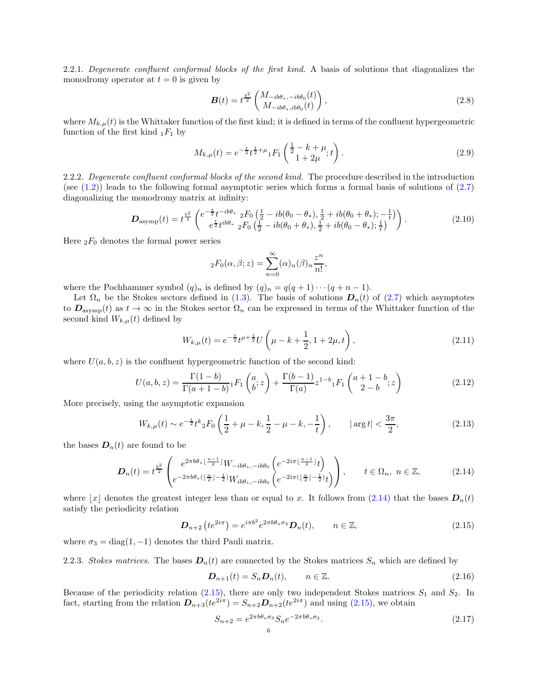2.2.1. Degenerate confluent conformal blocks of the first kind. A basis of solutions that diagonalizes the monodromy operator at  $t = 0$  is given by

<span id="page-5-2"></span>
$$
\boldsymbol{B}(t) = t^{\frac{b^2}{2}} \begin{pmatrix} M_{-ib\theta_*,-ib\theta_0}(t) \\ M_{-ib\theta_*,ib\theta_0}(t) \end{pmatrix},
$$
\n(2.8)

where  $M_{k,\mu}(t)$  is the Whittaker function of the first kind; it is defined in terms of the confluent hypergeometric function of the first kind  $_1F_1$  by

$$
M_{k,\mu}(t) = e^{-\frac{t}{2}}t^{\frac{1}{2}+\mu} {}_1F_1\left(\frac{\frac{1}{2}-k+\mu}{1+2\mu};t\right).
$$
\n(2.9)

2.2.2. Degenerate confluent conformal blocks of the second kind. The procedure described in the introduction (see  $(1.2)$ ) leads to the following formal asymptotic series which forms a formal basis of solutions of  $(2.7)$ diagonalizing the monodromy matrix at infinity:

<span id="page-5-5"></span>
$$
D_{\text{asymp}}(t) = t^{\frac{b^2}{2}} \begin{pmatrix} e^{-\frac{t}{2}t - ib\theta_*} \, {}_2F_0 \left( \frac{1}{2} - ib(\theta_0 - \theta_*), \frac{1}{2} + ib(\theta_0 + \theta_*); -\frac{1}{t} \right) \\ e^{\frac{t}{2}t^{ib\theta_*}} \, {}_2F_0 \left( \frac{1}{2} - ib(\theta_0 + \theta_*), \frac{1}{2} + ib(\theta_0 - \theta_*); \frac{1}{t} \right) \end{pmatrix} . \tag{2.10}
$$

Here  $_2F_0$  denotes the formal power series

$$
{}_2F_0(\alpha,\beta;z) = \sum_{n=0}^{\infty} (\alpha)_n (\beta)_n \frac{z^n}{n!},
$$

where the Pochhammer symbol  $(q)_n$  is defined by  $(q)_n = q(q+1)\cdots(q+n-1)$ .

Let  $\Omega_n$  be the Stokes sectors defined in [\(1.3\)](#page-2-3). The basis of solutions  $\mathbf{D}_n(t)$  of [\(2.7\)](#page-4-3) which asymptotes to  $D_{\text{asymp}}(t)$  as  $t \to \infty$  in the Stokes sector  $\Omega_n$  can be expressed in terms of the Whittaker function of the second kind  $W_{k,\mu}(t)$  defined by

$$
W_{k,\mu}(t) = e^{-\frac{t}{2}}t^{\mu+\frac{1}{2}}U\left(\mu - k + \frac{1}{2}, 1 + 2\mu, t\right),\tag{2.11}
$$

where  $U(a, b, z)$  is the confluent hypergeometric function of the second kind:

$$
U(a,b,z) = \frac{\Gamma(1-b)}{\Gamma(a+1-b)} {}_1F_1\left(\begin{matrix} a \\ b \end{matrix}; z\right) + \frac{\Gamma(b-1)}{\Gamma(a)} z^{1-b} {}_1F_1\left(\begin{matrix} a+1-b \\ 2-b \end{matrix}; z\right)
$$
(2.12)

More precisely, using the asymptotic expansion

$$
W_{k,\mu}(t) \sim e^{-\frac{t}{2}} t^k {}_2F_0\left(\frac{1}{2} + \mu - k, \frac{1}{2} - \mu - k, -\frac{1}{t}\right), \qquad |\arg t| < \frac{3\pi}{2},\tag{2.13}
$$

the bases  $\mathbf{D}_n(t)$  are found to be

<span id="page-5-0"></span>
$$
D_n(t) = t^{\frac{b^2}{2}} \begin{pmatrix} e^{2\pi b\theta_* \lfloor \frac{n-1}{2} \rfloor} W_{-ib\theta_*,-ib\theta_0} \left( e^{-2i\pi \lfloor \frac{n-1}{2} \rfloor} t \right) \\ e^{-2\pi b\theta_* \left( \lfloor \frac{n}{2} \rfloor - \frac{1}{2} \right)} W_{ib\theta_*,-ib\theta_0} \left( e^{-2i\pi \left( \lfloor \frac{n}{2} \rfloor - \frac{1}{2} \right)} t \right) \end{pmatrix}, \qquad t \in \Omega_n, \ n \in \mathbb{Z}, \tag{2.14}
$$

where  $|x|$  denotes the greatest integer less than or equal to x. It follows from [\(2.14\)](#page-5-0) that the bases  $D_n(t)$ satisfy the periodicity relation

<span id="page-5-1"></span>
$$
\boldsymbol{D}_{n+2}\left(te^{2i\pi}\right) = e^{i\pi b^2}e^{2\pi b\theta_*\sigma_3}\boldsymbol{D}_n(t), \qquad n \in \mathbb{Z},\tag{2.15}
$$

where  $\sigma_3 = \text{diag}(1, -1)$  denotes the third Pauli matrix.

2.2.3. Stokes matrices. The bases  $D_n(t)$  are connected by the Stokes matrices  $S_n$  which are defined by

<span id="page-5-3"></span>
$$
D_{n+1}(t) = S_n D_n(t), \qquad n \in \mathbb{Z}.
$$
\n(2.16)

Because of the periodicity relation  $(2.15)$ , there are only two independent Stokes matrices  $S_1$  and  $S_2$ . In fact, starting from the relation  $D_{n+3}(te^{2i\pi}) = S_{n+2}D_{n+2}(te^{2i\pi})$  and using [\(2.15\)](#page-5-1), we obtain

<span id="page-5-4"></span>
$$
S_{n+2} = e^{2\pi b\theta_*\sigma_3} S_n e^{-2\pi b\theta_*\sigma_3}.
$$
\n
$$
(2.17)
$$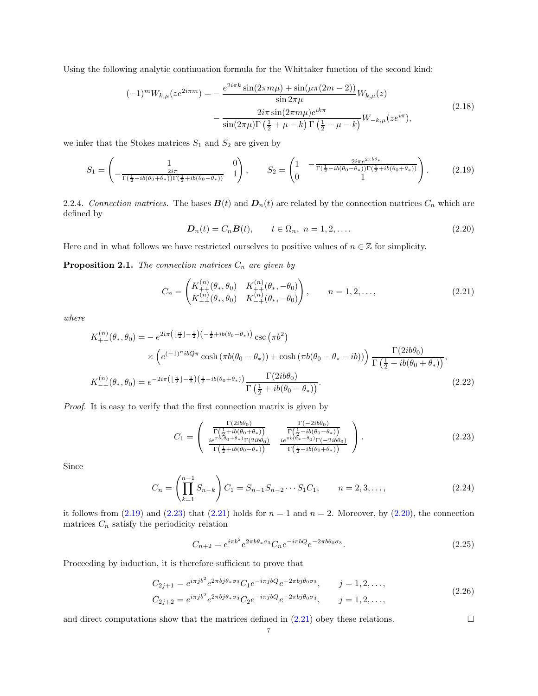Using the following analytic continuation formula for the Whittaker function of the second kind:

$$
(-1)^{m} W_{k,\mu}(ze^{2i\pi m}) = -\frac{e^{2i\pi k} \sin(2\pi m\mu) + \sin(\mu\pi(2m-2))}{\sin 2\pi \mu} W_{k,\mu}(z)
$$

$$
-\frac{2i\pi \sin(2\pi m\mu)e^{ik\pi}}{\sin(2\pi\mu)\Gamma(\frac{1}{2} + \mu - k)\Gamma(\frac{1}{2} - \mu - k)} W_{-k,\mu}(ze^{i\pi}),
$$
(2.18)

we infer that the Stokes matrices  $S_1$  and  $S_2$  are given by

<span id="page-6-0"></span>
$$
S_1 = \begin{pmatrix} 1 & 0 \\ -\frac{2i\pi}{\Gamma(\frac{1}{2} - ib(\theta_0 + \theta_*))\Gamma(\frac{1}{2} + ib(\theta_0 - \theta_*))} & 1 \end{pmatrix}, \qquad S_2 = \begin{pmatrix} 1 & -\frac{2i\pi e^{2\pi b\theta_*}}{\Gamma(\frac{1}{2} - ib(\theta_0 - \theta_*))\Gamma(\frac{1}{2} + ib(\theta_0 + \theta_*))} \\ 0 & 1 \end{pmatrix}.
$$
 (2.19)

2.2.4. Connection matrices. The bases  $\mathbf{B}(t)$  and  $\mathbf{D}_n(t)$  are related by the connection matrices  $C_n$  which are defined by

<span id="page-6-3"></span>
$$
\mathbf{D}_n(t) = C_n \mathbf{B}(t), \qquad t \in \Omega_n, \ n = 1, 2, \dots \tag{2.20}
$$

Here and in what follows we have restricted ourselves to positive values of  $n \in \mathbb{Z}$  for simplicity.

**Proposition 2.1.** The connection matrices  $C_n$  are given by

<span id="page-6-2"></span>
$$
C_n = \begin{pmatrix} K_{++}^{(n)}(\theta_*, \theta_0) & K_{++}^{(n)}(\theta_*, -\theta_0) \\ K_{-+}^{(n)}(\theta_*, \theta_0) & K_{-+}^{(n)}(\theta_*, -\theta_0) \end{pmatrix}, \qquad n = 1, 2, ...,
$$
 (2.21)

where

$$
K_{++}^{(n)}(\theta_*, \theta_0) = -e^{2i\pi \left(\frac{n}{2}\right) - \frac{1}{2}\left(-\frac{1}{2} + ib(\theta_0 - \theta_*)\right)} \csc(\pi b^2)
$$
  
\$\times \left(e^{(-1)^n i b Q \pi} \cosh(\pi b(\theta\_0 - \theta\_\*)) + \cosh(\pi b(\theta\_0 - \theta\_\* - ib))\right) \frac{\Gamma(2i b \theta\_0)}{\Gamma\left(\frac{1}{2} + ib(\theta\_0 + \theta\_\*)\right)},\$  

$$
K_{-+}^{(n)}(\theta_*, \theta_0) = e^{-2i\pi \left(\frac{n}{2}\right) - \frac{1}{2}\left(\frac{1}{2} - ib(\theta_0 + \theta_*)\right)} \frac{\Gamma(2i b \theta_0)}{\Gamma\left(\frac{1}{2} + ib(\theta_0 - \theta_*)\right)}.
$$
(2.22)

Proof. It is easy to verify that the first connection matrix is given by

<span id="page-6-5"></span><span id="page-6-1"></span>
$$
C_1 = \begin{pmatrix} \frac{\Gamma(2ib\theta_0)}{\Gamma(\frac{1}{2}+ib(\theta_0+\theta_*))} & \frac{\Gamma(-2ib\theta_0)}{\Gamma(\frac{1}{2}-ib(\theta_0-\theta_*))} \\ \frac{ie^{\pi b(\theta_0+\theta_*)}\Gamma(2ib\theta_0)}{\Gamma(\frac{1}{2}+ib(\theta_0-\theta_*))} & \frac{ie^{\pi b(\theta_*-\theta_0)}\Gamma(-2ib\theta_0)}{\Gamma(\frac{1}{2}-ib(\theta_0+\theta_*))} \end{pmatrix}.
$$
 (2.23)

Since

$$
C_n = \left(\prod_{k=1}^{n-1} S_{n-k}\right) C_1 = S_{n-1} S_{n-2} \cdots S_1 C_1, \qquad n = 2, 3, \dots,
$$
\n(2.24)

it follows from  $(2.19)$  and  $(2.23)$  that  $(2.21)$  holds for  $n = 1$  and  $n = 2$ . Moreover, by  $(2.20)$ , the connection matrices  $C_n$  satisfy the periodicity relation

<span id="page-6-4"></span>
$$
C_{n+2} = e^{i\pi b^2} e^{2\pi b\theta_* \sigma_3} C_n e^{-i\pi bQ} e^{-2\pi b\theta_0 \sigma_3}.
$$
\n(2.25)

Proceeding by induction, it is therefore sufficient to prove that

$$
C_{2j+1} = e^{i\pi j b^2} e^{2\pi bj\theta_* \sigma_3} C_1 e^{-i\pi jbQ} e^{-2\pi bj\theta_0 \sigma_3}, \qquad j = 1, 2, ..., \qquad (2.26)
$$

$$
C_{2j+2} = e^{i\pi j b^2} e^{2\pi bj \theta_* \sigma_3} C_2 e^{-i\pi jbQ} e^{-2\pi bj \theta_0 \sigma_3}, \qquad j = 1, 2, \dots,
$$

and direct computations show that the matrices defined in  $(2.21)$  obey these relations.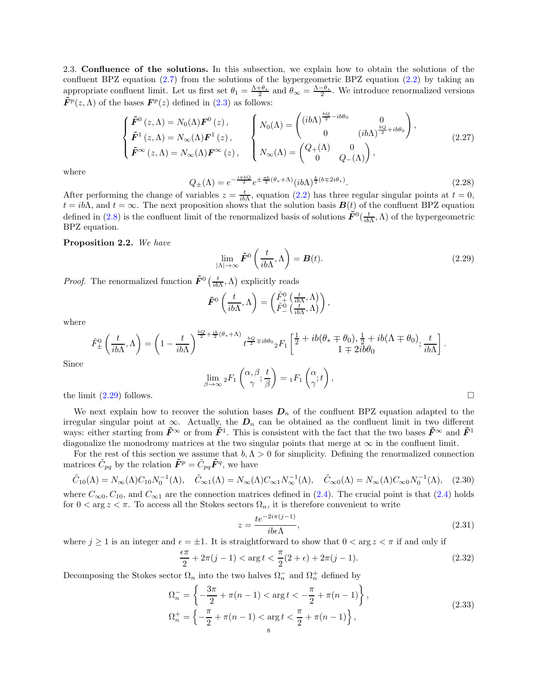<span id="page-7-0"></span>2.3. Confluence of the solutions. In this subsection, we explain how to obtain the solutions of the confluent BPZ equation  $(2.7)$  from the solutions of the hypergeometric BPZ equation  $(2.2)$  by taking an appropriate confluent limit. Let us first set  $\theta_1 = \frac{\Lambda + \theta_*}{2}$  and  $\theta_\infty = \frac{\Lambda - \theta_*}{2}$ . We introduce renormalized versions  $\tilde{F}^p(z,\Lambda)$  of the bases  $F^p(z)$  defined in [\(2.3\)](#page-4-4) as follows:

$$
\begin{cases}\n\tilde{F}^{0}(z,\Lambda) = N_{0}(\Lambda)F^{0}(z), \\
\tilde{F}^{1}(z,\Lambda) = N_{\infty}(\Lambda)F^{1}(z), \\
\tilde{F}^{\infty}(z,\Lambda) = N_{\infty}(\Lambda)F^{\infty}(z),\n\end{cases}\n\begin{cases}\nN_{0}(\Lambda) = \begin{pmatrix}\n(ib\Lambda)^{\frac{bQ}{2} - ib\theta_{0}} & 0 \\
0 & (ib\Lambda)^{\frac{bQ}{2} + ib\theta_{0}}\n\end{pmatrix}, \\
N_{\infty}(\Lambda) = \begin{pmatrix}\nQ_{+}(\Lambda) & 0 \\
0 & Q_{-}(\Lambda)\n\end{pmatrix},\n\end{cases}
$$
\n(2.27)

where

$$
Q_{\pm}(\Lambda) = e^{-\frac{i\pi bQ}{2}} e^{\pm \frac{\pi b}{2}(\theta_* + \Lambda)} (ib\Lambda)^{\frac{b}{2}(b \mp 2i\theta_*)}.
$$
 (2.28)

After performing the change of variables  $z = \frac{t}{ib\Lambda}$ , equation [\(2.2\)](#page-4-2) has three regular singular points at  $t = 0$ ,  $t = ib\Lambda$ , and  $t = \infty$ . The next proposition shows that the solution basis  $\mathbf{B}(t)$  of the confluent BPZ equation defined in [\(2.8\)](#page-5-2) is the confluent limit of the renormalized basis of solutions  $\tilde{F}^0(\frac{t}{ib\Lambda},\Lambda)$  of the hypergeometric BPZ equation.

Proposition 2.2. We have

<span id="page-7-1"></span>
$$
\lim_{|\Lambda| \to \infty} \tilde{F}^0 \left( \frac{t}{ib\Lambda}, \Lambda \right) = B(t). \tag{2.29}
$$

*Proof.* The renormalized function  $\tilde{F}^0\left(\frac{t}{ib\Lambda},\Lambda\right)$  explicitly reads

$$
\tilde{F}^0\left(\frac{t}{ib\Lambda},\Lambda\right) = \begin{pmatrix} \tilde{F}^0_+\left(\frac{t}{ib\Lambda},\Lambda\right) \\ \tilde{F}^0_-\left(\frac{t}{ib\Lambda},\Lambda\right) \end{pmatrix},\,
$$

where

$$
\tilde{F}_{\pm}^{0}\left(\frac{t}{ib\Lambda},\Lambda\right) = \left(1 - \frac{t}{ib\Lambda}\right)^{\frac{bQ}{2} + \frac{ib}{2}(\theta_{*} + \Lambda)} t^{\frac{bQ}{2} \mp ib\theta_{0}} {}_{2}F_{1}\left[\frac{1}{2} + ib(\theta_{*} \mp \theta_{0}), \frac{1}{2} + ib(\Lambda \mp \theta_{0}); \frac{t}{ib\Lambda}\right].
$$

Since

$$
\lim_{\beta \to \infty} {}_2F_1\left(\begin{matrix} \alpha, \beta \\ \gamma \end{matrix}; \frac{t}{\beta}\right) = {}_1F_1\left(\begin{matrix} \alpha \\ \gamma \end{matrix}; t\right),
$$

the limit  $(2.29)$  follows.

We next explain how to recover the solution bases  $D_n$  of the confluent BPZ equation adapted to the irregular singular point at  $\infty$ . Actually, the  $D_n$  can be obtained as the confluent limit in two different ways: either starting from  $\tilde{F}^{\infty}$  or from  $\tilde{F}^{1}$ . This is consistent with the fact that the two bases  $\tilde{F}^{\infty}$  and  $\tilde{F}^{1}$ diagonalize the monodromy matrices at the two singular points that merge at  $\infty$  in the confluent limit.

For the rest of this section we assume that  $b, \Lambda > 0$  for simplicity. Defining the renormalized connection matrices  $\tilde{C}_{pq}$  by the relation  $\tilde{F}^p = \tilde{C}_{pq}\tilde{F}^q$ , we have

<span id="page-7-4"></span>
$$
\tilde{C}_{10}(\Lambda) = N_{\infty}(\Lambda) C_{10} N_0^{-1}(\Lambda), \quad \tilde{C}_{\infty 1}(\Lambda) = N_{\infty}(\Lambda) C_{\infty 1} N_{\infty}^{-1}(\Lambda), \quad \tilde{C}_{\infty 0}(\Lambda) = N_{\infty}(\Lambda) C_{\infty 0} N_0^{-1}(\Lambda), \quad (2.30)
$$

where  $C_{\infty 0}$ ,  $C_{10}$ , and  $C_{\infty 1}$  are the connection matrices defined in [\(2.4\)](#page-4-5). The crucial point is that (2.4) holds for  $0 < \arg z < \pi$ . To access all the Stokes sectors  $\Omega_n$ , it is therefore convenient to write

<span id="page-7-3"></span>
$$
z = \frac{te^{-2i\pi(j-1)}}{ib\epsilon\Lambda},\tag{2.31}
$$

where  $j \ge 1$  is an integer and  $\epsilon = \pm 1$ . It is straightforward to show that  $0 < \arg z < \pi$  if and only if

<span id="page-7-2"></span>
$$
\frac{\epsilon \pi}{2} + 2\pi (j - 1) < \arg t < \frac{\pi}{2} (2 + \epsilon) + 2\pi (j - 1). \tag{2.32}
$$

<span id="page-7-5"></span>Decomposing the Stokes sector  $\Omega_n$  into the two halves  $\Omega_n^-$  and  $\Omega_n^+$  defined by

$$
\Omega_n^- = \left\{ -\frac{3\pi}{2} + \pi(n-1) < \arg t < -\frac{\pi}{2} + \pi(n-1) \right\},\n\Omega_n^+ = \left\{ -\frac{\pi}{2} + \pi(n-1) < \arg t < \frac{\pi}{2} + \pi(n-1) \right\},\n\tag{2.33}
$$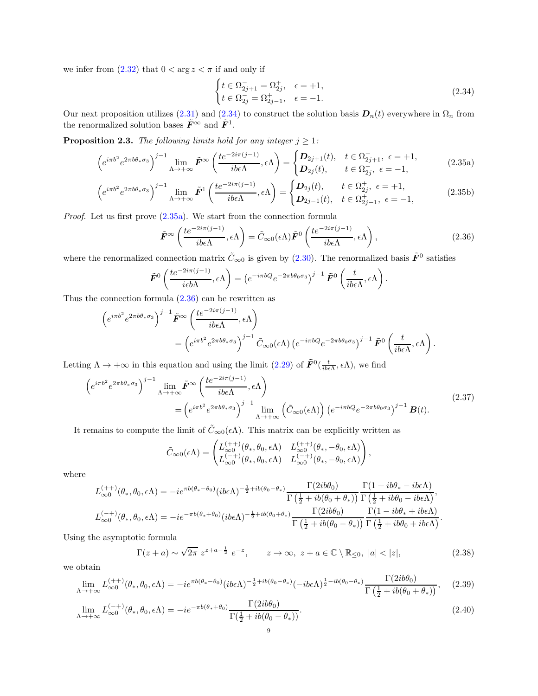we infer from  $(2.32)$  that  $0 < \arg z < \pi$  if and only if

<span id="page-8-7"></span><span id="page-8-4"></span><span id="page-8-1"></span><span id="page-8-0"></span>
$$
\begin{cases} t \in \Omega_{2j+1}^- = \Omega_{2j}^+, & \epsilon = +1, \\ t \in \Omega_{2j}^- = \Omega_{2j-1}^+, & \epsilon = -1. \end{cases}
$$
 (2.34)

Our next proposition utilizes [\(2.31\)](#page-7-3) and [\(2.34\)](#page-8-0) to construct the solution basis  $D_n(t)$  everywhere in  $\Omega_n$  from the renormalized solution bases  $\tilde{F}^{\infty}$  and  $\tilde{F}^{1}$ .

<span id="page-8-6"></span>**Proposition 2.3.** The following limits hold for any integer  $j \geq 1$ :

$$
\left(e^{i\pi b^2}e^{2\pi b\theta_*\sigma_3}\right)^{j-1}\lim_{\Lambda\to+\infty}\tilde{F}^{\infty}\left(\frac{te^{-2i\pi(j-1)}}{ib\epsilon\Lambda},\epsilon\Lambda\right)=\begin{cases}D_{2j+1}(t), & t\in\Omega_{2j+1}^-, \epsilon=+1,\\D_{2j}(t), & t\in\Omega_{2j}^-, \epsilon=-1,\end{cases}
$$
(2.35a)

$$
\left(e^{i\pi b^2}e^{2\pi b\theta_*\sigma_3}\right)^{j-1}\lim_{\Lambda\to+\infty}\tilde{F}^1\left(\frac{te^{-2i\pi(j-1)}}{ib\epsilon\Lambda},\epsilon\Lambda\right)=\begin{cases}D_{2j}(t), & t\in\Omega_{2j}^+,\ \epsilon=+1,\\D_{2j-1}(t), & t\in\Omega_{2j-1}^+,\ \epsilon=-1,\end{cases}
$$
(2.35b)

Proof. Let us first prove [\(2.35a\)](#page-8-1). We start from the connection formula

<span id="page-8-2"></span>
$$
\tilde{F}^{\infty}\left(\frac{te^{-2i\pi(j-1)}}{ib\epsilon\Lambda},\epsilon\Lambda\right) = \tilde{C}_{\infty 0}(\epsilon\Lambda)\tilde{F}^{0}\left(\frac{te^{-2i\pi(j-1)}}{ib\epsilon\Lambda},\epsilon\Lambda\right),\tag{2.36}
$$

where the renormalized connection matrix  $\tilde{C}_{\infty 0}$  is given by [\(2.30\)](#page-7-4). The renormalized basis  $\tilde{F}^0$  satisfies

$$
\tilde{F}^0\left(\frac{te^{-2i\pi(j-1)}}{i\epsilon b\Lambda},\epsilon\Lambda\right) = \left(e^{-i\pi bQ}e^{-2\pi b\theta_0\sigma_3}\right)^{j-1}\tilde{F}^0\left(\frac{t}{ib\epsilon\Lambda},\epsilon\Lambda\right).
$$

Thus the connection formula  $(2.36)$  can be rewritten as

$$
\begin{split} \left(e^{i\pi b^2}e^{2\pi b\theta_*\sigma_3}\right)^{j-1}\tilde{F}^{\infty}\left(\frac{te^{-2i\pi(j-1)}}{ib\epsilon\Lambda},\epsilon\Lambda\right) \\ & = \left(e^{i\pi b^2}e^{2\pi b\theta_*\sigma_3}\right)^{j-1}\tilde{C}_{\infty 0}(\epsilon\Lambda)\left(e^{-i\pi bQ}e^{-2\pi b\theta_0\sigma_3}\right)^{j-1}\tilde{F}^0\left(\frac{t}{ib\epsilon\Lambda},\epsilon\Lambda\right). \end{split}
$$

Letting  $\Lambda \to +\infty$  in this equation and using the limit [\(2.29\)](#page-7-1) of  $\tilde{F}^0(\frac{t}{ib\epsilon\Lambda}, \epsilon\Lambda)$ , we find

<span id="page-8-3"></span>
$$
\left(e^{i\pi b^{2}}e^{2\pi b\theta_{*}\sigma_{3}}\right)^{j-1} \lim_{\Lambda \to +\infty} \tilde{F}^{\infty}\left(\frac{te^{-2i\pi(j-1)}}{ib\epsilon\Lambda}, \epsilon\Lambda\right)
$$
\n
$$
= \left(e^{i\pi b^{2}}e^{2\pi b\theta_{*}\sigma_{3}}\right)^{j-1} \lim_{\Lambda \to +\infty} \left(\tilde{C}_{\infty 0}(\epsilon\Lambda)\right) \left(e^{-i\pi bQ}e^{-2\pi b\theta_{0}\sigma_{3}}\right)^{j-1} \mathbf{B}(t).
$$
\n(2.37)

It remains to compute the limit of  $\tilde{C}_{\infty 0}(\epsilon \Lambda)$ . This matrix can be explicitly written as

$$
\tilde{C}_{\infty 0}(\epsilon \Lambda) = \begin{pmatrix} L_{\infty 0}^{(++)}(\theta_*, \theta_0, \epsilon \Lambda) & L_{\infty 0}^{(++)}(\theta_*, -\theta_0, \epsilon \Lambda) \\ L_{\infty 0}^{(-+)}(\theta_*, \theta_0, \epsilon \Lambda) & L_{\infty 0}^{(-+)}(\theta_*, -\theta_0, \epsilon \Lambda) \end{pmatrix},
$$

where

$$
L_{\infty 0}^{(++)}(\theta_*, \theta_0, \epsilon \Lambda) = -ie^{\pi b(\theta_*-\theta_0)}(ib\epsilon \Lambda)^{-\frac{1}{2}+ib(\theta_0-\theta_*)} \frac{\Gamma(2ib\theta_0)}{\Gamma(\frac{1}{2}+ib(\theta_0+\theta_*))} \frac{\Gamma(1+ib\theta_*-ib\epsilon \Lambda)}{\Gamma(\frac{1}{2}+ib\theta_0-ib\epsilon \Lambda)},
$$
  

$$
L_{\infty 0}^{(-+)}(\theta_*, \theta_0, \epsilon \Lambda) = -ie^{-\pi b(\theta_*+\theta_0)}(ib\epsilon \Lambda)^{-\frac{1}{2}+ib(\theta_0+\theta_*)} \frac{\Gamma(2ib\theta_0)}{\Gamma(\frac{1}{2}+ib(\theta_0-\theta_*))} \frac{\Gamma(1-ib\theta_*+ib\epsilon \Lambda)}{\Gamma(\frac{1}{2}+ib\theta_0+ib\epsilon \Lambda)}.
$$

Using the asymptotic formula

<span id="page-8-5"></span>
$$
\Gamma(z+a) \sim \sqrt{2\pi} \ z^{z+a-\frac{1}{2}} \ e^{-z}, \qquad z \to \infty, \ z+a \in \mathbb{C} \setminus \mathbb{R}_{\leq 0}, \ |a| < |z|,
$$
\n
$$
(2.38)
$$

we obtain

$$
\lim_{\Lambda \to +\infty} L_{\infty 0}^{(++)}(\theta_*, \theta_0, \epsilon \Lambda) = -ie^{\pi b(\theta_*-\theta_0)}(ib\epsilon \Lambda)^{-\frac{1}{2}+ib(\theta_0-\theta_*)}(-ib\epsilon \Lambda)^{\frac{1}{2}-ib(\theta_0-\theta_*)} \frac{\Gamma(2ib\theta_0)}{\Gamma(\frac{1}{2}+ib(\theta_0+\theta_*))},\tag{2.39}
$$

$$
\lim_{\Lambda \to +\infty} L_{\infty 0}^{(-+)}(\theta_*, \theta_0, \epsilon \Lambda) = -ie^{-\pi b(\theta_* + \theta_0)} \frac{\Gamma(2ib\theta_0)}{\Gamma(\frac{1}{2} + ib(\theta_0 - \theta_*))}.
$$
\n(2.40)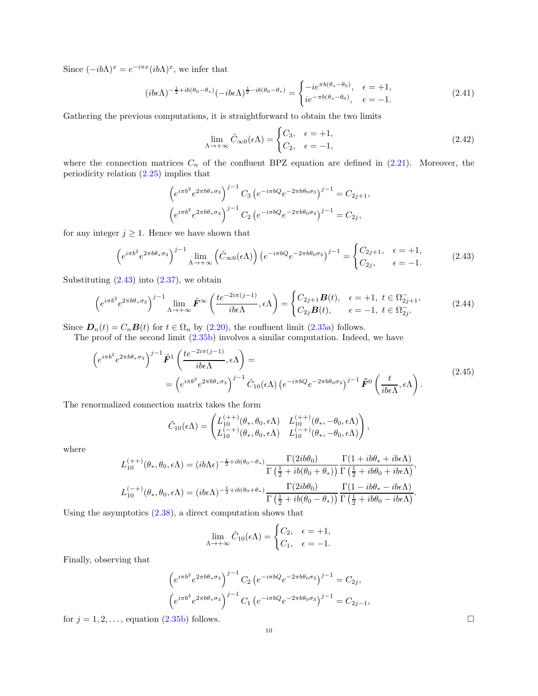Since  $(-ib\Lambda)^x = e^{-i\pi x} (ib\Lambda)^x$ , we infer that

$$
(ib\epsilon\Lambda)^{-\frac{1}{2}+ib(\theta_0-\theta_*)}(-ib\epsilon\Lambda)^{\frac{1}{2}-ib(\theta_0-\theta_*)} = \begin{cases} -ie^{\pi b(\theta_*-\theta_0)}, & \epsilon = +1, \\ ie^{-\pi b(\theta_*-\theta_0)}, & \epsilon = -1. \end{cases}
$$
(2.41)

Gathering the previous computations, it is straightforward to obtain the two limits

$$
\lim_{\Lambda \to +\infty} \tilde{C}_{\infty 0}(\epsilon \Lambda) = \begin{cases} C_3, & \epsilon = +1, \\ C_2, & \epsilon = -1, \end{cases}
$$
 (2.42)

where the connection matrices  $C_n$  of the confluent BPZ equation are defined in  $(2.21)$ . Moreover, the periodicity relation [\(2.25\)](#page-6-4) implies that

$$
\left(e^{i\pi b^2}e^{2\pi b\theta_*\sigma_3}\right)^{j-1}C_3\left(e^{-i\pi bQ}e^{-2\pi b\theta_0\sigma_3}\right)^{j-1} = C_{2j+1},
$$

$$
\left(e^{i\pi b^2}e^{2\pi b\theta_*\sigma_3}\right)^{j-1}C_2\left(e^{-i\pi bQ}e^{-2\pi b\theta_0\sigma_3}\right)^{j-1} = C_{2j},
$$

for any integer  $j \geq 1$ . Hence we have shown that

<span id="page-9-0"></span>
$$
\left(e^{i\pi b^2}e^{2\pi b\theta_*\sigma_3}\right)^{j-1}\lim_{\Lambda\to+\infty}\left(\tilde{C}_{\infty 0}(\epsilon\Lambda)\right)\left(e^{-i\pi bQ}e^{-2\pi b\theta_0\sigma_3}\right)^{j-1} = \begin{cases}C_{2j+1}, & \epsilon = +1,\\C_{2j}, & \epsilon = -1.\end{cases}
$$
(2.43)

Substituting  $(2.43)$  into  $(2.37)$ , we obtain

$$
\left(e^{i\pi b^2}e^{2\pi b\theta_*\sigma_3}\right)^{j-1}\lim_{\Lambda\to+\infty}\tilde{F}^{\infty}\left(\frac{te^{-2i\pi(j-1)}}{ib\epsilon\Lambda},\epsilon\Lambda\right)=\begin{cases}C_{2j+1}B(t), & \epsilon=+1, \ t\in\Omega_{2j+1}^-,\\C_{2j}B(t), & \epsilon=-1, \ t\in\Omega_{2j}^-. \end{cases}
$$
(2.44)

Since  $\mathbf{D}_n(t) = C_n \mathbf{B}(t)$  for  $t \in \Omega_n$  by [\(2.20\)](#page-6-3), the confluent limit [\(2.35a\)](#page-8-1) follows.

The proof of the second limit [\(2.35b\)](#page-8-4) involves a similar computation. Indeed, we have

$$
\left(e^{i\pi b^{2}}e^{2\pi b\theta_{*}\sigma_{3}}\right)^{j-1}\tilde{F}^{1}\left(\frac{te^{-2i\pi(j-1)}}{ib\epsilon\Lambda},\epsilon\Lambda\right) =\n= \left(e^{i\pi b^{2}}e^{2\pi b\theta_{*}\sigma_{3}}\right)^{j-1}\tilde{C}_{10}(\epsilon\Lambda)\left(e^{-i\pi bQ}e^{-2\pi b\theta_{0}\sigma_{3}}\right)^{j-1}\tilde{F}^{0}\left(\frac{t}{ib\epsilon\Lambda},\epsilon\Lambda\right).
$$
\n(2.45)

The renormalized connection matrix takes the form

$$
\tilde{C}_{10}(\epsilon \Lambda) = \begin{pmatrix} L_{10}^{(++)}(\theta_*, \theta_0, \epsilon \Lambda) & L_{10}^{(++)}(\theta_*, -\theta_0, \epsilon \Lambda) \\ L_{10}^{(-+)}(\theta_*, \theta_0, \epsilon \Lambda) & L_{10}^{(-+)}(\theta_*, -\theta_0, \epsilon \Lambda) \end{pmatrix},
$$

where

$$
L_{10}^{(++)}(\theta_*, \theta_0, \epsilon \Lambda) = (ib\Lambda \epsilon)^{-\frac{1}{2}+ib(\theta_0-\theta_*)} \frac{\Gamma(2ib\theta_0)}{\Gamma(\frac{1}{2}+ib(\theta_0+\theta_*))} \frac{\Gamma(1+ib\theta_*+ib\epsilon \Lambda)}{\Gamma(\frac{1}{2}+ib\theta_0+ib\epsilon \Lambda)},
$$
  

$$
L_{10}^{(-+)}(\theta_*, \theta_0, \epsilon \Lambda) = (ib\epsilon \Lambda)^{-\frac{1}{2}+ib(\theta_0+\theta_*)} \frac{\Gamma(2ib\theta_0)}{\Gamma(\frac{1}{2}+ib(\theta_0-\theta_*))} \frac{\Gamma(1-ib\theta_*-ib\epsilon \Lambda)}{\Gamma(\frac{1}{2}+ib\theta_0-ib\epsilon \Lambda)}.
$$

Using the asymptotics  $(2.38)$ , a direct computation shows that

$$
\lim_{\Lambda \to +\infty} \tilde{C}_{10}(\epsilon \Lambda) = \begin{cases} C_2, & \epsilon = +1, \\ C_1, & \epsilon = -1. \end{cases}
$$

Finally, observing that

$$
\left(e^{i\pi b^2}e^{2\pi b\theta_*\sigma_3}\right)^{j-1}C_2\left(e^{-i\pi bQ}e^{-2\pi b\theta_0\sigma_3}\right)^{j-1} = C_{2j},
$$

$$
\left(e^{i\pi b^2}e^{2\pi b\theta_*\sigma_3}\right)^{j-1}C_1\left(e^{-i\pi bQ}e^{-2\pi b\theta_0\sigma_3}\right)^{j-1} = C_{2j-1},
$$

for  $j = 1, 2, \ldots$ , equation  $(2.35b)$  follows.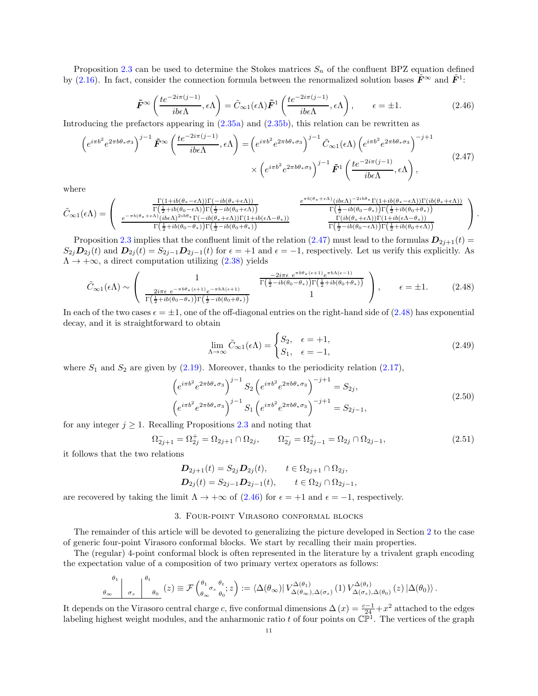Proposition [2.3](#page-8-6) can be used to determine the Stokes matrices  $S_n$  of the confluent BPZ equation defined by [\(2.16\)](#page-5-3). In fact, consider the connection formula between the renormalized solution bases  $\tilde{F}^{\infty}$  and  $\tilde{F}^{1}$ :

<span id="page-10-3"></span>
$$
\tilde{F}^{\infty}\left(\frac{te^{-2i\pi(j-1)}}{ib\epsilon\Lambda},\epsilon\Lambda\right) = \tilde{C}_{\infty 1}(\epsilon\Lambda)\tilde{F}^{1}\left(\frac{te^{-2i\pi(j-1)}}{ib\epsilon\Lambda},\epsilon\Lambda\right), \qquad \epsilon = \pm 1.
$$
\n(2.46)

Introducing the prefactors appearing in [\(2.35a\)](#page-8-1) and [\(2.35b\)](#page-8-4), this relation can be rewritten as

<span id="page-10-1"></span>
$$
\left(e^{i\pi b^{2}}e^{2\pi b\theta_{*}\sigma_{3}}\right)^{j-1}\tilde{F}^{\infty}\left(\frac{te^{-2i\pi(j-1)}}{ib\epsilon\Lambda},\epsilon\Lambda\right) = \left(e^{i\pi b^{2}}e^{2\pi b\theta_{*}\sigma_{3}}\right)^{j-1}\tilde{C}_{\infty 1}(\epsilon\Lambda)\left(e^{i\pi b^{2}}e^{2\pi b\theta_{*}\sigma_{3}}\right)^{-j+1} \times \left(e^{i\pi b^{2}}e^{2\pi b\theta_{*}\sigma_{3}}\right)^{j-1}\tilde{F}^{1}\left(\frac{te^{-2i\pi(j-1)}}{ib\epsilon\Lambda},\epsilon\Lambda\right),
$$
\n(2.47)

where

$$
\tilde{C}_{\infty 1}(\epsilon \Lambda) = \begin{pmatrix}\n\frac{\Gamma(1+ib(\theta_{*}-\epsilon \Lambda))\Gamma(-ib(\theta_{*}+\epsilon \Lambda))}{\Gamma(\frac{1}{2}+ib(\theta_{0}-\epsilon \Lambda))\Gamma(\frac{1}{2}-ib(\theta_{0}+\epsilon \Lambda))} & \frac{e^{\pi b(\theta_{*}+\epsilon \Lambda)}(ib\epsilon \Lambda)^{-2ib\theta_{*}}\Gamma(1+ib(\theta_{*}-\epsilon \Lambda))\Gamma(ib(\theta_{*}+\epsilon \Lambda))}{\Gamma(\frac{1}{2}+ib(\theta_{0}-\theta_{*}))\Gamma(\frac{1}{2}-ib(\theta_{0}+\epsilon \Lambda))\Gamma(1+ib(\epsilon \Lambda-\theta_{*}))} & \frac{e^{\pi b(\theta_{*}+\epsilon \Lambda)}(ib\epsilon \Lambda)^{-2ib\theta_{*}}\Gamma(1+ib(\theta_{*}-\epsilon \Lambda))\Gamma(ib(\theta_{*}+\epsilon \Lambda))}{\Gamma(\frac{1}{2}-ib(\theta_{0}-\theta_{*}))\Gamma(\frac{1}{2}+ib(\theta_{0}+\theta_{*}))} \\
\frac{E_{\infty 1}(\epsilon \Lambda)}{\Gamma(\frac{1}{2}-ib(\theta_{0}-\epsilon \Lambda))\Gamma(\frac{1}{2}+ib(\theta_{0}+\epsilon \Lambda))} & \frac{E_{\infty 1}(\epsilon \Lambda)^{-2ib\theta_{*}}\Gamma(1+ib(\epsilon \Lambda-\theta_{*}))}{\Gamma(\frac{1}{2}-ib(\theta_{0}-\epsilon \Lambda))\Gamma(\frac{1}{2}+ib(\theta_{0}+\epsilon \Lambda))} \\
\frac{E_{\infty 1}(\epsilon \Lambda)^{-2ib\theta_{*}}\Gamma(1+ib(\epsilon \Lambda-\theta_{*}))}{\Gamma(\frac{1}{2}-ib(\theta_{0}-\epsilon \Lambda))\Gamma(\frac{1}{2}+ib(\theta_{0}+\epsilon \Lambda))} & \frac{E_{\infty 1}(\epsilon \Lambda)^{-2ib\theta_{*}}\Gamma(1+ib(\epsilon \Lambda-\theta_{*}))}{\Gamma(\frac{1}{2}-ib(\theta_{0}-\epsilon \Lambda))\Gamma(\frac{1}{2}+ib(\theta_{0}+\epsilon \Lambda))} \\
\frac{E_{\infty 1}(\epsilon \Lambda)^{-2ib\theta_{*}}\Gamma(1+ib(\epsilon \Lambda-\theta_{*})}{\Gamma(\frac{1}{2}-ib(\theta_{0}-\epsilon \Lambda))\Gamma(\frac{1}{2}+ib(\theta_{0}+\epsilon \Lambda))} & \frac{E_{\infty 1}(\epsilon \Lambda)^{-2ib\theta_{*}}\Gamma(1+ib(\epsilon \Lambda-\theta_{*})
$$

Proposition [2.3](#page-8-6) implies that the confluent limit of the relation [\(2.47\)](#page-10-1) must lead to the formulas  $D_{2j+1}(t)$  =  $S_{2j}D_{2j}(t)$  and  $D_{2j}(t) = S_{2j-1}D_{2j-1}(t)$  for  $\epsilon = +1$  and  $\epsilon = -1$ , respectively. Let us verify this explicitly. As  $\Lambda \rightarrow +\infty$ , a direct computation utilizing [\(2.38\)](#page-8-5) yields

$$
\tilde{C}_{\infty 1}(\epsilon \Lambda) \sim \begin{pmatrix} 1 & -2i\pi\epsilon \ e^{\pi b\theta + (\epsilon+1)} e^{\pi b\Lambda(\epsilon-1)} \\ \frac{2i\pi\epsilon \ e^{-\pi b\theta + (\epsilon+1)} e^{-\pi b\Lambda(\epsilon+1)}}{\Gamma(\frac{1}{2} + ib(\theta_0 - \theta_*))\Gamma(\frac{1}{2} - ib(\theta_0 + \theta_*))} & 1 \end{pmatrix}, \qquad \epsilon = \pm 1. \tag{2.48}
$$

In each of the two cases  $\epsilon = \pm 1$ , one of the off-diagonal entries on the right-hand side of [\(2.48\)](#page-10-2) has exponential decay, and it is straightforward to obtain

<span id="page-10-2"></span>
$$
\lim_{\Lambda \to \infty} \tilde{C}_{\infty 1}(\epsilon \Lambda) = \begin{cases} S_2, & \epsilon = +1, \\ S_1, & \epsilon = -1, \end{cases}
$$
\n(2.49)

where  $S_1$  and  $S_2$  are given by [\(2.19\)](#page-6-0). Moreover, thanks to the periodicity relation [\(2.17\)](#page-5-4),

$$
\left(e^{i\pi b^{2}}e^{2\pi b\theta_{*}\sigma_{3}}\right)^{j-1}S_{2}\left(e^{i\pi b^{2}}e^{2\pi b\theta_{*}\sigma_{3}}\right)^{-j+1} = S_{2j},
$$
\n
$$
\left(e^{i\pi b^{2}}e^{2\pi b\theta_{*}\sigma_{3}}\right)^{j-1}S_{1}\left(e^{i\pi b^{2}}e^{2\pi b\theta_{*}\sigma_{3}}\right)^{-j+1} = S_{2j-1},
$$
\n(2.50)

for any integer  $j \geq 1$ . Recalling Propositions [2.3](#page-8-6) and noting that

$$
\Omega_{2j+1}^- = \Omega_{2j}^+ = \Omega_{2j+1} \cap \Omega_{2j}, \qquad \Omega_{2j}^- = \Omega_{2j-1}^+ = \Omega_{2j} \cap \Omega_{2j-1},
$$
\n(2.51)

it follows that the two relations

$$
D_{2j+1}(t) = S_{2j}D_{2j}(t), \t t \in \Omega_{2j+1} \cap \Omega_{2j},
$$
  
\n
$$
D_{2j}(t) = S_{2j-1}D_{2j-1}(t), \t t \in \Omega_{2j} \cap \Omega_{2j-1},
$$

<span id="page-10-0"></span>are recovered by taking the limit  $\Lambda \to +\infty$  of [\(2.46\)](#page-10-3) for  $\epsilon = +1$  and  $\epsilon = -1$ , respectively.

### 3. Four-point Virasoro conformal blocks

The remainder of this article will be devoted to generalizing the picture developed in Section [2](#page-3-1) to the case of generic four-point Virasoro conformal blocks. We start by recalling their main properties.

The (regular) 4-point conformal block is often represented in the literature by a trivalent graph encoding the expectation value of a composition of two primary vertex operators as follows:

$$
\frac{\theta_1}{\theta_\infty}\bigg|_{\sigma_s}\bigg|_{\theta_0}\bigg|_{\theta_0}\bigg(z\bigg)\equiv\mathcal{F}\left(\frac{\theta_1}{\theta_\infty}\sigma_s\frac{\theta_t}{\theta_0};z\right):=\langle\Delta(\theta_\infty)|V_{\Delta(\theta_\infty),\Delta(\sigma_s)}^{\Delta(\theta_1)}(1)V_{\Delta(\sigma_s),\Delta(\theta_0)}^{\Delta(\theta_t)}(z)|\Delta(\theta_0)\rangle.
$$

It depends on the Virasoro central charge c, five conformal dimensions  $\Delta(x) = \frac{c-1}{24} + x^2$  attached to the edges labeling highest weight modules, and the anharmonic ratio t of four points on  $\mathbb{CP}^1$ . The vertices of the graph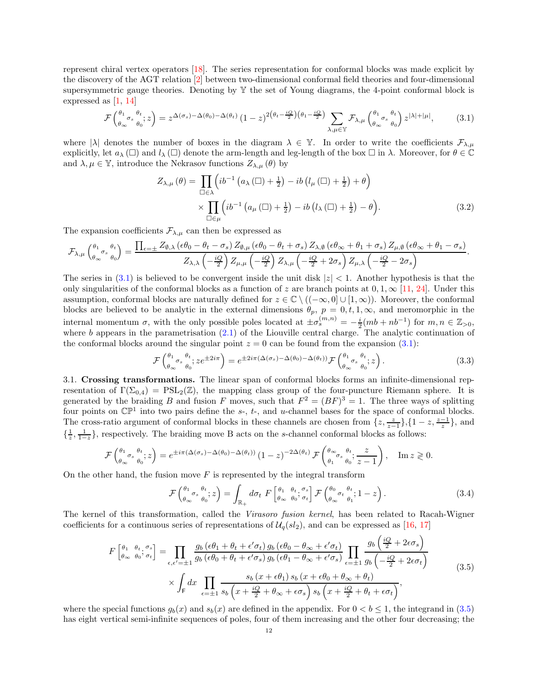represent chiral vertex operators [\[18\]](#page-29-10). The series representation for conformal blocks was made explicit by the discovery of the AGT relation [\[2](#page-29-2)] between two-dimensional conformal field theories and four-dimensional supersymmetric gauge theories. Denoting by  $\mathbb{Y}$  the set of Young diagrams, the 4-point conformal block is expressed as [\[1,](#page-29-11) [14\]](#page-29-12)

<span id="page-11-1"></span>
$$
\mathcal{F}\left(\begin{matrix}\n\theta_1 & \theta_1 \\
\theta_\infty & \theta_0\n\end{matrix}; z\right) = z^{\Delta(\sigma_s) - \Delta(\theta_0) - \Delta(\theta_t)} \left(1 - z\right)^{2\left(\theta_t - \frac{iQ}{2}\right)\left(\theta_1 - \frac{iQ}{2}\right)} \sum_{\lambda, \mu \in \mathbb{Y}} \mathcal{F}_{\lambda, \mu} \left(\begin{matrix}\n\theta_1 & \theta_1 \\
\theta_\infty & \theta_0\n\end{matrix}; z^{|\lambda| + |\mu|},\n\tag{3.1}
$$

where  $|\lambda|$  denotes the number of boxes in the diagram  $\lambda \in \mathbb{Y}$ . In order to write the coefficients  $\mathcal{F}_{\lambda,\mu}$ explicitly, let  $a_\lambda(\Box)$  and  $l_\lambda(\Box)$  denote the arm-length and leg-length of the box  $\Box$  in  $\lambda$ . Moreover, for  $\theta \in \mathbb{C}$ and  $\lambda, \mu \in \mathbb{Y}$ , introduce the Nekrasov functions  $Z_{\lambda,\mu}(\theta)$  by

<span id="page-11-3"></span>
$$
Z_{\lambda,\mu}(\theta) = \prod_{\square \in \lambda} \left( i b^{-1} \left( a_{\lambda}(\square) + \frac{1}{2} \right) - i b \left( l_{\mu}(\square) + \frac{1}{2} \right) + \theta \right) \times \prod_{\square \in \mu} \left( i b^{-1} \left( a_{\mu}(\square) + \frac{1}{2} \right) - i b \left( l_{\lambda}(\square) + \frac{1}{2} \right) - \theta \right).
$$
 (3.2)

The expansion coefficients  $\mathcal{F}_{\lambda,\mu}$  can then be expressed as

$$
\mathcal{F}_{\lambda,\mu} \begin{pmatrix} \theta_1 & \theta_t \\ \theta_\infty & \theta_0 \end{pmatrix} = \frac{\prod_{\epsilon=\pm} Z_{\emptyset,\lambda} \left(\epsilon \theta_0 - \theta_t - \sigma_s\right) Z_{\emptyset,\mu} \left(\epsilon \theta_0 - \theta_t + \sigma_s\right) Z_{\lambda,\emptyset} \left(\epsilon \theta_\infty + \theta_1 + \sigma_s\right) Z_{\mu,\emptyset} \left(\epsilon \theta_\infty + \theta_1 - \sigma_s\right)}{Z_{\lambda,\lambda} \left(-\frac{iQ}{2}\right) Z_{\mu,\mu} \left(-\frac{iQ}{2}\right) Z_{\lambda,\mu} \left(-\frac{iQ}{2} + 2\sigma_s\right) Z_{\mu,\lambda} \left(-\frac{iQ}{2} - 2\sigma_s\right)}.
$$

The series in  $(3.1)$  is believed to be convergent inside the unit disk  $|z| < 1$ . Another hypothesis is that the only singularities of the conformal blocks as a function of z are branch points at  $0, 1, \infty$  [\[11](#page-29-13), [24\]](#page-29-14). Under this assumption, conformal blocks are naturally defined for  $z \in \mathbb{C} \setminus ((-\infty,0] \cup [1,\infty))$ . Moreover, the conformal blocks are believed to be analytic in the external dimensions  $\theta_p$ ,  $p = 0, t, 1, \infty$ , and meromorphic in the internal momentum  $\sigma$ , with the only possible poles located at  $\pm \sigma_s^{(m,n)} = -\frac{i}{2}(mb + nb^{-1})$  for  $m, n \in \mathbb{Z}_{>0}$ , where b appears in the parametrisation  $(2.1)$  of the Liouville central charge. The analytic continuation of the conformal blocks around the singular point  $z = 0$  can be found from the expansion [\(3.1\)](#page-11-1):

<span id="page-11-4"></span>
$$
\mathcal{F}\begin{pmatrix} \theta_1 & \theta_1 \\ \theta_\infty & \theta_0 \end{pmatrix}; ze^{\pm 2i\pi} \Big) = e^{\pm 2i\pi (\Delta(\sigma_s) - \Delta(\theta_0) - \Delta(\theta_t))} \mathcal{F}\begin{pmatrix} \theta_1 & \theta_1 \\ \theta_\infty & \theta_0 \end{pmatrix}; z \Big).
$$
 (3.3)

<span id="page-11-0"></span>3.1. Crossing transformations. The linear span of conformal blocks forms an infinite-dimensional representation of  $\Gamma(\Sigma_{0,4}) = \text{PSL}_2(\mathbb{Z})$ , the mapping class group of the four-puncture Riemann sphere. It is generated by the braiding B and fusion F moves, such that  $F^2 = (BF)^3 = 1$ . The three ways of splitting four points on  $\mathbb{CP}^1$  into two pairs define the s-, t-, and u-channel bases for the space of conformal blocks. The cross-ratio argument of conformal blocks in these channels are chosen from  $\{z, \frac{z}{z-1}\}, \{1-z, \frac{z-1}{z}\},$  and  $\{\frac{1}{z}, \frac{1}{1-z}\}\$ , respectively. The braiding move B acts on the s-channel conformal blocks as follows:

$$
\mathcal{F}\begin{pmatrix} \theta_1 & \theta_1 \\ \theta_\infty & \theta_0 \end{pmatrix} = e^{\pm i\pi (\Delta(\sigma_s) - \Delta(\theta_0) - \Delta(\theta_t))} (1-z)^{-2\Delta(\theta_t)} \mathcal{F}\begin{pmatrix} \theta_\infty & \theta_t \\ \theta_1 & \theta_0 \end{pmatrix} \frac{z}{z-1}, \quad \text{Im } z \geq 0.
$$

On the other hand, the fusion move  $F$  is represented by the integral transform

$$
\mathcal{F}\begin{pmatrix} \theta_1 & \theta_t \\ \theta_\infty & \theta_0 \end{pmatrix} = \int_{\mathbb{R}_+} d\sigma_t \ F\begin{bmatrix} \theta_1 & \theta_t & \sigma_s \\ \theta_\infty & \theta_0 & \sigma_t \end{bmatrix} \mathcal{F}\begin{pmatrix} \theta_0 & \theta_t \\ \theta_\infty & \theta_1 \end{pmatrix} \tag{3.4}
$$

The kernel of this transformation, called the Virasoro fusion kernel, has been related to Racah-Wigner coefficients for a continuous series of representations of  $\mathcal{U}_q(sl_2)$ , and can be expressed as [\[16,](#page-29-15) [17\]](#page-29-16)

$$
F\begin{bmatrix} \theta_1 & \theta_t & \sigma_s \\ \theta_\infty & \theta_0 & \sigma_t \end{bmatrix} = \prod_{\epsilon,\epsilon'= \pm 1} \frac{g_b\left(\epsilon\theta_1 + \theta_t + \epsilon'\sigma_t\right)g_b\left(\epsilon\theta_0 - \theta_\infty + \epsilon'\sigma_t\right)}{g_b\left(\epsilon\theta_0 + \theta_t + \epsilon'\sigma_s\right)g_b\left(\epsilon\theta_1 - \theta_\infty + \epsilon'\sigma_s\right)} \prod_{\epsilon=\pm 1} \frac{g_b\left(\frac{iQ}{2} + 2\epsilon\sigma_s\right)}{g_b\left(-\frac{iQ}{2} + 2\epsilon\sigma_t\right)} \times \int_{\mathsf{F}} dx \prod_{\epsilon=\pm 1} \frac{s_b\left(x + \epsilon\theta_1\right)s_b\left(x + \epsilon\theta_0 + \theta_\infty + \theta_t\right)}{s_b\left(x + \frac{iQ}{2} + \theta_\infty + \epsilon\sigma_s\right)s_b\left(x + \frac{iQ}{2} + \theta_t + \epsilon\sigma_t\right)},\tag{3.5}
$$

<span id="page-11-2"></span>where the special functions  $g_b(x)$  and  $s_b(x)$  are defined in the appendix. For  $0 < b \le 1$ , the integrand in [\(3.5\)](#page-11-2) has eight vertical semi-infinite sequences of poles, four of them increasing and the other four decreasing; the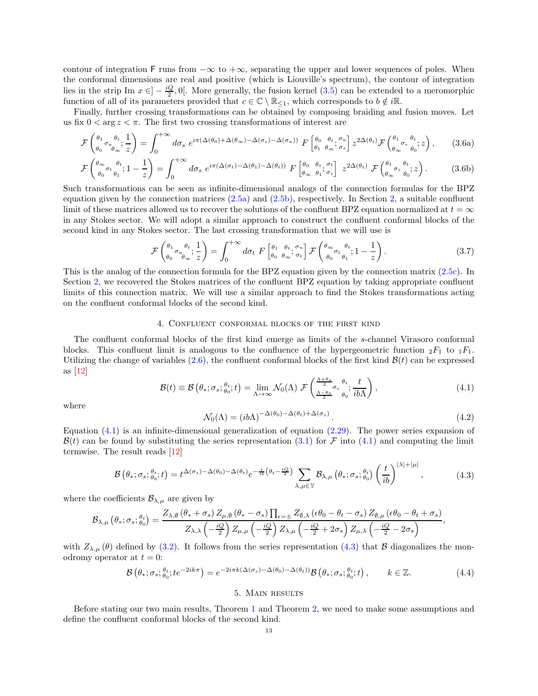contour of integration F runs from  $-\infty$  to  $+\infty$ , separating the upper and lower sequences of poles. When the conformal dimensions are real and positive (which is Liouville's spectrum), the contour of integration lies in the strip Im  $x \in ]-\frac{iQ}{2},0[$ . More generally, the fusion kernel  $(3.5)$  can be extended to a meromorphic function of all of its parameters provided that  $c \in \mathbb{C} \setminus \mathbb{R}_{\leq 1}$ , which corresponds to  $b \notin i\mathbb{R}$ .

Finally, further crossing transformations can be obtained by composing braiding and fusion moves. Let us fix  $0 < \arg z < \pi$ . The first two crossing transformations of interest are

$$
\mathcal{F}\begin{pmatrix} \theta_1 & \theta_t \\ \theta_0 & \theta_\infty \end{pmatrix} = \int_0^{+\infty} d\sigma_s \ e^{i\pi(\Delta(\theta_0) + \Delta(\theta_\infty) - \Delta(\sigma_s) - \Delta(\sigma_u))} F\begin{bmatrix} \theta_0 & \theta_t & \sigma_u \\ \theta_1 & \theta_\infty & \sigma_s \end{bmatrix} z^{2\Delta(\theta_t)} \mathcal{F}\begin{pmatrix} \theta_1 & \sigma_s & \theta_t \\ \theta_\infty & \theta_0 & \sigma_s \end{pmatrix}, \tag{3.6a}
$$

$$
\mathcal{F}\begin{pmatrix} \theta_{\infty} & \theta_t \\ \theta_0 & \theta_1 \end{pmatrix} = \int_0^{+\infty} d\sigma_s \ e^{i\pi(\Delta(\sigma_t) - \Delta(\theta_1) - \Delta(\theta_t))} F\begin{bmatrix} \theta_0 & \theta_t \\ \theta_{\infty} & \theta_1 \end{bmatrix} z^{2\Delta(\theta_t)} \mathcal{F}\begin{pmatrix} \theta_1 & \theta_t \\ \theta_{\infty} & \theta_0 \end{pmatrix} z \tag{3.6b}
$$

Such transformations can be seen as infinite-dimensional analogs of the connection formulas for the BPZ equation given by the connection matrices [\(2.5a\)](#page-4-6) and [\(2.5b\)](#page-4-7), respectively. In Section [2,](#page-3-1) a suitable confluent limit of these matrices allowed us to recover the solutions of the confluent BPZ equation normalized at  $t = \infty$ in any Stokes sector. We will adopt a similar approach to construct the confluent conformal blocks of the second kind in any Stokes sector. The last crossing transformation that we will use is

<span id="page-12-9"></span><span id="page-12-7"></span><span id="page-12-6"></span><span id="page-12-5"></span>
$$
\mathcal{F}\begin{pmatrix} \theta_1 & \theta_t & 1 \\ \theta_0 & \theta_\infty & z \end{pmatrix} = \int_0^{+\infty} d\sigma_t \ F\begin{bmatrix} \theta_1 & \theta_t & \sigma_u \\ \theta_0 & \theta_\infty & \sigma_t \end{bmatrix} \mathcal{F}\begin{pmatrix} \theta_\infty & \theta_t \\ \theta_0 & \theta_1 & z \end{pmatrix}.
$$
 (3.7)

This is the analog of the connection formula for the BPZ equation given by the connection matrix [\(2.5c\)](#page-4-8). In Section [2,](#page-3-1) we recovered the Stokes matrices of the confluent BPZ equation by taking appropriate confluent limits of this connection matrix. We will use a similar approach to find the Stokes transformations acting on the confluent conformal blocks of the second kind.

# 4. Confluent conformal blocks of the first kind

<span id="page-12-0"></span>The confluent conformal blocks of the first kind emerge as limits of the s-channel Virasoro conformal blocks. This confluent limit is analogous to the confluence of the hypergeometric function  ${}_2F_1$  to  ${}_1F_1$ . Utilizing the change of variables  $(2.6)$ , the confluent conformal blocks of the first kind  $\mathcal{B}(t)$  can be expressed as [\[12\]](#page-29-8)

<span id="page-12-2"></span>
$$
\mathcal{B}(t) \equiv \mathcal{B}\left(\theta_*; \sigma_s; \frac{\theta_t}{\theta_0}; t\right) = \lim_{\Lambda \to \infty} \mathcal{N}_0(\Lambda) \; \mathcal{F}\left(\frac{\frac{\Lambda + \theta_*}{2}}{2} \sigma_s \frac{\theta_t}{\theta_0}; \frac{t}{ib\Lambda}\right),\tag{4.1}
$$

where

<span id="page-12-4"></span>
$$
\mathcal{N}_0(\Lambda) = (ib\Lambda)^{-\Delta(\theta_0) - \Delta(\theta_t) + \Delta(\sigma_s)}.
$$
\n(4.2)

Equation  $(4.1)$  is an infinite-dimensional generalization of equation  $(2.29)$ . The power series expansion of  $\mathcal{B}(t)$  can be found by substituting the series representation [\(3.1\)](#page-11-1) for F into [\(4.1\)](#page-12-2) and computing the limit termwise. The result reads [\[12\]](#page-29-8)

$$
\mathcal{B}\left(\theta_{*};\sigma_{s};\theta_{0}^{t};t\right)=t^{\Delta(\sigma_{s})-\Delta(\theta_{0})-\Delta(\theta_{t})}e^{-\frac{t}{ib}\left(\theta_{t}-\frac{iQ}{2}\right)}\sum_{\lambda,\mu\in\mathbb{Y}}\mathcal{B}_{\lambda,\mu}\left(\theta_{*};\sigma_{s};\theta_{0}^{t}\right)\left(\frac{t}{ib}\right)^{|\lambda|+|\mu|},\tag{4.3}
$$

<span id="page-12-3"></span>where the coefficients  $\mathcal{B}_{\lambda,\mu}$  are given by

$$
\mathcal{B}_{\lambda,\mu}\left(\theta_{*};\sigma_{s};\frac{\theta_{t}}{\theta_{0}}\right)=\frac{Z_{\lambda,\emptyset}\left(\theta_{*}+\sigma_{s}\right)Z_{\mu,\emptyset}\left(\theta_{*}-\sigma_{s}\right)\prod_{\epsilon=\pm}Z_{\emptyset,\lambda}\left(\epsilon\theta_{0}-\theta_{t}-\sigma_{s}\right)Z_{\emptyset,\mu}\left(\epsilon\theta_{0}-\theta_{t}+\sigma_{s}\right)}{Z_{\lambda,\lambda}\left(-\frac{iQ}{2}\right)Z_{\mu,\mu}\left(-\frac{iQ}{2}\right)Z_{\lambda,\mu}\left(-\frac{iQ}{2}+2\sigma_{s}\right)Z_{\mu,\lambda}\left(-\frac{iQ}{2}-2\sigma_{s}\right)},
$$

with  $Z_{\lambda,\mu}(\theta)$  defined by [\(3.2\)](#page-11-3). It follows from the series representation [\(4.3\)](#page-12-3) that B diagonalizes the monodromy operator at  $t = 0$ :

<span id="page-12-8"></span>
$$
\mathcal{B}\left(\theta_{*};\sigma_{s};\theta_{t};te^{-2ik\pi}\right)=e^{-2i\pi k\left(\Delta\left(\sigma_{s}\right)-\Delta\left(\theta_{0}\right)-\Delta\left(\theta_{t}\right)\right)}\mathcal{B}\left(\theta_{*};\sigma_{s};\theta_{t};t\right),\qquad k\in\mathbb{Z}.\tag{4.4}
$$

#### 5. Main results

<span id="page-12-1"></span>Before stating our two main results, Theorem [1](#page-14-1) and Theorem [2,](#page-15-1) we need to make some assumptions and define the confluent conformal blocks of the second kind.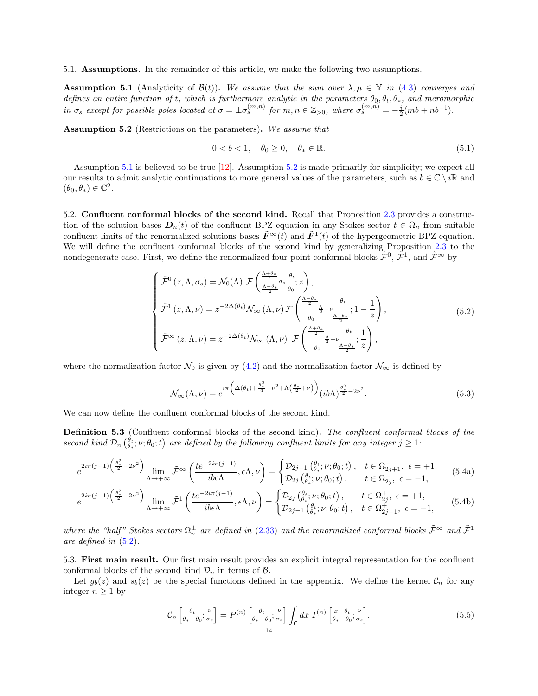<span id="page-13-0"></span>5.1. Assumptions. In the remainder of this article, we make the following two assumptions.

<span id="page-13-4"></span>**Assumption 5.1** (Analyticity of  $\mathcal{B}(t)$ ). We assume that the sum over  $\lambda, \mu \in \mathbb{Y}$  in [\(4.3\)](#page-12-3) converges and defines an entire function of t, which is furthermore analytic in the parameters  $\theta_0, \theta_t, \theta_*$ , and meromorphic in  $\sigma_s$  except for possible poles located at  $\sigma = \pm \sigma_s^{(m,n)}$  for  $m, n \in \mathbb{Z}_{>0}$ , where  $\sigma_s^{(m,n)} = -\frac{i}{2}(mb + nb^{-1})$ .

<span id="page-13-5"></span>Assumption 5.2 (Restrictions on the parameters). We assume that

$$
0 < b < 1, \quad \theta_0 \ge 0, \quad \theta_* \in \mathbb{R}.\tag{5.1}
$$

Assumption [5.1](#page-13-4) is believed to be true [\[12](#page-29-8)]. Assumption [5.2](#page-13-5) is made primarily for simplicity; we expect all our results to admit analytic continuations to more general values of the parameters, such as  $b \in \mathbb{C} \setminus i\mathbb{R}$  and  $(\theta_0, \theta_*) \in \mathbb{C}^2$ .

<span id="page-13-1"></span>5.2. Confluent conformal blocks of the second kind. Recall that Proposition [2.3](#page-8-6) provides a construction of the solution bases  $D_n(t)$  of the confluent BPZ equation in any Stokes sector  $t \in \Omega_n$  from suitable confluent limits of the renormalized solutions bases  $\tilde{F}^{\infty}(t)$  and  $\tilde{F}^{1}(t)$  of the hypergeometric BPZ equation. We will define the confluent conformal blocks of the second kind by generalizing Proposition [2.3](#page-8-6) to the nondegenerate case. First, we define the renormalized four-point conformal blocks  $\tilde{\mathcal{F}}^0$ ,  $\tilde{\mathcal{F}}^1$ , and  $\tilde{\mathcal{F}}^{\infty}$  by

<span id="page-13-6"></span>
$$
\begin{cases}\n\tilde{\mathcal{F}}^{0}\left(z,\Lambda,\sigma_{s}\right) = \mathcal{N}_{0}(\Lambda) \mathcal{F}\left(\frac{\Lambda+\theta_{*}}{2}\sigma_{s}\frac{\theta_{t}}{\theta_{0}};z\right), \\
\tilde{\mathcal{F}}^{1}\left(z,\Lambda,\nu\right) = z^{-2\Delta(\theta_{t})}\mathcal{N}_{\infty}\left(\Lambda,\nu\right)\mathcal{F}\left(\frac{\frac{\Lambda-\theta_{*}}{2}}{\theta_{0}}\frac{\theta_{t}}{2};1-\frac{1}{z}\right), \\
\tilde{\mathcal{F}}^{\infty}\left(z,\Lambda,\nu\right) = z^{-2\Delta(\theta_{t})}\mathcal{N}_{\infty}\left(\Lambda,\nu\right)\mathcal{F}\left(\frac{\frac{\Lambda+\theta_{*}}{2}}{\theta_{0}}\frac{\theta_{t}}{2};\frac{1}{z}\right),\n\end{cases
$$
\n
$$
(5.2)
$$

where the normalization factor  $\mathcal{N}_0$  is given by [\(4.2\)](#page-12-4) and the normalization factor  $\mathcal{N}_{\infty}$  is defined by

<span id="page-13-9"></span><span id="page-13-8"></span><span id="page-13-7"></span>
$$
\mathcal{N}_{\infty}(\Lambda,\nu) = e^{i\pi \left(\Delta(\theta_t) + \frac{\theta_*^2}{4} - \nu^2 + \Lambda\left(\frac{\theta_*}{2} + \nu\right)\right)} (i b \Lambda)^{\frac{\theta_*^2}{2} - 2\nu^2}.
$$
\n(5.3)

We can now define the confluent conformal blocks of the second kind.

Definition 5.3 (Confluent conformal blocks of the second kind). The confluent conformal blocks of the second kind  $\mathcal{D}_n(\theta^t_i; \nu; \theta_0; t)$  are defined by the following confluent limits for any integer  $j \geq 1$ :

$$
e^{2i\pi(j-1)\left(\frac{\theta_{*}^{2}}{2}-2\nu^{2}\right)}\lim_{\Lambda\to+\infty}\tilde{\mathcal{F}}^{\infty}\left(\frac{te^{-2i\pi(j-1)}}{ib\epsilon\Lambda},\epsilon\Lambda,\nu\right)=\begin{cases}\mathcal{D}_{2j+1}\left(\theta_{*};\nu;\theta_{0};t\right), & t\in\Omega_{2j+1}^{-},\ \epsilon=+1,\\\mathcal{D}_{2j}\left(\theta_{*};\nu;\theta_{0};t\right), & t\in\Omega_{2j}^{-},\ \epsilon=-1,\end{cases}
$$
(5.4a)

$$
e^{2i\pi(j-1)\left(\frac{\theta_{z}^{2}}{2}-2\nu^{2}\right)}\lim_{\Lambda\to+\infty}\tilde{\mathcal{F}}^{1}\left(\frac{te^{-2i\pi(j-1)}}{ib\epsilon\Lambda},\epsilon\Lambda,\nu\right)=\begin{cases}\mathcal{D}_{2j}\left(\theta_{t};\nu;\theta_{0};t\right), & t\in\Omega_{2j}^{+},\ \epsilon=+1,\\\mathcal{D}_{2j-1}\left(\theta_{t};\nu;\theta_{0};t\right), & t\in\Omega_{2j-1}^{+},\ \epsilon=-1,\end{cases}
$$
(5.4b)

where the "half" Stokes sectors  $\Omega_n^{\pm}$  are defined in [\(2.33\)](#page-7-5) and the renormalized conformal blocks  $\tilde{\mathcal{F}}^{\infty}$  and  $\tilde{\mathcal{F}}^1$ are defined in [\(5.2\)](#page-13-6).

<span id="page-13-2"></span>5.3. First main result. Our first main result provides an explicit integral representation for the confluent conformal blocks of the second kind  $\mathcal{D}_n$  in terms of  $\mathcal{B}$ .

<span id="page-13-3"></span>Let  $g_b(z)$  and  $s_b(z)$  be the special functions defined in the appendix. We define the kernel  $\mathcal{C}_n$  for any integer  $n \geq 1$  by

$$
\mathcal{C}_n \left[ \begin{matrix} \theta_t & \nu \\ \theta_* & \theta_0 \end{matrix} \right] = P^{(n)} \left[ \begin{matrix} \theta_t & \nu \\ \theta_* & \theta_0 \end{matrix} \right] \int_{\mathsf{C}} dx \ I^{(n)} \left[ \begin{matrix} x & \theta_t & \nu \\ \theta_* & \theta_0 \end{matrix} \right],\tag{5.5}
$$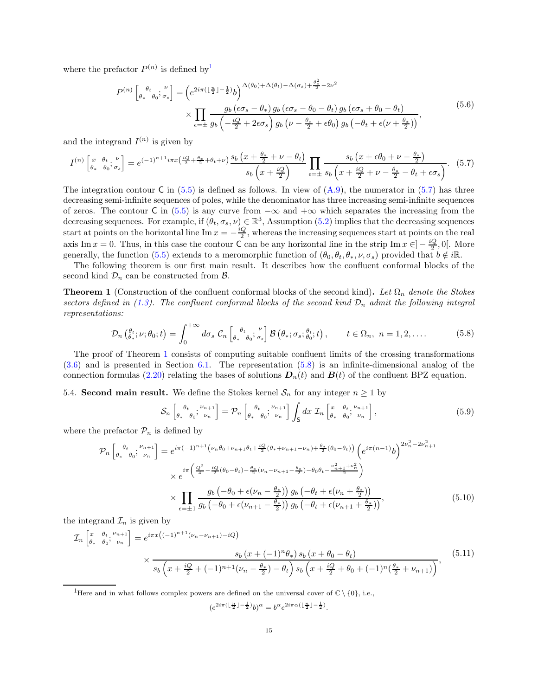<span id="page-14-6"></span>where the prefactor  $P^{(n)}$  is defined by<sup>[1](#page-14-3)</sup>

$$
P^{(n)}\left[\begin{matrix}\n\theta_t & \nu \\
\theta_* & \theta_0\n\end{matrix}; \begin{matrix}\nu \\
\sigma_s\n\end{matrix}\right] = \left(e^{2i\pi\left(\left[\frac{n}{2}\right] - \frac{1}{2}\right)}b\right)^{\Delta(\theta_0) + \Delta(\theta_t) - \Delta(\sigma_s) + \frac{\theta_s^2}{2} - 2\nu^2} \times \prod_{\epsilon=\pm} \frac{g_b\left(\epsilon\sigma_s - \theta_*\right)g_b\left(\epsilon\sigma_s - \theta_0 - \theta_t\right)g_b\left(\epsilon\sigma_s + \theta_0 - \theta_t\right)}{g_b\left(-\frac{iQ}{2} + 2\epsilon\sigma_s\right)g_b\left(\nu - \frac{\theta_*}{2} + \epsilon\theta_0\right)g_b\left(-\theta_t + \epsilon(\nu + \frac{\theta_*}{2})\right)},\tag{5.6}
$$

and the integrand  $I^{(n)}$  is given by

<span id="page-14-4"></span>
$$
I^{(n)}\begin{bmatrix} x & \theta_t & \nu \\ \theta_* & \theta_0 & \sigma_s \end{bmatrix} = e^{(-1)^{n+1}i\pi x \left(\frac{iQ}{2} + \frac{\theta_*}{2} + \theta_t + \nu\right)} \frac{s_b\left(x + \frac{\theta_*}{2} + \nu - \theta_t\right)}{s_b\left(x + \frac{iQ}{2}\right)} \prod_{\epsilon = \pm} \frac{s_b\left(x + \epsilon\theta_0 + \nu - \frac{\theta_*}{2}\right)}{s_b\left(x + \frac{iQ}{2} + \nu - \frac{\theta_*}{2} - \theta_t + \epsilon\sigma_s\right)}.
$$
(5.7)

The integration contour C in  $(5.5)$  is defined as follows. In view of  $(A.9)$ , the numerator in  $(5.7)$  has three decreasing semi-infinite sequences of poles, while the denominator has three increasing semi-infinite sequences of zeros. The contour C in [\(5.5\)](#page-13-3) is any curve from  $-\infty$  and  $+\infty$  which separates the increasing from the decreasing sequences. For example, if  $(\theta_t, \sigma_s, \nu) \in \mathbb{R}^3$ , Assumption [\(5.2\)](#page-13-5) implies that the decreasing sequences start at points on the horizontal line Im  $x = -\frac{iQ}{2}$ , whereas the increasing sequences start at points on the real axis Im  $x = 0$ . Thus, in this case the contour C can be any horizontal line in the strip Im  $x \in ]-\frac{iQ}{2}, 0[$ . More generally, the function [\(5.5\)](#page-13-3) extends to a meromorphic function of  $(\theta_0, \theta_t, \theta_*, \nu, \sigma_s)$  provided that  $b \notin i\mathbb{R}$ .

The following theorem is our first main result. It describes how the confluent conformal blocks of the second kind  $\mathcal{D}_n$  can be constructed from  $\mathcal{B}$ .

<span id="page-14-1"></span>**Theorem 1** (Construction of the confluent conformal blocks of the second kind). Let  $\Omega_n$  denote the Stokes sectors defined in [\(1.3\)](#page-2-3). The confluent conformal blocks of the second kind  $\mathcal{D}_n$  admit the following integral representations:

$$
\mathcal{D}_n\left(\theta_*^t; \nu; \theta_0; t\right) = \int_0^{+\infty} d\sigma_s \; \mathcal{C}_n\left[\left.\begin{matrix} \theta_t & \nu \\ \theta_* & \theta_0 \end{matrix}; \sigma_s \right] \mathcal{B}\left(\theta_*; \sigma_s; \theta_0^t; t\right), \qquad t \in \Omega_n, \ n = 1, 2, \dots \tag{5.8}
$$

<span id="page-14-5"></span>The proof of Theorem [1](#page-14-1) consists of computing suitable confluent limits of the crossing transformations [\(3.6\)](#page-12-5) and is presented in Section [6.1.](#page-16-1) The representation [\(5.8\)](#page-14-5) is an infinite-dimensional analog of the connection formulas [\(2.20\)](#page-6-3) relating the bases of solutions  $D_n(t)$  and  $B(t)$  of the confluent BPZ equation.

<span id="page-14-0"></span>5.4. Second main result. We define the Stokes kernel  $S_n$  for any integer  $n \geq 1$  by

$$
\mathcal{S}_n \left[ \begin{matrix} \theta_t & \mu_{n+1} \\ \theta_s & \theta_0 \end{matrix} \right] = \mathcal{P}_n \left[ \begin{matrix} \theta_t & \mu_{n+1} \\ \theta_s & \theta_0 \end{matrix} \right] \int_{S} dx \ \mathcal{I}_n \left[ \begin{matrix} x & \theta_t & \mu_{n+1} \\ \theta_s & \theta_0 \end{matrix} \right], \tag{5.9}
$$

<span id="page-14-2"></span>where the prefactor  $\mathcal{P}_n$  is defined by

$$
\mathcal{P}_{n}\left[\begin{matrix}\n\theta_{t} & \mu_{n+1} \\
\theta_{*} & \theta_{0}\n\end{matrix}\right] = e^{i\pi(-1)^{n+1}\left(\nu_{n}\theta_{0} + \nu_{n+1}\theta_{t} + \frac{iQ}{2}(\theta_{*} + \nu_{n+1} - \nu_{n}) + \frac{\theta_{*}}{2}(\theta_{0} - \theta_{t})\right)}\left(e^{i\pi(n-1)}b\right)^{2\nu_{n}^{2} - 2\nu_{n+1}^{2}}
$$
\n
$$
\times e^{i\pi\left(\frac{Q^{2}}{4} - \frac{iQ}{2}(\theta_{0} - \theta_{t}) - \frac{\theta_{*}}{2}(\nu_{n} - \nu_{n+1} - \frac{\theta_{*}}{2}) - \theta_{0}\theta_{t} - \frac{\nu_{n+1}^{2} + \nu_{n}^{2}}{2}\right)}
$$
\n
$$
\times \prod_{\epsilon=\pm 1} \frac{g_{b}\left(-\theta_{0} + \epsilon(\nu_{n} - \frac{\theta_{*}}{2})\right)g_{b}\left(-\theta_{t} + \epsilon(\nu_{n} + \frac{\theta_{*}}{2})\right)}{g_{b}\left(-\theta_{t} + \epsilon(\nu_{n+1} + \frac{\theta_{*}}{2})\right)},
$$
\n(5.10)

the integrand  $\mathcal{I}_n$  is given by

$$
\mathcal{I}_{n}\left[\begin{matrix} x & \theta_{t} & \mu_{n+1} \\ \theta_{*} & \theta_{0} & \nu_{n} \end{matrix}\right] = e^{i\pi x \left((-1)^{n+1}(\nu_{n}-\nu_{n+1})-iQ\right)} \times \frac{s_{b}\left(x+(-1)^{n}\theta_{*}\right)s_{b}\left(x+\theta_{0}-\theta_{t}\right)}{s_{b}\left(x+\frac{iQ}{2}+(-1)^{n+1}(\nu_{n}-\frac{\theta_{*}}{2})-\theta_{t}\right)s_{b}\left(x+\frac{iQ}{2}+\theta_{0}+(-1)^{n}(\frac{\theta_{*}}{2}+\nu_{n+1})\right)},
$$
(5.11)

<span id="page-14-3"></span><sup>1</sup>Here and in what follows complex powers are defined on the universal cover of  $\mathbb{C} \setminus \{0\}$ , i.e.,

<span id="page-14-7"></span> $(e^{2i\pi(\lfloor \frac{n}{2} \rfloor - \frac{1}{2})}b)^{\alpha} = b^{\alpha}e^{2i\pi \alpha(\lfloor \frac{n}{2} \rfloor - \frac{1}{2})}.$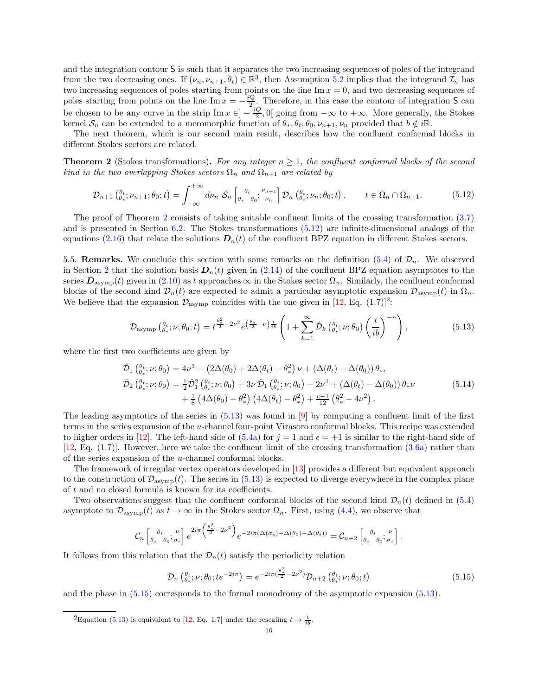and the integration contour S is such that it separates the two increasing sequences of poles of the integrand from the two decreasing ones. If  $(\nu_n, \nu_{n+1}, \theta_t) \in \mathbb{R}^3$ , then Assumption [5.2](#page-13-5) implies that the integrand  $\mathcal{I}_n$  has two increasing sequences of poles starting from points on the line  $\text{Im } x = 0$ , and two decreasing sequences of poles starting from points on the line Im  $x = -\frac{iQ}{2}$ . Therefore, in this case the contour of integration S can be chosen to be any curve in the strip  $\text{Im } x \in ]-\frac{iQ}{2},0[$  going from  $-\infty$  to  $+\infty$ . More generally, the Stokes kernel  $S_n$  can be extended to a meromorphic function of  $\theta_*, \theta_t, \theta_0, \nu_{n+1}, \nu_n$  provided that  $b \notin i\mathbb{R}$ .

The next theorem, which is our second main result, describes how the confluent conformal blocks in different Stokes sectors are related.

<span id="page-15-1"></span>**Theorem 2** (Stokes transformations). For any integer  $n \geq 1$ , the confluent conformal blocks of the second kind in the two overlapping Stokes sectors  $\Omega_n$  and  $\Omega_{n+1}$  are related by

$$
\mathcal{D}_{n+1}\left(\begin{matrix}\theta_t, \nu_{n+1}; \theta_0; t\end{matrix}\right) = \int_{-\infty}^{+\infty} d\nu_n \; \mathcal{S}_n\left[\begin{matrix}\theta_t, \mu_{n+1} \\ \theta_* & \theta_0\end{matrix}; \begin{matrix}\nu_{n+1} \\ \nu_n\end{matrix}\right] \mathcal{D}_n\left(\begin{matrix}\theta_t, \nu_n; \theta_0; t\end{matrix}\right), \qquad t \in \Omega_n \cap \Omega_{n+1}.\tag{5.12}
$$

<span id="page-15-2"></span>The proof of Theorem [2](#page-15-1) consists of taking suitable confluent limits of the crossing transformation [\(3.7\)](#page-12-6) and is presented in Section [6.2.](#page-18-0) The Stokes transformations [\(5.12\)](#page-15-2) are infinite-dimensional analogs of the equations [\(2.16\)](#page-5-3) that relate the solutions  $D_n(t)$  of the confluent BPZ equation in different Stokes sectors.

<span id="page-15-0"></span>5.5. **Remarks.** We conclude this section with some remarks on the definition [\(5.4\)](#page-13-7) of  $\mathcal{D}_n$ . We observed in Section [2](#page-3-1) that the solution basis  $D_n(t)$  given in [\(2.14\)](#page-5-0) of the confluent BPZ equation asymptotes to the series  $D_{\text{asymp}}(t)$  given in  $(2.10)$  as t approaches  $\infty$  in the Stokes sector  $\Omega_n$ . Similarly, the confluent conformal blocks of the second kind  $\mathcal{D}_n(t)$  are expected to admit a particular asymptotic expansion  $\mathcal{D}_{\text{asvmp}}(t)$  in  $\Omega_n$ . We believe that the expansion  $\mathcal{D}_{\text{asymp}}$  coincides with the one given in [\[12,](#page-29-8) Eq. (1.7)]<sup>[2](#page-15-3)</sup>:

<span id="page-15-6"></span><span id="page-15-4"></span>
$$
\mathcal{D}_{\text{asymp}}\left(\theta_{\ast}^{t};\nu;\theta_{0};t\right) = t^{\frac{\theta_{\ast}^{2}}{2}-2\nu^{2}}e^{\left(\frac{\theta_{\ast}}{2}+\nu\right)\frac{t}{ib}}\left(1+\sum_{k=1}^{\infty}\hat{\mathcal{D}}_{k}\left(\theta_{\ast}^{t};\nu;\theta_{0}\right)\left(\frac{t}{ib}\right)^{-n}\right),\tag{5.13}
$$

where the first two coefficients are given by

$$
\hat{\mathcal{D}}_{1} \left( \begin{matrix} \theta_{t} \\ \theta_{*} \end{matrix}; \nu; \theta_{0} \right) = 4\nu^{3} - \left( 2\Delta(\theta_{0}) + 2\Delta(\theta_{t}) + \theta_{*}^{2} \right) \nu + \left( \Delta(\theta_{t}) - \Delta(\theta_{0}) \right) \theta_{*}, \n\hat{\mathcal{D}}_{2} \left( \begin{matrix} \theta_{t} \\ \theta_{*} \end{matrix}; \nu; \theta_{0} \right) = \frac{1}{2} \hat{\mathcal{D}}_{1}^{2} \left( \begin{matrix} \theta_{t} \\ \theta_{*} \end{matrix}; \nu; \theta_{0} \right) + 3\nu \hat{\mathcal{D}}_{1} \left( \begin{matrix} \theta_{t} \\ \theta_{*} \end{matrix}; \nu; \theta_{0} \right) - 2\nu^{4} + \left( \Delta(\theta_{t}) - \Delta(\theta_{0}) \right) \theta_{*} \nu \n+ \frac{1}{8} \left( 4\Delta(\theta_{0}) - \theta_{*}^{2} \right) \left( 4\Delta(\theta_{t}) - \theta_{*}^{2} \right) + \frac{c-1}{12} \left( \theta_{*}^{2} - 4\nu^{2} \right).
$$
\n(5.14)

The leading asymptotics of the series in  $(5.13)$  was found in  $[9]$  by computing a confluent limit of the first terms in the series expansion of the u-channel four-point Virasoro conformal blocks. This recipe was extended to higher orders in [\[12\]](#page-29-8). The left-hand side of  $(5.4a)$  for  $j = 1$  and  $\epsilon = +1$  is similar to the right-hand side of [\[12,](#page-29-8) Eq. (1.7)]. However, here we take the confluent limit of the crossing transformation [\(3.6a\)](#page-12-7) rather than of the series expansion of the u-channel conformal blocks.

The framework of irregular vertex operators developed in [\[13](#page-29-9)] provides a different but equivalent approach to the construction of  $\mathcal{D}_{\text{asymp}}(t)$ . The series in [\(5.13\)](#page-15-4) is expected to diverge everywhere in the complex plane of  $t$  and no closed formula is known for its coefficients.

Two observations suggest that the confluent conformal blocks of the second kind  $\mathcal{D}_n(t)$  defined in [\(5.4\)](#page-13-7) asymptote to  $\mathcal{D}_{\text{asymp}}(t)$  as  $t \to \infty$  in the Stokes sector  $\Omega_n$ . First, using [\(4.4\)](#page-12-8), we observe that

$$
\mathcal{C}_n\left[\begin{matrix}\theta_t & \nu \\ \theta_* & \theta_0 \end{matrix}; \frac{\nu}{\sigma_s}\right] e^{2i\pi \left(\frac{\theta_*^2}{2} - 2\nu^2\right)} e^{-2i\pi (\Delta(\sigma_s) - \Delta(\theta_0) - \Delta(\theta_t))} = \mathcal{C}_{n+2} \left[\begin{matrix}\theta_t & \nu \\ \theta_* & \theta_0 \end{matrix}; \frac{\nu}{\sigma_s}\right].
$$

It follows from this relation that the  $\mathcal{D}_n(t)$  satisfy the periodicity relation

<span id="page-15-5"></span>
$$
\mathcal{D}_n\left(\theta_t^*; \nu; \theta_0; t e^{-2i\pi}\right) = e^{-2i\pi \left(\frac{\theta_*^2}{2} - 2\nu^2\right)} \mathcal{D}_{n+2}\left(\theta_t^*; \nu; \theta_0; t\right) \tag{5.15}
$$

and the phase in [\(5.15\)](#page-15-5) corresponds to the formal monodromy of the asymptotic expansion [\(5.13\)](#page-15-4).

<span id="page-15-3"></span><sup>2</sup>Equation [\(5.13\)](#page-15-4) is equivalent to [\[12,](#page-29-8) Eq. 1.7] under the rescaling  $t \to \frac{t}{ib}$ .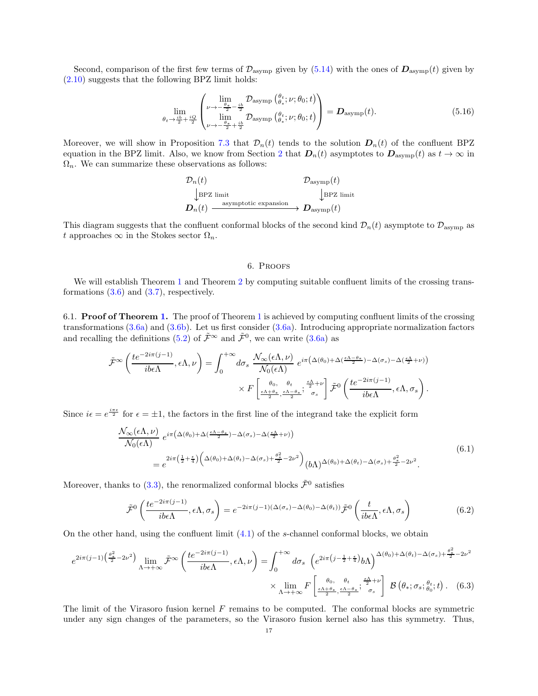Second, comparison of the first few terms of  $\mathcal{D}_{\text{asymp}}$  given by [\(5.14\)](#page-15-6) with the ones of  $\mathcal{D}_{\text{asymp}}(t)$  given by [\(2.10\)](#page-5-5) suggests that the following BPZ limit holds:

$$
\lim_{\theta_t \to \frac{i b}{2} + \frac{i Q}{2}} \begin{pmatrix} \lim_{\nu \to -\frac{\theta_*}{2} - \frac{i b}{2}} \mathcal{D}_{\text{asymp}} \left( \frac{\theta_t}{\theta_*}; \nu; \theta_0; t \right) \\ \lim_{\nu \to -\frac{\theta_*}{2} + \frac{i b}{2}} \mathcal{D}_{\text{asymp}} \left( \frac{\theta_t}{\theta_*}; \nu; \theta_0; t \right) \end{pmatrix} = \mathbf{D}_{\text{asymp}}(t). \tag{5.16}
$$

Moreover, we will show in Proposition [7.3](#page-24-2) that  $\mathcal{D}_n(t)$  tends to the solution  $\mathbf{D}_n(t)$  of the confluent BPZ equation in the BPZ limit. Also, we know from Section [2](#page-3-1) that  $D_n(t)$  asymptotes to  $D_{\text{asymp}}(t)$  as  $t \to \infty$  in  $\Omega_n$ . We can summarize these observations as follows:

$$
\mathcal{D}_n(t) \qquad \qquad \mathcal{D}_{\text{asymp}}(t)
$$
\n
$$
\downarrow \text{BPZ limit} \qquad \qquad \downarrow \text{BPZ limit}
$$
\n
$$
\mathcal{D}_n(t) \xrightarrow{\text{asymptotic expansion}} \mathcal{D}_{\text{asymp}}(t)
$$

This diagram suggests that the confluent conformal blocks of the second kind  $\mathcal{D}_n(t)$  asymptote to  $\mathcal{D}_{\text{asymp}}$  as t approaches  $\infty$  in the Stokes sector  $\Omega_n$ .

# 6. Proofs

<span id="page-16-0"></span>We will establish Theorem [1](#page-14-1) and Theorem [2](#page-15-1) by computing suitable confluent limits of the crossing transformations  $(3.6)$  and  $(3.7)$ , respectively.

<span id="page-16-1"></span>6.1. Proof of Theorem [1.](#page-14-1) The proof of Theorem [1](#page-14-1) is achieved by computing confluent limits of the crossing transformations  $(3.6a)$  and  $(3.6b)$ . Let us first consider  $(3.6a)$ . Introducing appropriate normalization factors and recalling the definitions [\(5.2\)](#page-13-6) of  $\tilde{\mathcal{F}}^{\infty}$  and  $\tilde{\mathcal{F}}^{0}$ , we can write [\(3.6a\)](#page-12-7) as

$$
\tilde{\mathcal{F}}^{\infty}\left(\frac{te^{-2i\pi(j-1)}}{ib\epsilon\Lambda},\epsilon\Lambda,\nu\right) = \int_0^{+\infty} d\sigma_s \frac{\mathcal{N}_{\infty}(\epsilon\Lambda,\nu)}{\mathcal{N}_0(\epsilon\Lambda)} e^{i\pi\left(\Delta(\theta_0) + \Delta\left(\frac{\epsilon\Lambda - \theta_*}{2}\right) - \Delta(\sigma_s) - \Delta\left(\frac{\epsilon\Lambda}{2} + \nu\right)\right)} \times F\left[\frac{\theta_0}{\frac{\epsilon\Lambda + \theta_*}{2},\frac{\epsilon\Lambda - \theta_*}{2}}; \frac{\frac{\epsilon\Lambda}{2} + \nu}{\sigma_s}\right] \tilde{\mathcal{F}}^0\left(\frac{te^{-2i\pi(j-1)}}{ib\epsilon\Lambda},\epsilon\Lambda,\sigma_s\right).
$$

Since  $i\epsilon = e^{\frac{i\pi\epsilon}{2}}$  for  $\epsilon = \pm 1$ , the factors in the first line of the integrand take the explicit form

$$
\frac{\mathcal{N}_{\infty}(\epsilon \Lambda, \nu)}{\mathcal{N}_{0}(\epsilon \Lambda)} e^{i\pi \left(\Delta(\theta_{0}) + \Delta(\frac{\epsilon \Lambda - \theta_{*}}{2}) - \Delta(\sigma_{s}) - \Delta(\frac{\epsilon \Lambda}{2} + \nu)\right)} \n= e^{2i\pi \left(\frac{1}{2} + \frac{\epsilon}{4}\right) \left(\Delta(\theta_{0}) + \Delta(\theta_{t}) - \Delta(\sigma_{s}) + \frac{\theta_{*}^{2}}{2} - 2\nu^{2}\right)} (b\Lambda)^{\Delta(\theta_{0}) + \Delta(\theta_{t}) - \Delta(\sigma_{s}) + \frac{\theta_{*}^{2}}{2} - 2\nu^{2}}.
$$
\n(6.1)

Moreover, thanks to [\(3.3\)](#page-11-4), the renormalized conformal blocks  $\tilde{\mathcal{F}}^0$  satisfies

<span id="page-16-2"></span>
$$
\tilde{\mathcal{F}}^0\left(\frac{te^{-2i\pi(j-1)}}{ib\epsilon\Lambda},\epsilon\Lambda,\sigma_s\right) = e^{-2i\pi(j-1)(\Delta(\sigma_s)-\Delta(\theta_0)-\Delta(\theta_t))}\tilde{\mathcal{F}}^0\left(\frac{t}{ib\epsilon\Lambda},\epsilon\Lambda,\sigma_s\right) \tag{6.2}
$$

On the other hand, using the confluent limit  $(4.1)$  of the s-channel conformal blocks, we obtain

$$
e^{2i\pi(j-1)\left(\frac{\theta_{*}^{2}}{2}-2\nu^{2}\right)}\lim_{\Lambda\to+\infty}\tilde{\mathcal{F}}^{\infty}\left(\frac{te^{-2i\pi(j-1)}}{ib\epsilon\Lambda},\epsilon\Lambda,\nu\right)=\int_{0}^{+\infty}d\sigma_{s}\left(e^{2i\pi\left(j-\frac{1}{2}+\frac{\epsilon}{4}\right)}b\Lambda\right)^{\Delta(\theta_{0})+\Delta(\theta_{t})-\Delta(\sigma_{s})+\frac{\theta_{*}^{2}}{2}-2\nu^{2}}\times\lim_{\Lambda\to+\infty}F\left[\frac{\theta_{0}}{\frac{\epsilon\Lambda+\theta_{*}}{2},\frac{\epsilon\Lambda-\theta_{*}}{2}};\frac{\epsilon\Lambda}{\sigma_{s}}\right]}\mathcal{B}\left(\theta_{*};\sigma_{s};\frac{\theta_{t}}{\theta_{0}};t\right).
$$
(6.3)

The limit of the Virasoro fusion kernel  $F$  remains to be computed. The conformal blocks are symmetric under any sign changes of the parameters, so the Virasoro fusion kernel also has this symmetry. Thus,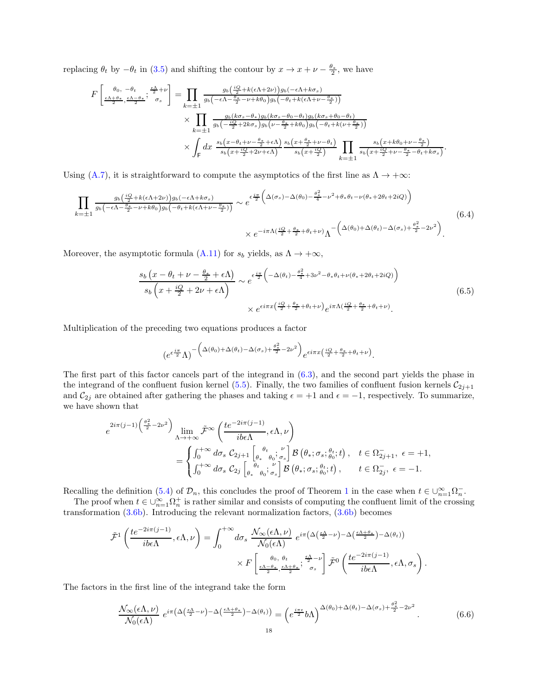replacing  $\theta_t$  by  $-\theta_t$  in [\(3.5\)](#page-11-2) and shifting the contour by  $x \to x + \nu - \frac{\theta_*}{2}$ , we have

$$
F\left[\frac{\theta_{0},-\theta_{t}}{\frac{\epsilon\Lambda+\theta_{*}}{2},\frac{\epsilon\Lambda-\theta_{*}}{2}};\frac{\frac{\epsilon\Lambda}{2}+\nu}{\sigma_{s}}\right] = \prod_{k=\pm 1} \frac{g_{b}\left(\frac{iQ}{2}+k(\epsilon\Lambda+2\nu)\right)g_{b}\left(-\epsilon\Lambda+k\sigma_{s}\right)}{g_{b}\left(-\epsilon\Lambda-\frac{\theta_{*}}{2}-\nu+k\theta_{0}\right)g_{b}\left(-\theta_{t}+k(\epsilon\Lambda+\nu-\frac{\theta_{*}}{2})\right)} \times \prod_{k=\pm 1} \frac{g_{b}\left(k\sigma_{s}-\theta_{*}\right)g_{b}\left(k\sigma_{s}-\theta_{0}-\theta_{t}\right)g_{b}\left(k\sigma_{s}+\theta_{0}-\theta_{t}\right)}{g_{b}\left(-\frac{iQ}{2}+2k\sigma_{s}\right)g_{b}\left(\nu-\frac{\theta_{*}}{2}+k\theta_{0}\right)g_{b}\left(-\theta_{t}+k(\nu+\frac{\theta_{*}}{2})\right)} \times \int_{\mathsf{F}} dx \frac{s_{b}\left(x-\theta_{t}+\nu-\frac{\theta_{*}}{2}+\epsilon\Lambda\right)}{s_{b}\left(x+\frac{iQ}{2}+2\nu+\epsilon\Lambda\right)} \frac{s_{b}\left(x+\frac{\theta_{*}}{2}+\nu-\theta_{t}\right)}{s_{b}\left(x+\frac{iQ}{2}\right)} \prod_{k=\pm 1} \frac{s_{b}\left(x+k\theta_{0}+\nu-\frac{\theta_{*}}{2}\right)}{s_{b}\left(x+\frac{iQ}{2}+\nu-\frac{\theta_{*}}{2}-\theta_{t}+k\sigma_{s}\right)}.
$$

Using [\(A.7\)](#page-28-2), it is straightforward to compute the asymptotics of the first line as  $\Lambda \to +\infty$ :

$$
\prod_{k=\pm 1} \frac{g_b\left(\frac{iQ}{2} + k(\epsilon \Lambda + 2\nu)\right)g_b(-\epsilon \Lambda + k\sigma_s)}{g_b(-\epsilon \Lambda - \frac{\theta_s}{2} - \nu + k\theta_0)g_b(-\theta_t + k(\epsilon \Lambda + \nu - \frac{\theta_s}{2}))} \sim e^{\epsilon \frac{i\pi}{2} \left(\Delta(\sigma_s) - \Delta(\theta_0) - \frac{\theta_s^2}{4} - \nu^2 + \theta_s \theta_t - \nu(\theta_s + 2\theta_t + 2iQ)\right)} \times e^{-i\pi \Lambda \left(\frac{iQ}{2} + \frac{\theta_s}{2} + \theta_t + \nu\right)} \Lambda^{-\left(\Delta(\theta_0) + \Delta(\theta_t) - \Delta(\sigma_s) + \frac{\theta_s^2}{2} - 2\nu^2\right)}.
$$
\n
$$
(6.4)
$$

Moreover, the asymptotic formula [\(A.11\)](#page-28-3) for  $s_b$  yields, as  $\Lambda \to +\infty$ ,

$$
\frac{s_b\left(x-\theta_t+\nu-\frac{\theta_*}{2}+\epsilon\Lambda\right)}{s_b\left(x+\frac{iQ}{2}+2\nu+\epsilon\Lambda\right)} \sim e^{\epsilon\frac{i\pi}{2}\left(-\Delta(\theta_t)-\frac{\theta_*^2}{4}+3\nu^2-\theta_*\theta_t+\nu(\theta_*+2\theta_t+2iQ)\right)} \times e^{\epsilon i\pi x\left(\frac{iQ}{2}+\frac{\theta_*}{2}+\theta_t+\nu\right)}e^{i\pi\Lambda\left(\frac{iQ}{2}+\frac{\theta_*}{2}+\theta_t+\nu\right)}.
$$
\n
$$
(6.5)
$$

Multiplication of the preceding two equations produces a factor

$$
\left(e^{\epsilon\frac{i\pi}{2}}\Lambda\right)^{-\left(\Delta(\theta_0)+\Delta(\theta_t)-\Delta(\sigma_s)+\frac{\theta_{*}^2}{2}-2\nu^2\right)}e^{\epsilon i\pi x\left(\frac{iQ}{2}+\frac{\theta_{*}}{2}+\theta_t+\nu\right)}.
$$

The first part of this factor cancels part of the integrand in [\(6.3\)](#page-16-2), and the second part yields the phase in the integrand of the confluent fusion kernel [\(5.5\)](#page-13-3). Finally, the two families of confluent fusion kernels  $C_{2j+1}$ and  $\mathcal{C}_{2j}$  are obtained after gathering the phases and taking  $\epsilon = +1$  and  $\epsilon = -1$ , respectively. To summarize, we have shown that

$$
e^{2i\pi(j-1)\left(\frac{\theta_{*}^{2}}{2}-2\nu^{2}\right)}\lim_{\Lambda\to+\infty}\tilde{\mathcal{F}}^{\infty}\left(\frac{te^{-2i\pi(j-1)}}{ib\epsilon\Lambda},\epsilon\Lambda,\nu\right)
$$
  
=
$$
\begin{cases} \int_{0}^{+\infty}d\sigma_{s} \ C_{2j+1}\left[\begin{matrix} \theta_{t} & \nu \\ \theta_{*} & \theta_{0}; \sigma_{s}\end{matrix}\right]\mathcal{B}\left(\theta_{*};\sigma_{s};\frac{\theta_{t}}{\theta_{0}};t\right), & t\in\Omega^{-}_{2j+1}, \ \epsilon=+1, \\ \int_{0}^{+\infty}d\sigma_{s} \ C_{2j}\left[\begin{matrix} \theta_{t} & \nu \\ \theta_{*} & \theta_{0}; \sigma_{s}\end{matrix}\right]\mathcal{B}\left(\theta_{*};\sigma_{s};\frac{\theta_{t}}{\theta_{0}};t\right), & t\in\Omega^{-}_{2j}, \ \epsilon=-1. \end{cases}
$$

Recalling the definition [\(5.4\)](#page-13-7) of  $\mathcal{D}_n$ , this concludes the proof of Theorem [1](#page-14-1) in the case when  $t \in \bigcup_{n=1}^{\infty} \Omega_n^-$ .

The proof when  $t \in \bigcup_{n=1}^{\infty} \Omega_n^+$  is rather similar and consists of computing the confluent limit of the crossing transformation  $(3.6b)$ . Introducing the relevant normalization factors,  $(3.6b)$  becomes

$$
\tilde{\mathcal{F}}^1\left(\frac{te^{-2i\pi(j-1)}}{ib\epsilon\Lambda},\epsilon\Lambda,\nu\right) = \int_0^{+\infty} d\sigma_s \frac{\mathcal{N}_{\infty}(\epsilon\Lambda,\nu)}{\mathcal{N}_0(\epsilon\Lambda)} e^{i\pi\left(\Delta\left(\frac{\epsilon\Lambda}{2}-\nu\right)-\Delta\left(\frac{\epsilon\Lambda+\theta*}{2}\right)-\Delta(\theta_t)\right)} \times F\left[\frac{\theta_0,\theta_t}{\frac{\epsilon\Lambda-\theta*}{2},\frac{\epsilon\Lambda+\theta*}{2}};\frac{\frac{\epsilon\Lambda}{2}-\nu}{\sigma_s}\right]\tilde{\mathcal{F}}^0\left(\frac{te^{-2i\pi(j-1)}}{ib\epsilon\Lambda},\epsilon\Lambda,\sigma_s\right).
$$

The factors in the first line of the integrand take the form

$$
\frac{\mathcal{N}_{\infty}(\epsilon \Lambda, \nu)}{\mathcal{N}_{0}(\epsilon \Lambda)} e^{i\pi \left(\Delta\left(\frac{\epsilon \Lambda}{2} - \nu\right) - \Delta\left(\frac{\epsilon \Lambda + \theta_{*}}{2}\right) - \Delta(\theta_{t})\right)} = \left(e^{\frac{i\pi\epsilon}{2}} b\Lambda\right)^{\Delta(\theta_{0}) + \Delta(\theta_{t}) - \Delta(\sigma_{s}) + \frac{\theta_{*}^{2}}{2} - 2\nu^{2}}.
$$
\n(6.6)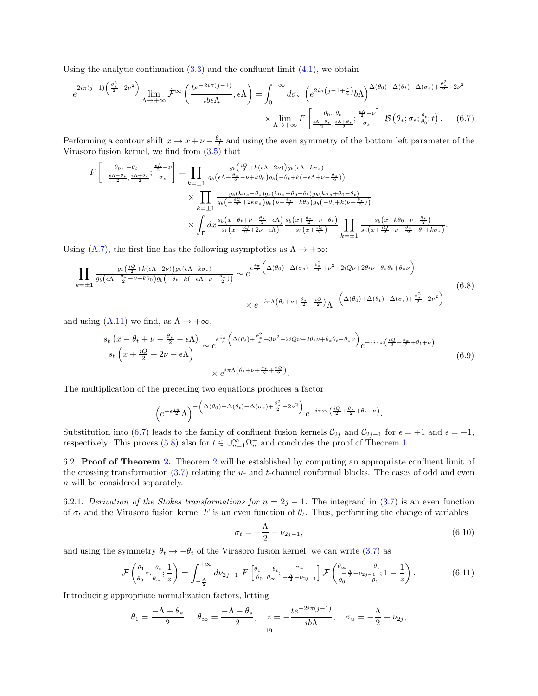Using the analytic continuation  $(3.3)$  and the confluent limit  $(4.1)$ , we obtain

$$
e^{2i\pi(j-1)\left(\frac{\theta_{*}^{2}}{2}-2\nu^{2}\right)}\lim_{\Lambda\to+\infty}\tilde{\mathcal{F}}^{\infty}\left(\frac{te^{-2i\pi(j-1)}}{ib\epsilon\Lambda},\epsilon\Lambda\right) = \int_{0}^{+\infty}d\sigma_{s}\left(e^{2i\pi\left(j-1+\frac{\epsilon}{4}\right)}b\Lambda\right)^{\Delta(\theta_{0})+\Delta(\theta_{t})-\Delta(\sigma_{s})+\frac{\theta_{*}^{2}}{2}-2\nu^{2}}\times\lim_{\Lambda\to+\infty}F\left[\lim_{\frac{\epsilon\Lambda-\theta_{*}}{2},\frac{\epsilon\Lambda}{2},\frac{\epsilon\Lambda}{2},\frac{\epsilon\Lambda}{2}}\right]\mathcal{B}\left(\theta_{*};\sigma_{s};\frac{\theta_{t}}{\theta_{0}};t\right).
$$
(6.7)

Performing a contour shift  $x \to x + \nu - \frac{\theta_*}{2}$  and using the even symmetry of the bottom left parameter of the Virasoro fusion kernel, we find from  $(3.5)$  that

<span id="page-18-1"></span>
$$
F\left[\frac{\theta_{0},-\theta_{t}}{2},\frac{\epsilon\Lambda-\theta_{*}}{2},\frac{\epsilon\Lambda-\nu}{2}\right] = \prod_{k=\pm 1} \frac{g_{b}\left(\frac{iQ}{2}+k(\epsilon\Lambda-2\nu)\right)g_{b}(\epsilon\Lambda+k\sigma_{s})}{g_{b}(\epsilon\Lambda-\frac{\theta_{*}}{2}-\nu+k\theta_{0})g_{b}(-\theta_{t}+k(-\epsilon\Lambda+\nu-\frac{\theta_{*}}{2}))}
$$

$$
\times \prod_{k=\pm 1} \frac{g_{b}(k\sigma_{s}-\theta_{*})g_{b}(k\sigma_{s}-\theta_{0}-\theta_{t})g_{b}(k\sigma_{s}+\theta_{0}-\theta_{t})}{g_{b}(-\frac{iQ}{2}+2k\sigma_{s})g_{b}(\nu-\frac{\theta_{*}}{2}+k\theta_{0})g_{b}(-\theta_{t}+k(\nu+\frac{\theta_{*}}{2}))}
$$

$$
\times \int_{\mathsf{F}} dx \frac{s_{b}(x-\theta_{t}+\nu-\frac{\theta_{*}}{2}-\epsilon\Lambda)}{s_{b}(x+\frac{iQ}{2}+2\nu-\epsilon\Lambda)} \frac{s_{b}(x+\frac{\theta_{*}}{2}+\nu-\theta_{t})}{s_{b}(x+\frac{iQ}{2})} \prod_{k=\pm 1} \frac{s_{b}(x+k\theta_{0}+\nu-\frac{\theta_{*}}{2})}{s_{b}(x+\frac{iQ}{2}+\nu-\frac{\theta_{*}}{2}-\theta_{t}+k\sigma_{s})}.
$$

Using [\(A.7\)](#page-28-2), the first line has the following asymptotics as  $\Lambda \to +\infty$ :

$$
\prod_{k=\pm 1} \frac{g_b\left(\frac{iQ}{2} + k(\epsilon \Lambda - 2\nu)\right)g_b(\epsilon \Lambda + k\sigma_s)}{g_b\left(\epsilon \Lambda - \frac{\theta_*}{2} - \nu + k\theta_0\right)g_b\left(-\theta_t + k(-\epsilon \Lambda + \nu - \frac{\theta_*}{2})\right)} \sim e^{\epsilon \frac{i\pi}{2} \left(\Delta(\theta_0) - \Delta(\sigma_s) + \frac{\theta_*^2}{4} + \nu^2 + 2iQ\nu + 2\theta_t\nu - \theta_*\theta_t + \theta_*\nu\right)} \times e^{-i\pi\Lambda\left(\theta_t + \nu + \frac{\theta_*}{2} + \frac{iQ}{2}\right)} \Lambda^{-\left(\Delta(\theta_0) + \Delta(\theta_t) - \Delta(\sigma_s) + \frac{\theta_*^2}{2} - 2\nu^2\right)}
$$
\n
$$
(6.8)
$$

and using [\(A.11\)](#page-28-3) we find, as  $\Lambda \to +\infty$ ,

$$
\frac{s_b\left(x-\theta_t+\nu-\frac{\theta_*}{2}-\epsilon\Lambda\right)}{s_b\left(x+\frac{iQ}{2}+2\nu-\epsilon\Lambda\right)} \sim e^{\epsilon\frac{i\pi}{2}\left(\Delta(\theta_t)+\frac{\theta_*^2}{4}-3\nu^2-2iQ\nu-2\theta_t\nu+\theta_*\theta_t-\theta_*\nu\right)}e^{-\epsilon i\pi x\left(\frac{iQ}{2}+\frac{\theta_*}{2}+\theta_t+\nu\right)} \times e^{i\pi\Lambda\left(\theta_t+\nu+\frac{\theta_*}{2}+\frac{iQ}{2}\right)}.
$$
\n
$$
(6.9)
$$

The multiplication of the preceding two equations produces a factor

$$
\left(e^{-\epsilon \frac{i\pi}{2}}\Lambda\right)^{-\left(\Delta(\theta_0)+\Delta(\theta_t)-\Delta(\sigma_s)+\frac{\theta_*^2}{2}-2\nu^2\right)}e^{-i\pi x\epsilon\left(\frac{iQ}{2}+\frac{\theta_*}{2}+\theta_t+\nu\right)}.
$$

Substitution into [\(6.7\)](#page-18-1) leads to the family of confluent fusion kernels  $C_{2j}$  and  $C_{2j-1}$  for  $\epsilon = +1$  and  $\epsilon = -1$ , respectively. This proves [\(5.8\)](#page-14-5) also for  $t \in \bigcup_{n=1}^{\infty} \Omega_n^+$  and concludes the proof of Theorem [1.](#page-14-1)

<span id="page-18-0"></span>6.2. Proof of Theorem [2.](#page-15-1) Theorem [2](#page-15-1) will be established by computing an appropriate confluent limit of the crossing transformation  $(3.7)$  relating the  $u$ - and t-channel conformal blocks. The cases of odd and even n will be considered separately.

<span id="page-18-3"></span>6.2.1. Derivation of the Stokes transformations for  $n = 2j - 1$ . The integrand in [\(3.7\)](#page-12-6) is an even function of  $\sigma_t$  and the Virasoro fusion kernel F is an even function of  $\theta_t$ . Thus, performing the change of variables

$$
\sigma_t = -\frac{\Lambda}{2} - \nu_{2j-1},\tag{6.10}
$$

and using the symmetry  $\theta_t \to -\theta_t$  of the Virasoro fusion kernel, we can write [\(3.7\)](#page-12-6) as

<span id="page-18-2"></span>
$$
\mathcal{F}\begin{pmatrix} \theta_1 & \theta_t \\ \theta_0 & \theta_\infty \end{pmatrix} = \int_{-\frac{\Lambda}{2}}^{+\infty} d\nu_{2j-1} F\begin{bmatrix} \theta_1 & -\theta_t \\ \theta_0 & \theta_\infty \end{bmatrix} \begin{pmatrix} \sigma_u \\ -\frac{\Lambda}{2} - \nu_{2j-1} \end{pmatrix} \mathcal{F}\begin{pmatrix} \theta_\infty & \theta_t \\ -\frac{\Lambda}{2} - \nu_{2j-1} \end{pmatrix} . \tag{6.11}
$$

Introducing appropriate normalization factors, letting

$$
\theta_1 = \frac{-\Lambda + \theta_*}{2}, \quad \theta_\infty = \frac{-\Lambda - \theta_*}{2}, \quad z = -\frac{te^{-2i\pi(j-1)}}{ib\Lambda}, \quad \sigma_u = -\frac{\Lambda}{2} + \nu_{2j},
$$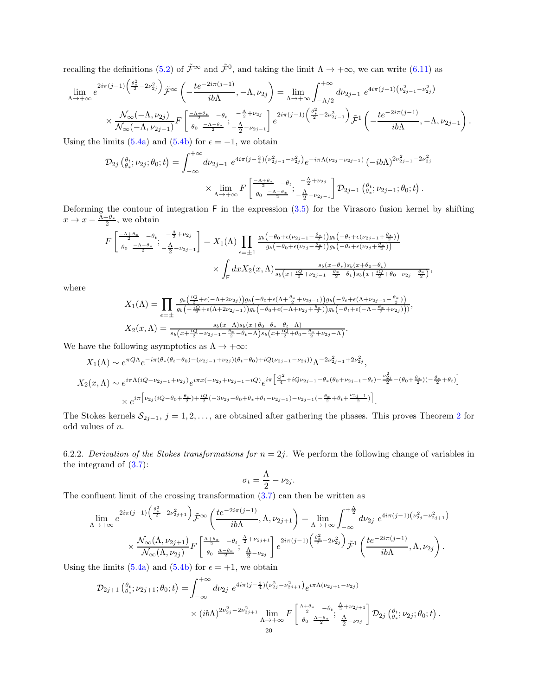recalling the definitions [\(5.2\)](#page-13-6) of  $\tilde{\mathcal{F}}^{\infty}$  and  $\tilde{\mathcal{F}}^{0}$ , and taking the limit  $\Lambda \to +\infty$ , we can write [\(6.11\)](#page-18-2) as

$$
\lim_{\Lambda \to +\infty} e^{2i\pi (j-1)\left(\frac{\theta_x^2}{2} - 2\nu_{2j}^2\right)} \tilde{\mathcal{F}}^{\infty}\left(-\frac{te^{-2i\pi (j-1)}}{ib\Lambda}, -\Lambda, \nu_{2j}\right) = \lim_{\Lambda \to +\infty} \int_{-\Lambda/2}^{+\infty} d\nu_{2j-1} e^{4i\pi (j-1)\left(\nu_{2j-1}^2 - \nu_{2j}^2\right)} \times \frac{\mathcal{N}_{\infty}(-\Lambda, \nu_{2j})}{\mathcal{N}_{\infty}(-\Lambda, \nu_{2j-1})} F\left[\frac{-\Lambda + \theta_x}{\theta_0} - \theta_t, -\frac{\Lambda}{2} + \nu_{2j}\right] e^{2i\pi (j-1)\left(\frac{\theta_x^2}{2} - 2\nu_{2j-1}^2\right)} \tilde{\mathcal{F}}^1\left(-\frac{te^{-2i\pi (j-1)}}{ib\Lambda}, -\Lambda, \nu_{2j-1}\right).
$$

Using the limits [\(5.4a\)](#page-13-8) and [\(5.4b\)](#page-13-9) for  $\epsilon = -1$ , we obtain

$$
\mathcal{D}_{2j}(\theta_{*}; \nu_{2j}; \theta_{0}; t) = \int_{-\infty}^{+\infty} d\nu_{2j-1} e^{4i\pi (j - \frac{3}{4})(\nu_{2j-1}^{2} - \nu_{2j}^{2})} e^{-i\pi \Lambda(\nu_{2j} - \nu_{2j-1})} (-ib\Lambda)^{2\nu_{2j-1}^{2} - 2\nu_{2j}^{2}}
$$

$$
\times \lim_{\Lambda \to +\infty} F\left[\frac{-\Lambda + \theta_{*}}{\theta_{0}} - \frac{\theta_{t}}{2} - \frac{\Lambda}{2} + \nu_{2j}}{-\frac{\Lambda}{2} - \nu_{2j-1}} \right] \mathcal{D}_{2j-1}(\theta_{*}; \nu_{2j-1}; \theta_{0}; t).
$$

Deforming the contour of integration  $F$  in the expression  $(3.5)$  for the Virasoro fusion kernel by shifting  $x \to x - \frac{\Lambda + \theta_*}{2}$ , we obtain

$$
F\left[\frac{\frac{-\Lambda+\theta_{*}}{2}-\theta_{t}}{\theta_{0}};\frac{-\frac{\Lambda}{2}+\nu_{2j}}{\frac{\Lambda}{2}-\nu_{2j-1}}\right] = X_{1}(\Lambda)\prod_{\epsilon=\pm 1}\frac{g_{b}\left(-\theta_{0}+\epsilon(\nu_{2j-1}-\frac{\theta_{*}}{2})\right)g_{b}\left(-\theta_{t}+\epsilon(\nu_{2j-1}+\frac{\theta_{*}}{2})\right)}{g_{b}\left(-\theta_{0}+\epsilon(\nu_{2j}-\frac{\theta_{*}}{2})\right)g_{b}\left(-\theta_{t}+\epsilon(\nu_{2j}+\frac{\theta_{*}}{2})\right)} \times \int_{\mathsf{F}} dx X_{2}(x,\Lambda)\frac{s_{b}(x-\theta_{*})s_{b}(x+\theta_{0}-\theta_{t})}{s_{b}\left(x+\frac{iQ}{2}+\nu_{2j-1}-\frac{\theta_{*}}{2}-\theta_{t}\right)s_{b}\left(x+\frac{iQ}{2}+\theta_{0}-\nu_{2j}-\frac{\theta_{*}}{2}\right)},
$$

where

$$
X_1(\Lambda) = \prod_{\epsilon=\pm} \frac{g_b(\frac{iQ}{2} + \epsilon(-\Lambda + 2\nu_{2j}))g_b(-\theta_0 + \epsilon(\Lambda + \frac{\theta_*}{2} + \nu_{2j-1}))g_b(-\theta_t + \epsilon(\Lambda + \nu_{2j-1} - \frac{\theta_*}{2}))}{g_b(-\frac{iQ}{2} + \epsilon(\Lambda + 2\nu_{2j-1}))g_b(-\theta_0 + \epsilon(-\Lambda + \nu_{2j} + \frac{\theta_*}{2}))g_b(-\theta_t + \epsilon(-\Lambda - \frac{\theta_*}{2} + \nu_{2j})))},
$$
  
\n
$$
X_2(x, \Lambda) = \frac{s_b(x-\Lambda)s_b(x+\theta_0 - \theta_* - \theta_t - \Lambda)}{s_b(x + \frac{iQ}{2} - \nu_{2j-1} - \frac{\theta_*}{2} - \theta_t - \Lambda)s_b(x + \frac{iQ}{2} + \theta_0 - \frac{\theta_*}{2} + \nu_{2j} - \Lambda)}.
$$

We have the following asymptotics as  $\Lambda \to +\infty$ :

$$
X_1(\Lambda) \sim e^{\pi Q \Lambda} e^{-i\pi (\theta_*(\theta_t - \theta_0) - (\nu_{2j-1} + \nu_{2j})(\theta_t + \theta_0) + iQ(\nu_{2j-1} - \nu_{2j}))} \Lambda^{-2\nu_{2j-1}^2 + 2\nu_{2j}^2},
$$
  
\n
$$
X_2(x, \Lambda) \sim e^{i\pi \Lambda (iQ - \nu_{2j-1} + \nu_{2j})} e^{i\pi x (-\nu_{2j} + \nu_{2j-1} - iQ)} e^{i\pi \left[ \frac{Q^2}{4} + iQ\nu_{2j-1} - \theta_*(\theta_0 + \nu_{2j-1} - \theta_t) - \frac{\nu_{2j}^2}{2} - (\theta_0 + \frac{\theta_*}{2})(-\frac{\theta_*}{2} + \theta_t) \right]}
$$
  
\n
$$
\times e^{i\pi \left[ \nu_{2j} (iQ - \theta_0 + \frac{\theta_*}{2}) + \frac{iQ}{2} (-3\nu_{2j} - \theta_0 + \theta_* + \theta_t - \nu_{2j-1}) - \nu_{2j-1} (-\frac{\theta_*}{2} + \theta_t + \frac{\nu_{2j-1}}{2}) \right]}.
$$

The Stokes kernels  $S_{2j-1}$  $S_{2j-1}$  $S_{2j-1}$ ,  $j = 1, 2, \ldots$ , are obtained after gathering the phases. This proves Theorem 2 for odd values of n.

6.2.2. Derivation of the Stokes transformations for  $n = 2j$ . We perform the following change of variables in the integrand of  $(3.7)$ :

$$
\sigma_t = \frac{\Lambda}{2} - \nu_{2j}.
$$

The confluent limit of the crossing transformation  $(3.7)$  can then be written as

$$
\lim_{\Lambda \to +\infty} e^{2i\pi(j-1)\left(\frac{\theta_{*}^{2}}{2} - 2\nu_{2j+1}^{2}\right)} \tilde{\mathcal{F}}^{\infty}\left(\frac{te^{-2i\pi(j-1)}}{ib\Lambda}, \Lambda, \nu_{2j+1}\right) = \lim_{\Lambda \to +\infty} \int_{-\infty}^{+\frac{\Lambda}{2}} d\nu_{2j} e^{4i\pi(j-1)\left(\nu_{2j}^{2} - \nu_{2j+1}^{2}\right)} \times \frac{\mathcal{N}_{\infty}(\Lambda, \nu_{2j+1})}{\mathcal{N}_{\infty}(\Lambda, \nu_{2j})} F\left[\frac{\frac{\Lambda + \theta_{*}}{2} - \theta_{t}}{\theta_{0}} \frac{\frac{\Lambda}{2} + \nu_{2j+1}}{2} \right] e^{2i\pi(j-1)\left(\frac{\theta_{*}^{2}}{2} - 2\nu_{2j}^{2}\right)} \tilde{\mathcal{F}}^{1}\left(\frac{te^{-2i\pi(j-1)}}{ib\Lambda}, \Lambda, \nu_{2j}\right).
$$

Using the limits [\(5.4a\)](#page-13-8) and [\(5.4b\)](#page-13-9) for  $\epsilon = +1$ , we obtain

$$
\mathcal{D}_{2j+1} \left( \begin{matrix} \theta_t \\ \theta_* \end{matrix}; \nu_{2j+1}; \theta_0; t \right) = \int_{-\infty}^{+\infty} d\nu_{2j} \ e^{4i\pi (j - \frac{3}{4}) \left( \nu_{2j}^2 - \nu_{2j+1}^2 \right)} e^{i\pi \Lambda(\nu_{2j+1} - \nu_{2j})} \\
\times (ib\Lambda)^{2\nu_{2j}^2 - 2\nu_{2j+1}^2} \lim_{\Lambda \to +\infty} F \left[ \begin{matrix} \frac{\Lambda + \theta_*}{2} & -\theta_t & \frac{\Lambda}{2} + \nu_{2j+1} \\ \theta_0 & \frac{\Lambda - \theta_*}{2} \end{matrix} \right] \mathcal{D}_{2j} \left( \begin{matrix} \theta_t \\ \theta_* \end{matrix}; \nu_{2j}; \theta_0; t \right).
$$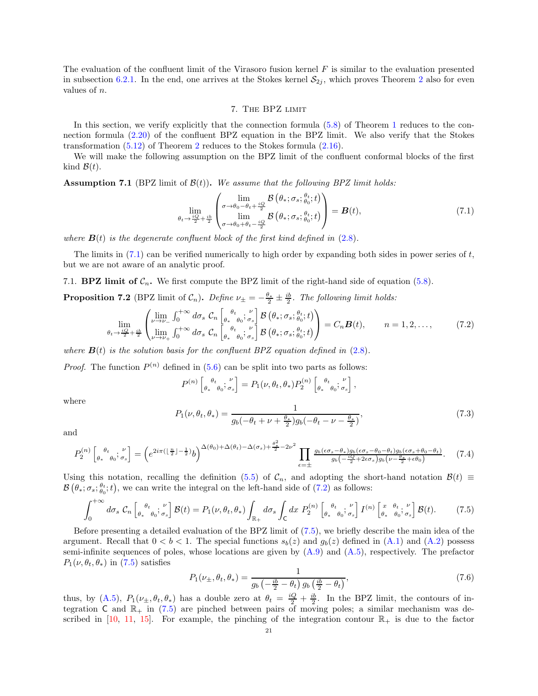<span id="page-20-0"></span>The evaluation of the confluent limit of the Virasoro fusion kernel  $F$  is similar to the evaluation presented in subsection [6.2.1.](#page-18-3) In the end, one arrives at the Stokes kernel  $S_{2i}$  $S_{2i}$  $S_{2i}$ , which proves Theorem 2 also for even values of n.

### 7. The BPZ limit

In this section, we verify explicitly that the connection formula [\(5.8\)](#page-14-5) of Theorem [1](#page-14-1) reduces to the connection formula [\(2.20\)](#page-6-3) of the confluent BPZ equation in the BPZ limit. We also verify that the Stokes transformation [\(5.12\)](#page-15-2) of Theorem [2](#page-15-1) reduces to the Stokes formula [\(2.16\)](#page-5-3).

We will make the following assumption on the BPZ limit of the confluent conformal blocks of the first kind  $\mathcal{B}(t)$ .

**Assumption 7.1** (BPZ limit of  $B(t)$ ). We assume that the following BPZ limit holds:

<span id="page-20-2"></span>
$$
\lim_{\theta_t \to \frac{iQ}{2} + \frac{ib}{2}} \begin{pmatrix} \lim_{\sigma \to \theta_0 - \theta_t + \frac{iQ}{2}} & \mathcal{B}\left(\theta_*; \sigma_s; \frac{\theta_t}{\theta_0}; t\right) \\ \lim_{\sigma \to \theta_0 + \theta_t - \frac{iQ}{2}} & \mathcal{B}\left(\theta_*; \sigma_s; \frac{\theta_t}{\theta_0}; t\right) \end{pmatrix} = \boldsymbol{B}(t),\tag{7.1}
$$

where  $\mathbf{B}(t)$  is the degenerate confluent block of the first kind defined in [\(2.8\)](#page-5-2).

The limits in  $(7.1)$  can be verified numerically to high order by expanding both sides in power series of t, but we are not aware of an analytic proof.

<span id="page-20-1"></span>7.1. **BPZ limit of**  $C_n$ **.** We first compute the BPZ limit of the right-hand side of equation [\(5.8\)](#page-14-5).

<span id="page-20-6"></span>**Proposition 7.2** (BPZ limit of  $C_n$ ). Define  $\nu_{\pm} = -\frac{\theta_*}{2} \pm \frac{ib}{2}$ . The following limit holds:

<span id="page-20-3"></span>
$$
\lim_{\theta_t \to \frac{iQ}{2} + \frac{ib}{2}} \begin{pmatrix} \lim_{\nu \to \nu_-} \int_0^{+\infty} d\sigma_s \mathcal{C}_n \left[ \theta_* \frac{\theta_t}{\theta_0}; \frac{\nu}{\sigma_s} \right] \mathcal{B} \left( \theta_*; \sigma_s; \frac{\theta_t}{\theta_0}; t \right) \\ \lim_{\nu \to \nu_+} \int_0^{+\infty} d\sigma_s \mathcal{C}_n \left[ \theta_* \frac{\theta_t}{\theta_0}; \frac{\nu}{\sigma_s} \right] \mathcal{B} \left( \theta_*; \sigma_s; \frac{\theta_t}{\theta_0}; t \right) \end{pmatrix} = C_n \mathbf{B}(t), \qquad n = 1, 2, \dots, \tag{7.2}
$$

where  $\mathbf{B}(t)$  is the solution basis for the confluent BPZ equation defined in [\(2.8\)](#page-5-2).

*Proof.* The function  $P^{(n)}$  defined in [\(5.6\)](#page-14-6) can be split into two parts as follows:

$$
P^{(n)}\left[ \begin{smallmatrix} \theta_t & \nu \\ \theta_* & \theta_0 \end{smallmatrix}; \begin{smallmatrix} \nu \\ \sigma_s \end{smallmatrix} \right] = P_1(\nu, \theta_t, \theta_*) P_2^{(n)}\left[ \begin{smallmatrix} \theta_t & \nu \\ \theta_* & \theta_0 \end{smallmatrix}; \begin{smallmatrix} \sigma \\ \sigma_s \end{smallmatrix} \right],
$$

where

<span id="page-20-7"></span>
$$
P_1(\nu, \theta_t, \theta_*) = \frac{1}{g_b(-\theta_t + \nu + \frac{\theta_*}{2})g_b(-\theta_t - \nu - \frac{\theta_*}{2})},
$$
\n(7.3)

and

<span id="page-20-5"></span>
$$
P_2^{(n)}\begin{bmatrix} \theta_t & \mu \\ \theta_* & \theta_0 \end{bmatrix} \frac{1}{\sigma_s} = \left(e^{2i\pi\left(\left\lfloor \frac{n}{2} \right\rfloor - \frac{1}{2}\right)}b\right)^{\Delta(\theta_0) + \Delta(\theta_t) - \Delta(\sigma_s) + \frac{\theta_*^2}{2} - 2\nu^2} \prod_{\epsilon=\pm} \frac{g_b(\epsilon \sigma_s - \theta_*)g_b(\epsilon \sigma_s - \theta_0 - \theta_t)g_b(\epsilon \sigma_s + \theta_0 - \theta_t)}{g_b\left(-\frac{iQ}{2} + 2\epsilon \sigma_s\right)g_b(\nu - \frac{\theta_*}{2} + \epsilon \theta_0)}.\tag{7.4}
$$

Using this notation, recalling the definition [\(5.5\)](#page-13-3) of  $\mathcal{C}_n$ , and adopting the short-hand notation  $\mathcal{B}(t) \equiv$  $\mathcal{B}(\theta_*; \sigma_s; \theta_t^{\theta_*}; t)$ , we can write the integral on the left-hand side of [\(7.2\)](#page-20-3) as follows:

$$
\int_0^{+\infty} d\sigma_s \mathcal{C}_n \left[ \theta_* \frac{\theta_t}{\theta_0} \mathbf{F}_{\sigma_s} \right] \mathcal{B}(t) = P_1(\nu, \theta_t, \theta_*) \int_{\mathbb{R}_+} d\sigma_s \int_C dx \ P_2^{(n)} \left[ \theta_* \frac{\theta_t}{\theta_0} \mathbf{F}_{\sigma_s} \right] I^{(n)} \left[ \frac{x}{\theta_*} \frac{\theta_t}{\theta_0} \mathbf{F}_{\sigma_s} \right] \mathcal{B}(t). \tag{7.5}
$$

Before presenting a detailed evaluation of the BPZ limit of [\(7.5\)](#page-20-4), we briefly describe the main idea of the argument. Recall that  $0 < b < 1$ . The special functions  $s_b(z)$  and  $g_b(z)$  defined in [\(A.1\)](#page-28-4) and [\(A.2\)](#page-28-5) possess semi-infinite sequences of poles, whose locations are given by  $(A.9)$  and  $(A.5)$ , respectively. The prefactor  $P_1(\nu, \theta_t, \theta_*)$  in [\(7.5\)](#page-20-4) satisfies

<span id="page-20-4"></span>
$$
P_1(\nu_\pm, \theta_t, \theta_*) = \frac{1}{g_b \left(-\frac{ib}{2} - \theta_t\right) g_b \left(\frac{ib}{2} - \theta_t\right)},\tag{7.6}
$$

thus, by [\(A.5\)](#page-28-6),  $P_1(\nu_{\pm}, \theta_t, \theta_*)$  has a double zero at  $\theta_t = \frac{iQ}{2} + \frac{ib}{2}$ . In the BPZ limit, the contours of integration C and  $\mathbb{R}_+$  in [\(7.5\)](#page-20-4) are pinched between pairs of moving poles; a similar mechanism was de-scribed in [\[10,](#page-29-17) [11,](#page-29-13) [15\]](#page-29-18). For example, the pinching of the integration contour  $\mathbb{R}_+$  is due to the factor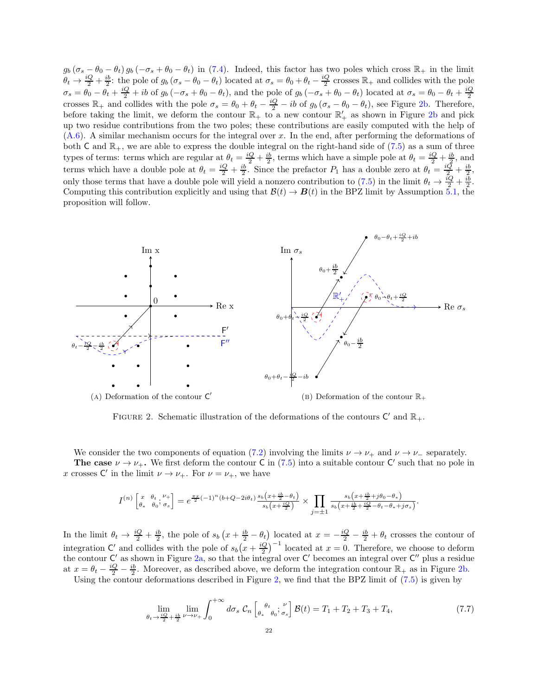$g_b(\sigma_s - \theta_0 - \theta_t) g_b(-\sigma_s + \theta_0 - \theta_t)$  in [\(7.4\)](#page-20-5). Indeed, this factor has two poles which cross  $\mathbb{R}_+$  in the limit  $\theta_t \to \frac{iQ}{2} + \frac{ib}{2}$ : the pole of  $g_b(\sigma_s - \theta_0 - \theta_t)$  located at  $\sigma_s = \theta_0 + \theta_t - \frac{iQ}{2}$  crosses  $\mathbb{R}_+$  and collides with the pole  $\sigma_s = \theta_0 - \theta_t + \frac{iQ}{2} + ib \text{ of } g_b(-\sigma_s + \theta_0 - \theta_t),$  and the pole of  $g_b(-\sigma_s + \theta_0 - \theta_t)$  located at  $\sigma_s = \theta_0 - \theta_t + \frac{iQ}{2}$ crosses  $\mathbb{R}_+$  and collides with the pole  $\sigma_s = \theta_0 + \theta_t - \frac{iQ}{2} - ib$  of  $g_b(\sigma_s - \theta_0 - \theta_t)$ , see Figure [2b.](#page-21-0) Therefore, before taking the limit, we deform the contour  $\mathbb{R}_+$  to a new contour  $\mathbb{R}'_+$  as shown in Figure [2b](#page-21-0) and pick up two residue contributions from the two poles; these contributions are easily computed with the help of [\(A.6\)](#page-28-7). A similar mechanism occurs for the integral over x. In the end, after performing the deformations of both C and  $\mathbb{R}_+$ , we are able to express the double integral on the right-hand side of [\(7.5\)](#page-20-4) as a sum of three types of terms: terms which are regular at  $\theta_t = \frac{iQ}{2} + \frac{ib}{2}$ , terms which have a simple pole at  $\theta_t = \frac{iQ}{2} + \frac{ib}{2}$ , and terms which have a double pole at  $\theta_t = \frac{iQ}{2} + \frac{ib}{2}$ . Since the prefactor  $P_1$  has a double zero at  $\theta_t = \frac{iQ}{2} + \frac{ib}{2}$ . only those terms that have a double pole will yield a nonzero contribution to [\(7.5\)](#page-20-4) in the limit  $\theta_t \to \frac{iQ}{2} + \frac{ib}{2}$ . Computing this contribution explicitly and using that  $\mathcal{B}(t) \to \mathbf{B}(t)$  in the BPZ limit by Assumption [5.1,](#page-13-4) the proposition will follow.

<span id="page-21-0"></span>

FIGURE 2. Schematic illustration of the deformations of the contours  $C'$  and  $\mathbb{R}_+$ .

We consider the two components of equation [\(7.2\)](#page-20-3) involving the limits  $\nu \to \nu_+$  and  $\nu \to \nu_-$  separately. The case  $\nu \to \nu_+$ . We first deform the contour C in [\(7.5\)](#page-20-4) into a suitable contour C' such that no pole in x crosses  $\mathsf{C}'$  in the limit  $\nu \to \nu_+$ . For  $\nu = \nu_+$ , we have

$$
I^{(n)}\begin{bmatrix} x & \theta_t & \nu_+ \\ \theta_* & \theta_0 & \sigma_s \end{bmatrix} = e^{\frac{\pi x}{2}(-1)^n(b+Q-2i\theta_t)} \frac{s_b\left(x+\frac{ib}{2}-\theta_t\right)}{s_b\left(x+\frac{iQ}{2}\right)} \times \prod_{j=\pm 1} \frac{s_b\left(x+\frac{ib}{2}+j\theta_0-\theta_*\right)}{s_b\left(x+\frac{ib}{2}+\frac{iQ}{2}-\theta_t-\theta_*+j\sigma_s\right)}.
$$

In the limit  $\theta_t \to \frac{iQ}{2} + \frac{ib}{2}$ , the pole of  $s_b(x + \frac{ib}{2} - \theta_t)$  located at  $x = -\frac{iQ}{2} - \frac{ib}{2} + \theta_t$  crosses the contour of integration C' and collides with the pole of  $s_b(x+\frac{iQ}{2})^{-1}$  located at  $x=0$ . Therefore, we choose to deform the contour  $C'$  as shown in Figure [2a,](#page-21-0) so that the integral over  $C'$  becomes an integral over  $C''$  plus a residue at  $x = \theta_t - \frac{iQ}{2} - \frac{ib}{2}$ . Moreover, as described above, we deform the integration contour  $\mathbb{R}_+$  as in Figure [2b.](#page-21-0)  $2 - \frac{1}{2}$   $2 + \frac{1}{2}$  and the contour deformations described in Figure [2,](#page-21-0) we find that the BPZ limit of [\(7.5\)](#page-20-4) is given by

$$
\lim_{\theta_t \to \frac{iQ}{2} + \frac{ib}{2} \nu \to \nu_+} \int_0^{+\infty} d\sigma_s \mathcal{C}_n \left[ \underset{\theta_*}{\overset{\theta_t}{\vphantom{\Big|}}_{\theta_0}} \right] \mathcal{B}(t) = T_1 + T_2 + T_3 + T_4,\tag{7.7}
$$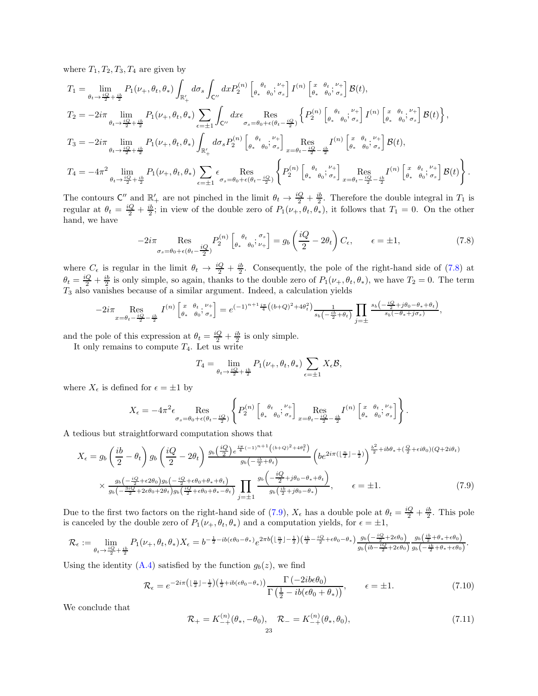where  $T_1, T_2, T_3, T_4$  are given by

$$
T_1 = \lim_{\theta_t \to \frac{iQ}{2} + \frac{ib}{2}} P_1(\nu_+, \theta_t, \theta_*) \int_{\mathbb{R}_+'} d\sigma_s \int_{\mathbb{C}''} dx P_2^{(n)} \left[ \underset{\theta_*}{\theta_*} \underset{\theta_0}{\theta_0}; \underset{\sigma_s}{\sigma_s} \right] I^{(n)} \left[ \underset{\theta_*}{\theta_*} \underset{\theta_0}{\theta_0}; \underset{\sigma_s}{\theta_*} \right] \mathcal{B}(t),
$$
  
\n
$$
T_2 = -2i\pi \lim_{\theta_t \to \frac{iQ}{2} + \frac{ib}{2}} P_1(\nu_+, \theta_t, \theta_*) \sum_{\epsilon = \pm 1} \int_{\mathbb{C}''} dx \epsilon \underset{\sigma_s = \theta_0 + \epsilon(\theta_t - \frac{iQ}{2})}{\text{Res}} \left\{ P_2^{(n)} \left[ \underset{\theta_*}{\theta_*} \underset{\theta_0}{\theta_0}; \underset{\sigma_s}{\theta_*} \right] I^{(n)} \left[ \underset{\theta_*}{\theta_*} \underset{\theta_0}{\theta_*}; \underset{\sigma_s}{\theta_*} \right] \mathcal{B}(t) \right\},
$$
  
\n
$$
T_3 = -2i\pi \lim_{\theta_t \to \frac{iQ}{2} + \frac{ib}{2}} P_1(\nu_+, \theta_t, \theta_*) \int_{\mathbb{R}_+'} d\sigma_s P_2^{(n)} \left[ \underset{\theta_*}{\theta_*} \underset{\theta_0}{\theta_*}; \underset{\sigma_s}{\theta_*} \right] \underset{x = \theta_t - \frac{iQ}{2} - \frac{ib}{2}}{\text{Res}} I^{(n)} \left[ \underset{\theta_*}{\theta_*} \underset{\theta_0}{\theta_*}; \underset{\sigma_s}{\theta_*} \right] \mathcal{B}(t),
$$
  
\n
$$
T_4 = -4\pi^2 \lim_{\theta_t \to \frac{iQ}{2} + \frac{ib}{2}} P_1(\nu_+, \theta_t, \theta_*) \sum_{\epsilon = \pm 1} \epsilon \underset{\sigma_s = \theta_0 + \epsilon(\theta_t - \frac{iQ}{2})}{\text{Res}} \left\{ P_2^{(n)} \left[ \underset{\theta_*}{\theta_*} \underset{\theta_0}{\theta_*}; \underset{\sigma_s}{\theta_*} \right] \underset{x = \
$$

The contours  $\mathsf{C}''$  and  $\mathbb{R}'_+$  are not pinched in the limit  $\theta_t \to \frac{iQ}{2} + \frac{ib}{2}$ . Therefore the double integral in  $T_1$  is regular at  $\theta_t = \frac{iQ}{2} + \frac{ib}{2}$ ; in view of the double zero of  $P_1(\nu_+, \theta_t, \theta_*)$ , it follows that  $T_1 = 0$ . On the other hand, we have

$$
-2i\pi \underset{\sigma_s = \theta_0 + \epsilon(\theta_t - \frac{iQ}{2})}{\text{Res}} P_2^{(n)} \left[ \underset{\theta_*}{\theta_t} \underset{\theta_0}{\theta_t}; \frac{\sigma_s}{\nu_+} \right] = g_b \left( \frac{iQ}{2} - 2\theta_t \right) C_{\epsilon}, \qquad \epsilon = \pm 1,
$$
\n(7.8)

where  $C_{\epsilon}$  is regular in the limit  $\theta_t \to \frac{iQ}{2} + \frac{ib}{2}$ . Consequently, the pole of the right-hand side of [\(7.8\)](#page-22-0) at  $\theta_t = \frac{iQ}{2} + \frac{ib}{2}$  is only simple, so again, thanks to the double zero of  $P_1(\nu_+, \theta_t, \theta_*)$ , we have  $T_2 = 0$ . The term  $T_3$  also vanishes because of a similar argument. Indeed, a calculation yields

$$
-2i\pi \underset{x=\theta_t-\frac{iQ}{2}-\frac{ib}{2}}{\operatorname{Res}}\;I^{(n)}\left[^{\begin{array}{cc}x & \theta_t, \; \nu_+\\ \theta_* & \theta_0, \; \sigma_s\end{array}}\right]=e^{(-1)^{n+1}\frac{i\pi}{4}\left((b+Q)^2+4\theta_t^2\right)}\frac{1}{s_b\left(-\frac{i b}{2}+\theta_t\right)}\prod_{j=\pm}\frac{s_b\left(-\frac{iQ}{2}+j\theta_0-\theta_*+\theta_t\right)}{s_b(-\theta_*+j\sigma_s)},
$$

and the pole of this expression at  $\theta_t = \frac{iQ}{2} + \frac{ib}{2}$  is only simple.

It only remains to compute  $T_4$ . Let us write

<span id="page-22-1"></span><span id="page-22-0"></span>
$$
T_4 = \lim_{\theta_t \to \frac{iQ}{2} + \frac{ib}{2}} P_1(\nu_+, \theta_t, \theta_*) \sum_{\epsilon = \pm 1} X_{\epsilon} \mathcal{B},
$$

where  $X_{\epsilon}$  is defined for  $\epsilon = \pm 1$  by

$$
X_{\epsilon} = -4\pi^2 \epsilon \operatorname{Res}_{\sigma_s = \theta_0 + \epsilon(\theta_t - \frac{iQ}{2})} \left\{ P_2^{(n)} \left[ \theta_*^{\theta_t} \theta_0; \frac{\nu_+}{\sigma_s} \right]_{x = \theta_t - \frac{iQ}{2} - \frac{ib}{2}} I^{(n)} \left[ \theta_*^{\theta_t} \theta_0; \frac{\nu_+}{\sigma_s} \right] \right\}.
$$

A tedious but straightforward computation shows that

$$
X_{\epsilon} = g_{b} \left( \frac{ib}{2} - \theta_{t} \right) g_{b} \left( \frac{iQ}{2} - 2\theta_{t} \right) \frac{g_{b} \left( \frac{iQ}{2} \right) e^{\frac{i\pi}{4} (-1)^{n+1} \left( (b+Q)^{2} + 4\theta_{t}^{2} \right)}}{g_{b} \left( -\frac{ib}{2} + \theta_{t} \right)} \left( b e^{2i\pi \left( \left( \frac{n}{2} \right) - \frac{1}{2} \right)} \right)^{\frac{b^{2}}{2} + ib\theta_{*} + \left( \frac{Q}{2} + \epsilon i\theta_{0} \right) (Q+2i\theta_{t})}
$$
\n
$$
\times \frac{g_{b} \left( -\frac{iQ}{2} + \epsilon 2\theta_{0} \right) g_{b} \left( -\frac{iQ}{2} + \epsilon \theta_{0} + \theta_{*} + \theta_{t} \right)}{g_{b} \left( -\frac{3iQ}{2} + 2\epsilon \theta_{0} + 2\theta_{t} \right) g_{b} \left( \frac{iQ}{2} + \epsilon \theta_{0} + \theta_{*} - \theta_{t} \right)} \prod_{j=\pm 1} \frac{g_{b} \left( -\frac{iQ}{2} + j\theta_{0} - \theta_{*} + \theta_{t} \right)}{g_{b} \left( \frac{ib}{2} + j\theta_{0} - \theta_{*} \right)}, \qquad \epsilon = \pm 1. \tag{7.9}
$$

Due to the first two factors on the right-hand side of [\(7.9\)](#page-22-1),  $X_{\epsilon}$  has a double pole at  $\theta_t = \frac{iQ}{2} + \frac{ib}{2}$ . This pole is canceled by the double zero of  $P_1(\nu_+,\theta_t,\theta_*)$  and a computation yields, for  $\epsilon = \pm 1$ ,

$$
\mathcal{R}_{\epsilon} := \lim_{\theta_t \to \frac{iQ}{2} + \frac{ib}{2}} P_1(\nu_+, \theta_t, \theta_*) X_{\epsilon} = b^{-\frac{1}{2} - ib(\epsilon \theta_0 - \theta_*)} e^{2\pi b \left(\left\lfloor \frac{n}{2} \right\rfloor - \frac{1}{2}\right) \left(\frac{ib}{2} - \frac{iQ}{2} + \epsilon \theta_0 - \theta_*\right)} \frac{g_b\left(-\frac{iQ}{2} + 2\epsilon \theta_0\right)}{g_b\left(ib - \frac{iQ}{2} + 2\epsilon \theta_0\right)} \frac{g_b\left(\frac{ib}{2} + \theta_* + \epsilon \theta_0\right)}{g_b\left(-\frac{ib}{2} + \theta_* + \epsilon \theta_0\right)}.
$$

Using the identity  $(A.4)$  satisfied by the function  $g_b(z)$ , we find

$$
\mathcal{R}_{\epsilon} = e^{-2i\pi \left(\left\lfloor \frac{n}{2} \right\rfloor - \frac{1}{2}\right) \left(\frac{1}{2} + ib(\epsilon \theta_0 - \theta_*)\right)} \frac{\Gamma\left(-2ib\epsilon\theta_0\right)}{\Gamma\left(\frac{1}{2} - ib(\epsilon\theta_0 + \theta_*)\right)}, \qquad \epsilon = \pm 1. \tag{7.10}
$$

We conclude that

$$
\mathcal{R}_{+} = K_{-+}^{(n)}(\theta_{*}, -\theta_{0}), \quad \mathcal{R}_{-} = K_{-+}^{(n)}(\theta_{*}, \theta_{0}), \tag{7.11}
$$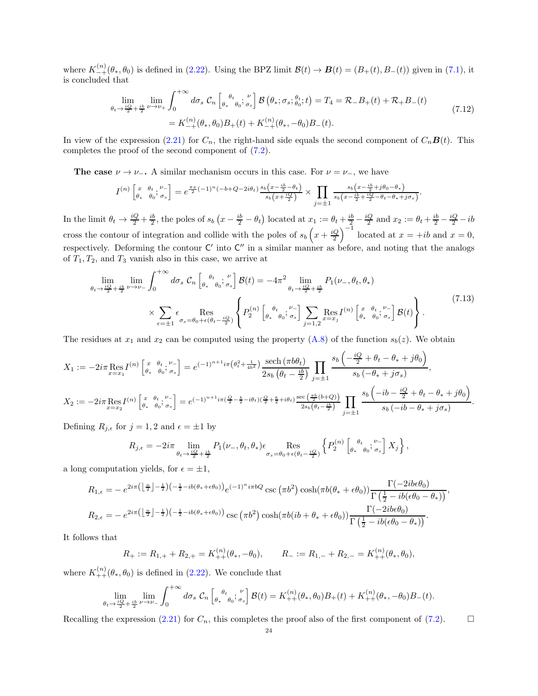where  $K_{-+}^{(n)}(\theta_*, \theta_0)$  is defined in [\(2.22\)](#page-6-5). Using the BPZ limit  $\mathcal{B}(t) \to \mathcal{B}(t) = (B_+(t), B_-(t))$  given in [\(7.1\)](#page-20-2), it is concluded that

$$
\lim_{\theta_t \to \frac{iQ}{2} + \frac{ib}{2}} \lim_{\nu \to \nu_+} \int_0^{+\infty} d\sigma_s \, \mathcal{C}_n \left[ \, \int_{\theta_*}^{\theta_t} \theta_0; \, \int_{\sigma_s}^{\nu} \right] \mathcal{B} \left( \theta_*; \, \sigma_s; \, \theta_0; t \right) = T_4 = \mathcal{R}_- B_+(t) + \mathcal{R}_+ B_-(t) \n= K_{-+}^{(n)}(\theta_*, \theta_0) B_+(t) + K_{-+}^{(n)}(\theta_*, -\theta_0) B_-(t).
$$
\n(7.12)

In view of the expression [\(2.21\)](#page-6-2) for  $C_n$ , the right-hand side equals the second component of  $C_n\mathbf{B}(t)$ . This completes the proof of the second component of [\(7.2\)](#page-20-3).

The case  $\nu \to \nu_-\text{. A similar mechanism occurs in this case. For } \nu = \nu_-\text{, we have}$ 

$$
I^{(n)}\begin{bmatrix} x & \theta_t & \mu_t \\ \theta_* & \theta_0 & \sigma_s \end{bmatrix} = e^{\frac{\pi x}{2}(-1)^n(-b+Q-2i\theta_t)} \frac{s_b(x-\frac{ib}{2}-\theta_t)}{s_b(x+\frac{iQ}{2})} \times \prod_{j=\pm 1} \frac{s_b(x-\frac{ib}{2}+j\theta_0-\theta_*)}{s_b(x-\frac{ib}{2}+\frac{iQ}{2}-\theta_t-\theta_*+j\sigma_s)}.
$$

In the limit  $\theta_t \to \frac{iQ}{2} + \frac{ib}{2}$ , the poles of  $s_b (x - \frac{ib}{2} - \theta_t)$  located at  $x_1 := \theta_t + \frac{ib}{2} - \frac{iQ}{2}$  and  $x_2 := \theta_t + \frac{ib}{2} - \frac{iQ}{2} - ib$ cross the contour of integration and collide with the poles of  $s_b(x+\frac{iQ}{2})^{-1}$  located at  $x = +ib$  and  $x = 0$ , respectively. Deforming the contour  $C'$  into  $C''$  in a similar manner as before, and noting that the analogs of  $T_1, T_2$ , and  $T_3$  vanish also in this case, we arrive at

$$
\lim_{\theta_t \to \frac{iQ}{2} + \frac{ib}{2} \nu \to \nu_-} \int_0^{+\infty} d\sigma_s \mathcal{C}_n \left[ \underset{\theta_*}{\theta_*} \underset{\theta_0}{\theta_0} ; \underset{\sigma_s}{\sigma_s} \right] \mathcal{B}(t) = -4\pi^2 \lim_{\theta_t \to \frac{iQ}{2} + \frac{ib}{2}} P_1(\nu_-, \theta_t, \theta_*)
$$
\n
$$
\times \sum_{\epsilon = \pm 1} \epsilon \underset{\sigma_s = \theta_0 + \epsilon(\theta_t - \frac{iQ}{2})}{\text{Res}} \left\{ P_2^{(n)} \left[ \underset{\theta_*}{\theta_*} \underset{\theta_0}{\theta_0} ; \underset{\sigma_s}{\sigma_s} \right] \sum_{j=1,2} \underset{x = x_j}{\text{Res}} I^{(n)} \left[ \underset{\theta_*}{\overset{x}{\theta_*}} \underset{\theta_0}{\overset{v}{\theta_*}} ; \underset{\sigma_s}{\overset{v}{\sigma_s}} \right] \mathcal{B}(t) \right\}.
$$
\n(7.13)

The residues at  $x_1$  and  $x_2$  can be computed using the property  $(A.8)$  of the function  $s_b(z)$ . We obtain

$$
X_1 := -2i\pi \operatorname{Res}_{x=x_1} I^{(n)} \begin{bmatrix} x & \theta_t & \nu_- \\ \theta_* & \theta_0 & \sigma_s \end{bmatrix} = e^{(-1)^{n+1}i\pi \left(\theta_t^2 + \frac{1}{4b^2}\right)} \frac{\operatorname{sech}\left(\pi b\theta_t\right)}{2s_b \left(\theta_t - \frac{ib}{2}\right)} \prod_{j=\pm 1} \frac{s_b \left(-\frac{iQ}{2} + \theta_t - \theta_* + j\theta_0\right)}{s_b \left(-\theta_* + j\sigma_s\right)},
$$
  
\n
$$
X_2 := -2i\pi \operatorname{Res}_{x=x_2} I^{(n)} \begin{bmatrix} x & \theta_t & \nu_- \\ \theta_* & \theta_0 & \sigma_s \end{bmatrix} = e^{(-1)^{n+1}i\pi \left(\frac{Q}{2} - \frac{b}{2} - i\theta_t\right) \left(\frac{Q}{2} + \frac{b}{2} + i\theta_t\right)} \frac{\operatorname{sec}\left(\frac{\pi b}{2}(b+Q)\right)}{2s_b \left(\theta_t - \frac{ib}{2}\right)} \prod_{j=\pm 1} \frac{s_b \left(-ib - \frac{iQ}{2} + \theta_t - \theta_* + j\theta_0\right)}{s_b \left(-ib - \theta_* + j\sigma_s\right)}.
$$

Defining  $R_{j,\epsilon}$  for  $j = 1, 2$  and  $\epsilon = \pm 1$  by

$$
R_{j,\epsilon} = -2i\pi \lim_{\theta_t \to \frac{iQ}{2} + \frac{ib}{2}} P_1(\nu_-, \theta_t, \theta_*) \epsilon \operatorname{Res}_{\sigma_s = \theta_0 + \epsilon(\theta_t - \frac{iQ}{2})} \left\{ P_2^{(n)} \begin{bmatrix} \theta_t & \nu_- \\ \theta_* & \theta_0 \end{bmatrix} X_j \right\},\,
$$

a long computation yields, for  $\epsilon = \pm 1$ ,

$$
R_{1,\epsilon} = -e^{2i\pi \left(\left\lfloor \frac{n}{2} \right\rfloor - \frac{1}{2}\right)\left(-\frac{1}{2} - ib(\theta_{*} + \epsilon\theta_{0})\right)}e^{(-1)^{n}i\pi bQ} \csc\left(\pi b^{2}\right) \cosh(\pi b(\theta_{*} + \epsilon\theta_{0})) \frac{\Gamma(-2ib\epsilon\theta_{0})}{\Gamma\left(\frac{1}{2} - ib(\epsilon\theta_{0} - \theta_{*})\right)},
$$
  
\n
$$
R_{2,\epsilon} = -e^{2i\pi \left(\left\lfloor \frac{n}{2} \right\rfloor - \frac{1}{2}\right)\left(-\frac{1}{2} - ib(\theta_{*} + \epsilon\theta_{0})\right)}\csc\left(\pi b^{2}\right) \cosh(\pi b(ib + \theta_{*} + \epsilon\theta_{0})) \frac{\Gamma(-2ib\epsilon\theta_{0})}{\Gamma\left(\frac{1}{2} - ib(\epsilon\theta_{0} - \theta_{*})\right)}.
$$

It follows that

$$
R_+ := R_{1,+} + R_{2,+} = K_{++}^{(n)}(\theta_*, -\theta_0), \qquad R_- := R_{1,-} + R_{2,-} = K_{++}^{(n)}(\theta_*, \theta_0),
$$

where  $K_{++}^{(n)}(\theta_*, \theta_0)$  is defined in [\(2.22\)](#page-6-5). We conclude that

$$
\lim_{\theta_t \to \frac{iQ}{2} + \frac{ib}{2}} \lim_{\nu \to \nu_-} \int_0^{+\infty} d\sigma_s \, \mathcal{C}_n \left[ \, \underset{\theta_*}{\overset{\theta_t}{\theta_0}}; \underset{\theta_0}{\overset{\nu}{\sigma_s}} \right] \mathcal{B}(t) = K_{++}^{(n)}(\theta_*, \theta_0) B_+(t) + K_{++}^{(n)}(\theta_*, -\theta_0) B_-(t).
$$

Recalling the expression [\(2.21\)](#page-6-2) for  $C_n$ , this completes the proof also of the first component of [\(7.2\)](#page-20-3).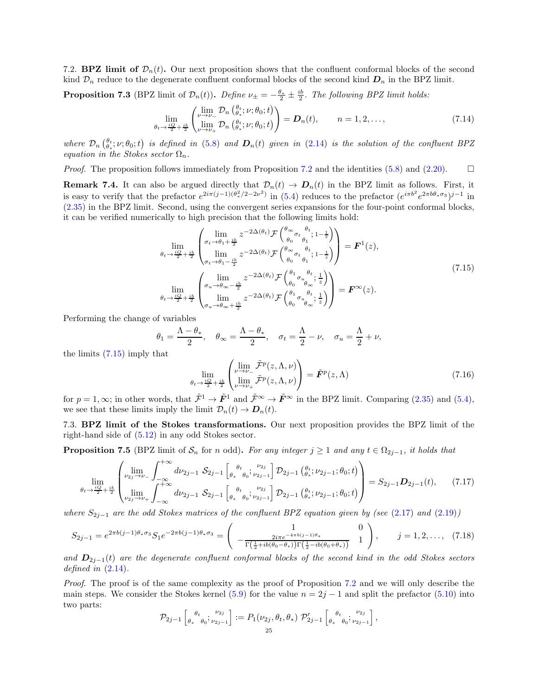<span id="page-24-0"></span>7.2. **BPZ limit of**  $\mathcal{D}_n(t)$ . Our next proposition shows that the confluent conformal blocks of the second kind  $\mathcal{D}_n$  reduce to the degenerate confluent conformal blocks of the second kind  $\mathcal{D}_n$  in the BPZ limit.

<span id="page-24-2"></span>**Proposition 7.3** (BPZ limit of  $\mathcal{D}_n(t)$ ). Define  $\nu_{\pm} = -\frac{\theta_*}{2} \pm \frac{ib}{2}$ . The following BPZ limit holds:

$$
\lim_{\theta_t \to \frac{iQ}{2} + \frac{ib}{2}} \begin{pmatrix} \lim_{\nu \to \nu_-} \mathcal{D}_n \left( \theta_i^t; \nu; \theta_0; t \right) \\ \lim_{\nu \to \nu_+} \mathcal{D}_n \left( \theta_i^t; \nu; \theta_0; t \right) \end{pmatrix} = \mathbf{D}_n(t), \qquad n = 1, 2, \dots,
$$
\n(7.14)

where  $\mathcal{D}_n\left(\theta_t;\nu;\theta_0;t\right)$  is defined in [\(5.8\)](#page-14-5) and  $\mathbf{D}_n(t)$  given in [\(2.14\)](#page-5-0) is the solution of the confluent BPZ equation in the Stokes sector  $\Omega_n$ .

*Proof.* The proposition follows immediately from Proposition [7.2](#page-20-6) and the identities [\(5.8\)](#page-14-5) and [\(2.20\)](#page-6-3).  $\Box$ 

**Remark 7.4.** It can also be argued directly that  $\mathcal{D}_n(t) \to \mathcal{D}_n(t)$  in the BPZ limit as follows. First, it is easy to verify that the prefactor  $e^{2i\pi(j-1)(\theta_x^2/2-2\nu^2)}$  in [\(5.4\)](#page-13-7) reduces to the prefactor  $(e^{i\pi b^2}e^{2\pi b\theta_*\sigma_3})^{j-1}$  in [\(2.35\)](#page-8-7) in the BPZ limit. Second, using the convergent series expansions for the four-point conformal blocks, it can be verified numerically to high precision that the following limits hold:

$$
\lim_{\theta_t \to \frac{iQ}{2} + \frac{ib}{2}} \begin{pmatrix} \lim_{\sigma_t \to \theta_1 + \frac{ib}{2}} z^{-2\Delta(\theta_t)} \mathcal{F} \begin{pmatrix} \theta_{\infty} & \theta_t \\ \theta_0 & \theta_1 \end{pmatrix}; 1 - \frac{1}{z} \end{pmatrix} \newline \lim_{\theta_t \to \frac{iQ}{2} + \frac{ib}{2}} \lim_{\theta_0 \to \theta_1 - \frac{ib}{2}} z^{-2\Delta(\theta_t)} \mathcal{F} \begin{pmatrix} \theta_{\infty} & \theta_t \\ \theta_0 & \theta_1 \end{pmatrix}; 1 - \frac{1}{z} \end{pmatrix} = \mathbf{F}^1(z),
$$
\n
$$
\lim_{\theta_t \to \frac{iQ}{2} + \frac{ib}{2}} \begin{pmatrix} \lim_{\sigma_u \to \theta_{\infty} - \frac{ib}{2}} z^{-2\Delta(\theta_t)} \mathcal{F} \begin{pmatrix} \theta_1 & \theta_t \\ \theta_0 & \theta_{\infty} \end{pmatrix}; \frac{1}{z} \end{pmatrix} \newline = \mathbf{F}^{\infty}(z).
$$
\n(7.15)

<span id="page-24-3"></span>Performing the change of variables

$$
\theta_1=\frac{\Lambda-\theta_*}{2},\quad \theta_\infty=\frac{\Lambda-\theta_*}{2},\quad \sigma_t=\frac{\Lambda}{2}-\nu,\quad \sigma_u=\frac{\Lambda}{2}+\nu,
$$

the limits [\(7.15\)](#page-24-3) imply that

$$
\lim_{\theta_t \to \frac{iQ}{2} + \frac{ib}{2}} \begin{pmatrix} \lim_{\nu \to \nu_-} \tilde{\mathcal{F}}^p(z, \Lambda, \nu) \\ \lim_{\nu \to \nu_+} \tilde{\mathcal{F}}^p(z, \Lambda, \nu) \end{pmatrix} = \tilde{\mathbf{F}}^p(z, \Lambda)
$$
\n(7.16)

for  $p = 1, \infty$ ; in other words, that  $\tilde{\mathcal{F}}^1 \to \tilde{\mathbf{F}}^1$  and  $\tilde{\mathcal{F}}^{\infty} \to \tilde{\mathbf{F}}^{\infty}$  in the BPZ limit. Comparing [\(2.35\)](#page-8-7) and [\(5.4\)](#page-13-7), we see that these limits imply the limit  $\mathcal{D}_n(t) \to \mathcal{D}_n(t)$ .

<span id="page-24-1"></span>7.3. BPZ limit of the Stokes transformations. Our next proposition provides the BPZ limit of the right-hand side of [\(5.12\)](#page-15-2) in any odd Stokes sector.

<span id="page-24-6"></span>**Proposition 7.5** (BPZ limit of  $S_n$  for n odd). For any integer  $j \ge 1$  and any  $t \in \Omega_{2j-1}$ , it holds that

<span id="page-24-5"></span>
$$
\lim_{\theta_t \to \frac{iQ}{2} + \frac{ib}{2}} \begin{pmatrix} \lim_{\nu_{2j} \to \nu_{-}} \int_{-\infty}^{+\infty} d\nu_{2j-1} \, S_{2j-1} \left[ \frac{\theta_t}{\theta_s} \frac{\nu_{2j}}{\theta_o} \frac{\nu_{2j-1}}{\nu_{2j-1}} \right] \mathcal{D}_{2j-1} \left( \frac{\theta_t}{\theta_s} \frac{\nu_{2j-1}}{\nu_{2j-1}} \frac{\theta_o}{\theta_o} \frac{\nu_{2j}}{\nu_{2j-1}} \frac{\nu_{2j}}{\nu_{2j-1}} \frac{\nu_{2j}}{\nu_{2j-1}} \frac{\nu_{2j}}{\nu_{2j-1}} \frac{\nu_{2j}}{\nu_{2j-1}} \frac{\nu_{2j}}{\nu_{2j-1}} \frac{\nu_{2j}}{\nu_{2j-1}} \frac{\nu_{2j}}{\nu_{2j-1}} \frac{\nu_{2j}}{\nu_{2j-1}} \frac{\nu_{2j}}{\nu_{2j-1}} \frac{\nu_{2j}}{\nu_{2j-1}} \frac{\nu_{2j}}{\nu_{2j}} \frac{\nu_{2j}}{\nu_{2j}} \frac{\nu_{2j}}{\nu_{2j}} \frac{\nu_{2j}}{\nu_{2j}} \frac{\nu_{2j}}{\nu_{2j}} \frac{\nu_{2j}}{\nu_{2j}} \frac{\nu_{2j}}{\nu_{2j}} \frac{\nu_{2j}}{\nu_{2j}} \frac{\nu_{2j}}{\nu_{2j}} \frac{\nu_{2j}}{\nu_{2j}} \frac{\nu_{2j}}{\nu_{2j}} \frac{\nu_{2j}}{\nu_{2j}} \frac{\nu_{2j}}{\nu_{2j}} \frac{\nu_{2j}}{\nu_{2j}} \frac{\nu_{2j}}{\nu_{2j}} \frac{\nu_{2j}}{\nu_{2j}} \frac{\nu_{2j}}{\nu_{2j}} \frac{\nu_{2j}}{\nu_{2j}} \frac{\nu_{2j}}{\nu_{2j}} \frac{\nu_{2j}}{\nu_{2j}} \frac{\nu_{2j}}{\nu_{2j}} \frac{\nu_{2j}}{\nu_{2j}} \frac{\nu_{2j}}{\nu_{2j}} \frac{\nu_{2j}}{\nu_{2j}} \frac{\nu_{2j}}{\nu_{2j}} \frac{\nu_{2j}}{\nu_{2j}} \frac{\nu_{2j}}{\nu_{2j}} \frac{\nu_{2j}}{\nu_{2j}} \frac{\nu_{2j}}{\nu_{2j}} \frac{\nu_{
$$

where  $S_{2j-1}$  are the odd Stokes matrices of the confluent BPZ equation given by (see [\(2.17\)](#page-5-4) and [\(2.19\)](#page-6-0))

<span id="page-24-4"></span>
$$
S_{2j-1} = e^{2\pi b(j-1)\theta_*\sigma_3} S_1 e^{-2\pi b(j-1)\theta_*\sigma_3} = \begin{pmatrix} 1 & 0 \\ -\frac{2i\pi e^{-4\pi b(j-1)\theta_*}}{\Gamma(\frac{1}{2}+ib(\theta_0-\theta_*))\Gamma(\frac{1}{2}-ib(\theta_0+\theta_*))} & 1 \end{pmatrix}, \qquad j = 1, 2, \dots, (7.18)
$$

and  $\mathbf{D}_{2j-1}(t)$  are the degenerate confluent conformal blocks of the second kind in the odd Stokes sectors defined in  $(2.14)$ .

Proof. The proof is of the same complexity as the proof of Proposition [7.2](#page-20-6) and we will only describe the main steps. We consider the Stokes kernel [\(5.9\)](#page-14-2) for the value  $n = 2j - 1$  and split the prefactor [\(5.10\)](#page-14-7) into two parts:

$$
\mathcal{P}_{2j-1}\left[ \begin{matrix} \theta_t & \nu_{2j} \\ \theta_* & \theta_0 \end{matrix}; \nu_{2j-1} \right] := P_1(\nu_{2j}, \theta_t, \theta_*) \mathcal{P}'_{2j-1}\left[ \begin{matrix} \theta_t & \nu_{2j} \\ \theta_* & \theta_0 \end{matrix}; \nu_{2j-1} \right],
$$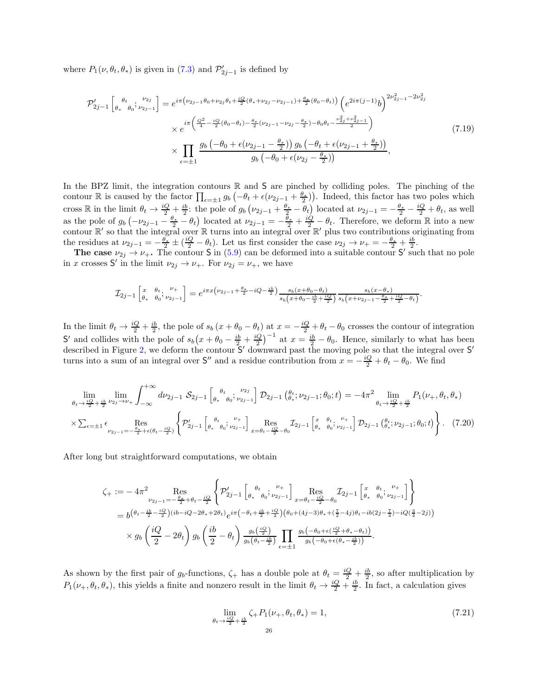where  $P_1(\nu, \theta_t, \theta_*)$  is given in [\(7.3\)](#page-20-7) and  $\mathcal{P}'_{2j-1}$  is defined by

$$
\mathcal{P}'_{2j-1} \left[ \begin{matrix} \theta_t & \nu_{2j} \\ \theta_* & \theta_0 \end{matrix}; \nu_{2j-1} \right] = e^{i\pi \left( \nu_{2j-1} \theta_0 + \nu_{2j} \theta_t + \frac{iQ}{2} (\theta_* + \nu_{2j} - \nu_{2j-1}) + \frac{\theta_*}{2} (\theta_0 - \theta_t) \right)} \left( e^{2i\pi (j-1)} b \right)^{2\nu_{2j-1}^2 - 2\nu_{2j}^2}
$$
\n
$$
\times e^{i\pi \left( \frac{Q^2}{4} - \frac{iQ}{2} (\theta_0 - \theta_t) - \frac{\theta_*}{2} (\nu_{2j-1} - \nu_{2j} - \frac{\theta_*}{2}) - \theta_0 \theta_t - \frac{\nu_{2j}^2 + \nu_{2j-1}^2}{2} \right)}
$$
\n
$$
\times \prod_{\epsilon = \pm 1} \frac{g_b \left( -\theta_0 + \epsilon (\nu_{2j-1} - \frac{\theta_*}{2}) \right) g_b \left( -\theta_t + \epsilon (\nu_{2j-1} + \frac{\theta_*}{2}) \right)}{g_b \left( -\theta_0 + \epsilon (\nu_{2j} - \frac{\theta_*}{2}) \right)},
$$
\n(7.19)

In the BPZ limit, the integration contours  $\mathbb R$  and  $S$  are pinched by colliding poles. The pinching of the contour R is caused by the factor  $\prod_{\epsilon=\pm 1} g_b \left( -\theta_t + \epsilon (\nu_{2j-1} + \frac{\theta_*}{2}) \right)$ . Indeed, this factor has two poles which cross R in the limit  $\theta_t \to \frac{iQ}{2} + \frac{ib}{2}$ : the pole of  $g_b(\nu_{2j-1} + \frac{\theta_*}{2} - \theta_t)$  located at  $\nu_{2j-1} = -\frac{\theta_*}{2} - \frac{iQ}{2} + \theta_t$ , as well as the pole of  $g_b(-\nu_{2j-1}-\frac{\theta_*}{2}-\theta_t)$  located at  $\nu_{2j-1}=-\frac{\theta_*}{2}+\frac{iQ}{2}-\theta_t$ . Therefore, we deform R into a new contour  $\mathbb{R}'$  so that the integral over  $\mathbb R$  turns into an integral over  $\mathbb{R}'$  plus two contributions originating from the residues at  $\nu_{2j-1} = -\frac{\theta_*}{2} \pm (\frac{iQ}{2} - \theta_t)$ . Let us first consider the case  $\nu_{2j} \rightarrow \nu_+ = -\frac{\theta_*}{2} + \frac{ib}{2}$ .

The case  $\nu_{2j} \rightarrow \nu_{+}$ . The contour S in [\(5.9\)](#page-14-2) can be deformed into a suitable contour S' such that no pole in x crosses S' in the limit  $\nu_{2j} \to \nu_+$ . For  $\nu_{2j} = \nu_+$ , we have

$$
\mathcal{I}_{2j-1}\left[\begin{matrix} x & \theta_t & \nu_+ \\ \theta_* & \theta_0 & \nu_{2j-1} \end{matrix}\right] = e^{i\pi x \left(\nu_{2j-1} + \frac{\theta_*}{2} - iQ - \frac{ib}{2}\right)} \frac{s_b(x+\theta_0-\theta_t)}{s_b(x+\theta_0-\frac{ib}{2}+\frac{iQ}{2})} \frac{s_b(x-\theta_*)}{s_b(x+\nu_{2j-1}-\frac{\theta_*}{2}+\frac{iQ}{2}-\theta_t)}.
$$

In the limit  $\theta_t \to \frac{iQ}{2} + \frac{ib}{2}$ , the pole of  $s_b(x + \theta_0 - \theta_t)$  at  $x = -\frac{iQ}{2} + \theta_t - \theta_0$  crosses the contour of integration S' and collides with the pole of  $s_b(x + \theta_0 - \frac{ib}{2} + \frac{iQ}{2})^{-1}$  at  $x = \frac{ib}{2} - \theta_0$ . Hence, similarly to what has been described in Figure [2,](#page-21-0) we deform the contour  $S'$  downward past the moving pole so that the integral over S' turns into a sum of an integral over  $S''$  and a residue contribution from  $x = -\frac{iQ}{2} + \theta_t - \theta_0$ . We find

$$
\lim_{\theta_t \to \frac{iQ}{2} + \frac{ib}{2} \nu_{2j} \to \nu_{+}} \int_{-\infty}^{+\infty} d\nu_{2j-1} \mathcal{S}_{2j-1} \left[ \frac{\theta_t}{\theta_s} \frac{\nu_{2j}}{\theta_2 \nu_{2j-1}} \right] \mathcal{D}_{2j-1} \left( \frac{\theta_t}{\theta_s}; \nu_{2j-1}; \theta_0; t \right) = -4\pi^2 \lim_{\theta_t \to \frac{iQ}{2} + \frac{ib}{2}} P_1(\nu_+, \theta_t, \theta_*)
$$
\n
$$
\times \sum_{\epsilon = \pm 1} \epsilon \underset{\nu_{2j-1} = -\frac{\theta_*}{2} + \epsilon(\theta_t - \frac{iQ}{2})}{\text{Res}} \left\{ P'_{2j-1} \left[ \frac{\theta_t}{\theta_s} \frac{\nu_+}{\theta_0}; \frac{\nu_+}{\nu_{2j-1}} \right] \underset{x = \theta_t - \frac{iQ}{2} - \theta_0}{\text{Res}} \mathcal{I}_{2j-1} \left[ \frac{x}{\theta_s} \frac{\theta_t}{\theta_0}; \frac{\nu_+}{\nu_{2j-1}} \right] \mathcal{D}_{2j-1} \left( \frac{\theta_t}{\theta_s}; \nu_{2j-1}; \theta_0; t \right) \right\}. \tag{7.20}
$$

After long but straightforward computations, we obtain

$$
\zeta_{+} := -4\pi^{2} \operatorname{Res}_{\nu_{2j-1} = -\frac{\theta_{2}}{2} + \theta_{t} - \frac{iQ}{2}} \left\{ \mathcal{P}_{2j-1}^{\prime} \left[ \theta_{*}^{\theta_{t}} \theta_{0}^{\theta_{t}} \psi_{2j-1}^{\theta_{t}} \right]_{x = \theta_{t} - \frac{iQ}{2} - \theta_{0}}^{\theta_{t} - \frac{iQ}{2} - \theta_{1}} \left[ \theta_{*}^{\theta_{t}} \theta_{0}^{\theta_{t}} \psi_{2j-1}^{\theta_{t}} \right] \right\} \n= b^{\left(\theta_{t} - \frac{ib}{2} - \frac{iQ}{2}\right) \left(ib - iQ - 2\theta_{*} + 2\theta_{t}\right)} e^{i\pi \left(-\theta_{t} + \frac{ib}{2} + \frac{iQ}{2}\right) \left(\theta_{0} + (4j - 3)\theta_{*} + (\frac{7}{2} - 4j)\theta_{t} - ib(2j - \frac{7}{4}) - iQ(\frac{3}{4} - 2j)\right)} \n\times g_{b} \left( \frac{iQ}{2} - 2\theta_{t} \right) g_{b} \left( \frac{ib}{2} - \theta_{t} \right) \frac{g_{b} \left(\frac{iQ}{2}\right)}{g_{b} \left(\theta_{t} - \frac{ib}{2}\right)} \prod_{\epsilon = \pm 1} \frac{g_{b} \left(-\theta_{0} + \epsilon(\frac{iQ}{2} + \theta_{*} - \theta_{t})\right)}{g_{b} \left(-\theta_{0} + \epsilon(\theta_{*} - \frac{ib}{2})\right)}.
$$

As shown by the first pair of  $g_b$ -functions,  $\zeta_+$  has a double pole at  $\theta_t = \frac{iQ}{2} + \frac{ib}{2}$ , so after multiplication by  $P_1(\nu_{+},\theta_t,\theta_*)$ , this yields a finite and nonzero result in the limit  $\theta_t \to \frac{iQ}{2} + \frac{ib}{2}$ . In fact, a calculation gives

<span id="page-25-0"></span>
$$
\lim_{\theta_t \to \frac{iQ}{2} + \frac{ib}{2}} \zeta + P_1(\nu_+, \theta_t, \theta_*) = 1,
$$
\n(7.21)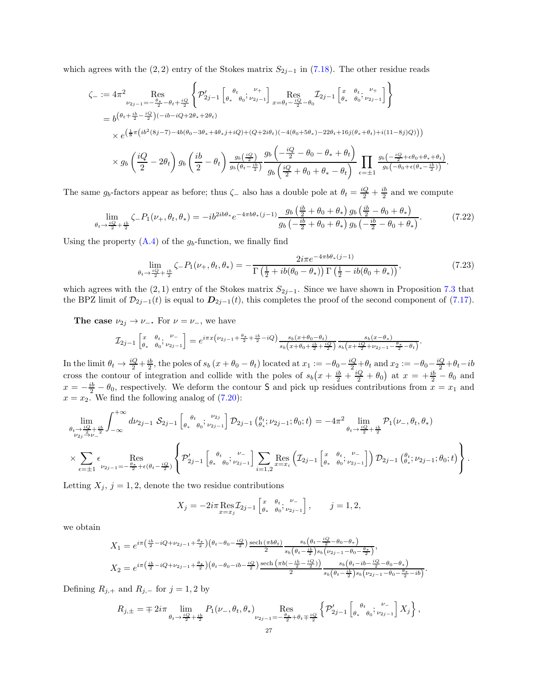which agrees with the  $(2, 2)$  entry of the Stokes matrix  $S_{2j-1}$  in [\(7.18\)](#page-24-4). The other residue reads

$$
\zeta_{-} := 4\pi^{2} \operatorname{Res}_{\nu_{2j-1} = -\frac{\theta_{*}}{2} - \theta_{t} + \frac{iQ}{2}} \left\{ \mathcal{P}_{2j-1}^{\prime} \left[ \begin{matrix} \theta_{t} & \nu_{+} \\ \theta_{*} & \theta_{0} \end{matrix}; \begin{matrix} \mu_{2j-1} \\ \nu_{2j-1} \end{matrix} \right]_{x = \theta_{t} - \frac{iQ}{2} - \theta_{0}}^{x} \mathcal{I}_{2j-1} \left[ \begin{matrix} x & \theta_{t} & \nu_{+} \\ \theta_{*} & \theta_{0} \end{matrix}; \begin{matrix} \nu_{2j-1} \\ \nu_{2j-1} \end{matrix} \right] \right\}
$$
\n
$$
\times e^{\left(\frac{1}{8}\pi \left(i b^{2} (8j - 7) - 4b (\theta_{0} - 3\theta_{*} + 4\theta_{*} j + iQ) + (Q + 2i\theta_{t})(-4(\theta_{0} + 5\theta_{*}) - 22\theta_{t} + 16j(\theta_{*} + \theta_{t}) + i(11 - 8j)Q) \right) \right)}
$$
\n
$$
\times g_{b} \left( \frac{iQ}{2} - 2\theta_{t} \right) g_{b} \left( \frac{ib}{2} - \theta_{t} \right) \frac{g_{b} \left(\frac{iQ}{2} \right)}{g_{b} \left(\theta_{t} - \frac{ib}{2} \right)} \frac{g_{b} \left(-\frac{iQ}{2} - \theta_{0} - \theta_{*} + \theta_{t} \right)}{g_{b} \left(\frac{iQ}{2} + \theta_{0} + \theta_{*} - \theta_{t} \right)} \prod_{\epsilon = \pm 1} \frac{g_{b} \left(-\frac{iQ}{2} + \epsilon\theta_{0} + \theta_{*} + \theta_{t} \right)}{g_{b} \left(-\theta_{0} + \epsilon(\theta_{*} - \frac{ib}{2}) \right)}.
$$

The same  $g_b$ -factors appear as before; thus  $\zeta$  also has a double pole at  $\theta_t = \frac{iQ}{2} + \frac{ib}{2}$  and we compute

$$
\lim_{\theta_t \to \frac{iQ}{2} + \frac{ib}{2}} \zeta - P_1(\nu_+, \theta_t, \theta_*) = -ib^{2ib\theta_*} e^{-4\pi b \theta_* (j-1)} \frac{g_b(\frac{ib}{2} + \theta_0 + \theta_*) g_b(\frac{ib}{2} - \theta_0 + \theta_*)}{g_b(-\frac{ib}{2} + \theta_0 + \theta_*) g_b(-\frac{ib}{2} - \theta_0 + \theta_*)}.
$$
(7.22)

Using the property  $(A.4)$  of the  $g_b$ -function, we finally find

$$
\lim_{\theta_t \to \frac{iQ}{2} + \frac{ib}{2}} \zeta = P_1(\nu_+, \theta_t, \theta_*) = -\frac{2i\pi e^{-4\pi b\theta_*(j-1)}}{\Gamma(\frac{1}{2} + ib(\theta_0 - \theta_*))\Gamma(\frac{1}{2} - ib(\theta_0 + \theta_*))},\tag{7.23}
$$

which agrees with the  $(2, 1)$  entry of the Stokes matrix  $S_{2j-1}$ . Since we have shown in Proposition [7.3](#page-24-2) that the BPZ limit of  $\mathcal{D}_{2j-1}(t)$  is equal to  $\mathcal{D}_{2j-1}(t)$ , this completes the proof of the second component of [\(7.17\)](#page-24-5).

The case  $\nu_{2j} \rightarrow \nu_{-}$ . For  $\nu = \nu_{-}$ , we have

$$
\mathcal{I}_{2j-1}\left[\begin{matrix} x & \theta_t & \nu_- \\ \theta_* & \theta_0 & \nu_{2j-1} \end{matrix}\right] = e^{i\pi x \left(\nu_{2j-1} + \frac{\theta_*}{2} + \frac{ib}{2} - iQ\right)} \frac{s_b(x+\theta_0-\theta_t)}{s_b(x+\theta_0 + \frac{ib}{2} + \frac{iQ}{2})} \frac{s_b(x-\theta_*)}{s_b(x+\frac{iQ}{2} + \nu_{2j-1} - \frac{\theta_*}{2} - \theta_t)}.
$$

In the limit  $\theta_t \to \frac{iQ}{2} + \frac{ib}{2}$ , the poles of  $s_b(x + \theta_0 - \theta_t)$  located at  $x_1 := -\theta_0 - \frac{iQ}{2} + \theta_t$  and  $x_2 := -\theta_0 - \frac{iQ}{2} + \theta_t - ib$ cross the contour of integration and collide with the poles of  $s_b(x+\frac{ib}{2}+\frac{iQ}{2}+\theta_0)$  at  $x = +\frac{ib}{2}-\theta_0$  and  $x = -\frac{ib}{2} - \theta_0$ , respectively. We deform the contour S and pick up residues contributions from  $x = x_1$  and  $x = x_2$ . We find the following analog of  $(7.20)$ :

$$
\lim_{\theta_t \to \frac{iQ}{2} + \frac{ib}{2}} \int_{-\infty}^{+\infty} d\nu_{2j-1} S_{2j-1} \left[ \frac{\theta_t}{\theta_s} \frac{\nu_{2j}}{\nu_{2j-1}} \right] \mathcal{D}_{2j-1} \left( \frac{\theta_t}{\theta_s}; \nu_{2j-1}; \theta_0; t \right) = -4\pi^2 \lim_{\theta_t \to \frac{iQ}{2} + \frac{ib}{2}} \mathcal{P}_1(\nu_-, \theta_t, \theta_*)
$$
\n
$$
\times \sum_{\epsilon = \pm 1} \epsilon \underset{\nu_{2j-1} = -\frac{\theta_*}{2} + \epsilon(\theta_t - \frac{iQ}{2})}{\text{Res}} \left\{ \mathcal{P}'_{2j-1} \left[ \frac{\theta_t}{\theta_s} \frac{\nu_-}{\theta_0}; \frac{\nu_-}{\nu_{2j-1}} \right] \sum_{i=1,2} \underset{x=x_i}{\text{Res}} \left( \mathcal{I}_{2j-1} \left[ \frac{x}{\theta_s} \frac{\theta_t}{\theta_0}; \frac{\nu_-}{\nu_{2j-1}} \right] \right) \mathcal{D}_{2j-1} \left( \frac{\theta_t}{\theta_s}; \nu_{2j-1}; \theta_0; t \right) \right\}.
$$

Letting  $X_j$ ,  $j = 1, 2$ , denote the two residue contributions

$$
X_j = -2i\pi \underset{x=x_j}{\text{Res}} \mathcal{I}_{2j-1} \left[ \begin{matrix} x & \theta_t & \nu_- \\ \theta_* & \theta_0 & \nu_{2j-1} \end{matrix} \right], \qquad j = 1, 2,
$$

we obtain

$$
X_1 = e^{i\pi \left(\frac{ib}{2} - iQ + \nu_{2j-1} + \frac{\theta_*}{2}\right)\left(\theta_t - \theta_0 - \frac{iQ}{2}\right)\frac{\text{sech}\left(\pi b\theta_t\right)}{2} s_b\left(\theta_t - \frac{ib}{2}\right)s_b\left(\nu_{2j-1} - \theta_0 - \frac{\theta_*}{2}\right)},
$$
\n
$$
X_2 = e^{i\pi \left(\frac{ib}{2} - iQ + \nu_{2j-1} + \frac{\theta_*}{2}\right)\left(\theta_t - \theta_0 - ib - \frac{iQ}{2}\right)\frac{\text{sech}\left(\pi b\left(-\frac{ib}{2} - \frac{iQ}{2}\right)\right)}{2} s_b\left(\theta_t - \frac{ib}{2}\right)s_b\left(\nu_{2j-1} - \theta_0 - \theta_*\right)}.
$$

Defining  $R_{j,+}$  and  $R_{j,-}$  for  $j=1,2$  by

$$
R_{j,\pm} = \mp 2i\pi \lim_{\theta_t \to \frac{iQ}{2} + \frac{ib}{2}} P_1(\nu_-, \theta_t, \theta_*) \underset{\nu_{2j-1} = -\frac{\theta_*}{2} + \theta_t \mp \frac{iQ}{2}}{\text{Res}} \left\{ \mathcal{P}'_{2j-1} \left[ \begin{matrix} \theta_t & \nu_- \\ \theta_* & \theta_0 \end{matrix}; \begin{matrix} \nu_- \\ \nu_{2j-1} \end{matrix} \right] X_j \right\},
$$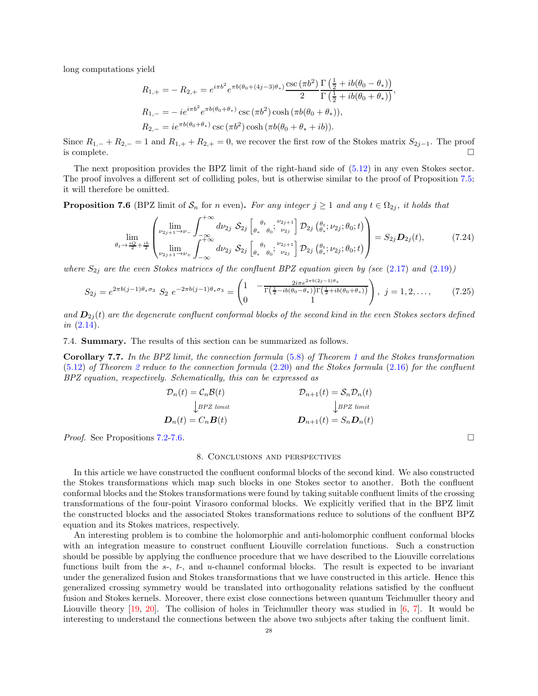long computations yield

$$
R_{1,+} = -R_{2,+} = e^{i\pi b^2} e^{\pi b(\theta_0 + (4j-3)\theta_*)} \frac{\csc(\pi b^2)}{2} \frac{\Gamma(\frac{1}{2} + ib(\theta_0 - \theta_*))}{\Gamma(\frac{1}{2} + ib(\theta_0 + \theta_*))},
$$
  
\n
$$
R_{1,-} = -ie^{i\pi b^2} e^{\pi b(\theta_0 + \theta_*)} \csc(\pi b^2) \cosh(\pi b(\theta_0 + \theta_*)),
$$
  
\n
$$
R_{2,-} = ie^{\pi b(\theta_0 + \theta_*)} \csc(\pi b^2) \cosh(\pi b(\theta_0 + \theta_* + ib)).
$$

Since  $R_{1,-} + R_{2,-} = 1$  and  $R_{1,+} + R_{2,+} = 0$ , we recover the first row of the Stokes matrix  $S_{2,j-1}$ . The proof is complete.  $\Box$ 

The next proposition provides the BPZ limit of the right-hand side of [\(5.12\)](#page-15-2) in any even Stokes sector. The proof involves a different set of colliding poles, but is otherwise similar to the proof of Proposition [7.5;](#page-24-6) it will therefore be omitted.

<span id="page-27-2"></span>**Proposition 7.6** (BPZ limit of  $S_n$  for n even). For any integer  $j \ge 1$  and any  $t \in \Omega_{2j}$ , it holds that

$$
\lim_{\theta_t \to \frac{iQ}{2} + \frac{ib}{2}} \left( \lim_{\nu_{2j+1} \to \nu_{+}} \int_{-\infty}^{+\infty} d\nu_{2j} \, S_{2j} \left[ \underset{\theta_{*}}{\underset{\theta_{*}}{\theta_{0}} \theta_{0}}; \frac{\nu_{2j+1}}{\nu_{2j}} \right] \mathcal{D}_{2j} \left( \underset{\theta_{*}}{\underset{\theta_{*}}{\theta_{t}} \nu_{2j}}; \theta_{0}; t \right) \right) = S_{2j} \mathcal{D}_{2j}(t), \tag{7.24}
$$

where  $S_{2j}$  are the even Stokes matrices of the confluent BPZ equation given by (see [\(2.17\)](#page-5-4) and [\(2.19\)](#page-6-0))

$$
S_{2j} = e^{2\pi b(j-1)\theta_*\sigma_3} S_2 e^{-2\pi b(j-1)\theta_*\sigma_3} = \begin{pmatrix} 1 & -\frac{2i\pi e^{2\pi b(2j-1)\theta_*}}{\Gamma(\frac{1}{2}-ib(\theta_0-\theta_*))\Gamma(\frac{1}{2}+ib(\theta_0+\theta_*))} \\ 0 & 1 \end{pmatrix}, \quad j = 1, 2, \dots, \tag{7.25}
$$

and  $\mathbf{D}_{2j}(t)$  are the degenerate confluent conformal blocks of the second kind in the even Stokes sectors defined  $in (2.14).$  $in (2.14).$  $in (2.14).$ 

<span id="page-27-0"></span>7.4. Summary. The results of this section can be summarized as follows.

Corollary 7.7. In the BPZ limit, the connection formula [\(5.8\)](#page-14-5) of Theorem [1](#page-14-1) and the Stokes transformation [\(5.12\)](#page-15-2) of Theorem [2](#page-15-1) reduce to the connection formula [\(2.20\)](#page-6-3) and the Stokes formula [\(2.16\)](#page-5-3) for the confluent BPZ equation, respectively. Schematically, this can be expressed as

$$
\begin{aligned} \mathcal{D}_n(t) &= \mathcal{C}_n \mathcal{B}(t) & \mathcal{D}_{n+1}(t) &= \mathcal{S}_n \mathcal{D}_n(t) \\ & \downarrow_{B P Z \ limit} & \downarrow_{B P Z \ limit} \\ \mathcal{D}_n(t) &= C_n \mathcal{B}(t) & \mathcal{D}_{n+1}(t) &= S_n \mathcal{D}_n(t) \end{aligned}
$$

<span id="page-27-1"></span>*Proof.* See Propositions [7.2-](#page-20-6)[7.6.](#page-27-2)

#### 8. Conclusions and perspectives

In this article we have constructed the confluent conformal blocks of the second kind. We also constructed the Stokes transformations which map such blocks in one Stokes sector to another. Both the confluent conformal blocks and the Stokes transformations were found by taking suitable confluent limits of the crossing transformations of the four-point Virasoro conformal blocks. We explicitly verified that in the BPZ limit the constructed blocks and the associated Stokes transformations reduce to solutions of the confluent BPZ equation and its Stokes matrices, respectively.

An interesting problem is to combine the holomorphic and anti-holomorphic confluent conformal blocks with an integration measure to construct confluent Liouville correlation functions. Such a construction should be possible by applying the confluence procedure that we have described to the Liouville correlations functions built from the  $s<sub>-</sub>$ ,  $t<sub>-</sub>$ , and u-channel conformal blocks. The result is expected to be invariant under the generalized fusion and Stokes transformations that we have constructed in this article. Hence this generalized crossing symmetry would be translated into orthogonality relations satisfied by the confluent fusion and Stokes kernels. Moreover, there exist close connections between quantum Teichmuller theory and Liouville theory [\[19,](#page-29-19) [20\]](#page-29-20). The collision of holes in Teichmuller theory was studied in [\[6](#page-29-21), [7](#page-29-22)]. It would be interesting to understand the connections between the above two subjects after taking the confluent limit.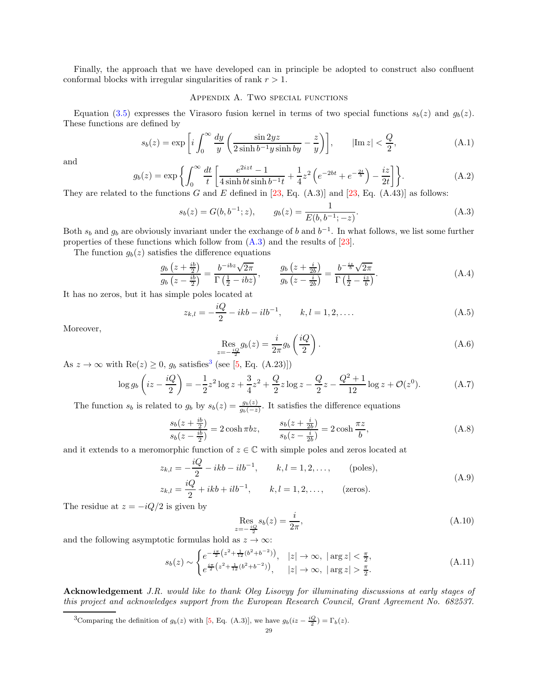<span id="page-28-0"></span>Finally, the approach that we have developed can in principle be adopted to construct also confluent conformal blocks with irregular singularities of rank  $r > 1$ .

# Appendix A. Two special functions

Equation [\(3.5\)](#page-11-2) expresses the Virasoro fusion kernel in terms of two special functions  $s_b(z)$  and  $g_b(z)$ . These functions are defined by

<span id="page-28-4"></span>
$$
s_b(z) = \exp\left[i\int_0^\infty \frac{dy}{y} \left(\frac{\sin 2yz}{2\sinh b^{-1}y \sinh by} - \frac{z}{y}\right)\right], \qquad |\text{Im } z| < \frac{Q}{2},\tag{A.1}
$$

and

<span id="page-28-5"></span>
$$
g_b(z) = \exp\left\{ \int_0^\infty \frac{dt}{t} \left[ \frac{e^{2izt} - 1}{4 \sinh bt \sinh b^{-1}t} + \frac{1}{4} z^2 \left( e^{-2bt} + e^{-\frac{2t}{b}} \right) - \frac{iz}{2t} \right] \right\}.
$$
 (A.2)

They are related to the functions G and E defined in [\[23](#page-29-23), Eq.  $(A.3)$ ] and [\[23,](#page-29-23) Eq.  $(A.43)$ ] as follows:

$$
s_b(z) = G(b, b^{-1}; z), \qquad g_b(z) = \frac{1}{E(b, b^{-1}; -z)}.
$$
\n(A.3)

Both  $s_b$  and  $g_b$  are obviously invariant under the exchange of b and  $b^{-1}$ . In what follows, we list some further properties of these functions which follow from  $(A.3)$  and the results of  $[23]$ .

The function  $g_b(z)$  satisfies the difference equations

<span id="page-28-8"></span>
$$
\frac{g_b\left(z+\frac{ib}{2}\right)}{g_b\left(z-\frac{ib}{2}\right)} = \frac{b^{-ibz}\sqrt{2\pi}}{\Gamma\left(\frac{1}{2}-ibz\right)}, \qquad \frac{g_b\left(z+\frac{i}{2b}\right)}{g_b\left(z-\frac{i}{2b}\right)} = \frac{b^{-\frac{iz}{b}}\sqrt{2\pi}}{\Gamma\left(\frac{1}{2}-\frac{iz}{b}\right)}.
$$
\n(A.4)

It has no zeros, but it has simple poles located at

<span id="page-28-6"></span>
$$
z_{k,l} = -\frac{iQ}{2} - ikb - ilb^{-1}, \qquad k, l = 1, 2, ....
$$
 (A.5)

Moreover,

<span id="page-28-10"></span><span id="page-28-7"></span>
$$
\operatorname{Res}_{z=-\frac{iQ}{2}} g_b(z) = \frac{i}{2\pi} g_b\left(\frac{iQ}{2}\right). \tag{A.6}
$$

As  $z \to \infty$  with Re( $z$ )  $\geq 0$ ,  $g_b$  satisfies<sup>[3](#page-28-11)</sup> (see [\[5,](#page-29-24) Eq. (A.23)])

<span id="page-28-2"></span>
$$
\log g_b\left(iz - \frac{iQ}{2}\right) = -\frac{1}{2}z^2\log z + \frac{3}{4}z^2 + \frac{Q}{2}z\log z - \frac{Q}{2}z - \frac{Q^2 + 1}{12}\log z + \mathcal{O}(z^0). \tag{A.7}
$$

The function  $s_b$  is related to  $g_b$  by  $s_b(z) = \frac{g_b(z)}{g_b(-z)}$ . It satisfies the difference equations

<span id="page-28-9"></span>
$$
\frac{s_b(z+\frac{ib}{2})}{s_b(z-\frac{ib}{2})} = 2\cosh\pi bz, \qquad \frac{s_b(z+\frac{i}{2b})}{s_b(z-\frac{i}{2b})} = 2\cosh\frac{\pi z}{b},\tag{A.8}
$$

and it extends to a meromorphic function of  $z \in \mathbb{C}$  with simple poles and zeros located at

$$
z_{k,l} = -\frac{iQ}{2} - ikb - ilb^{-1}, \qquad k, l = 1, 2, ..., \qquad \text{(poles)},
$$
  

$$
z_{k,l} = \frac{iQ}{2} + ikb + ilb^{-1}, \qquad k, l = 1, 2, ..., \qquad \text{(zeros)}.
$$
 (A.9)

<span id="page-28-1"></span>The residue at  $z = -iQ/2$  is given by

$$
\operatorname{Res}_{z=-\frac{iQ}{2}} s_b(z) = \frac{i}{2\pi},\tag{A.10}
$$

and the following asymptotic formulas hold as  $z \to \infty$ :

<span id="page-28-3"></span>
$$
s_b(z) \sim \begin{cases} e^{-\frac{i\pi}{2} \left(z^2 + \frac{1}{12} (b^2 + b^{-2})\right)}, & |z| \to \infty, \ |\arg z| < \frac{\pi}{2}, \\ e^{\frac{i\pi}{2} \left(z^2 + \frac{1}{12} (b^2 + b^{-2})\right)}, & |z| \to \infty, \ |\arg z| > \frac{\pi}{2}. \end{cases} \tag{A.11}
$$

Acknowledgement J.R. would like to thank Oleg Lisovy for illuminating discussions at early stages of this project and acknowledges support from the European Research Council, Grant Agreement No. 682537.

<span id="page-28-11"></span><sup>3</sup>Comparing the definition of  $g_b(z)$  with [\[5,](#page-29-24) Eq. (A.3)], we have  $g_b(iz - \frac{iQ}{2}) = \Gamma_b(z)$ .